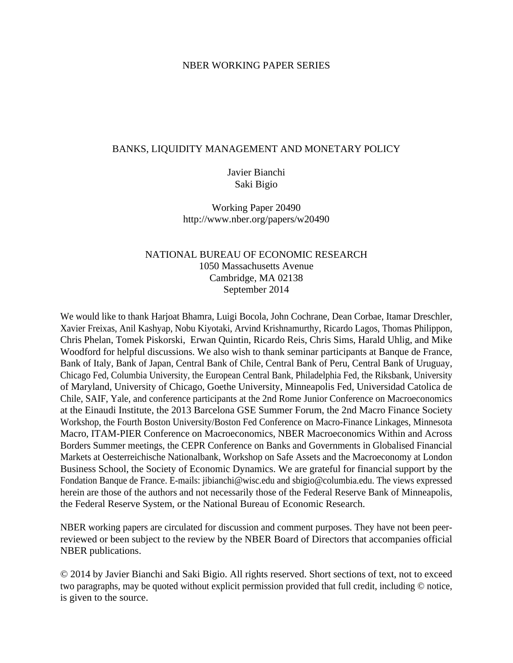#### NBER WORKING PAPER SERIES

#### BANKS, LIQUIDITY MANAGEMENT AND MONETARY POLICY

### Javier Bianchi Saki Bigio

Working Paper 20490 http://www.nber.org/papers/w20490

### NATIONAL BUREAU OF ECONOMIC RESEARCH 1050 Massachusetts Avenue Cambridge, MA 02138 September 2014

We would like to thank Harjoat Bhamra, Luigi Bocola, John Cochrane, Dean Corbae, Itamar Dreschler, Xavier Freixas, Anil Kashyap, Nobu Kiyotaki, Arvind Krishnamurthy, Ricardo Lagos, Thomas Philippon, Chris Phelan, Tomek Piskorski, Erwan Quintin, Ricardo Reis, Chris Sims, Harald Uhlig, and Mike Woodford for helpful discussions. We also wish to thank seminar participants at Banque de France, Bank of Italy, Bank of Japan, Central Bank of Chile, Central Bank of Peru, Central Bank of Uruguay, Chicago Fed, Columbia University, the European Central Bank, Philadelphia Fed, the Riksbank, University of Maryland, University of Chicago, Goethe University, Minneapolis Fed, Universidad Catolica de Chile, SAIF, Yale, and conference participants at the 2nd Rome Junior Conference on Macroeconomics at the Einaudi Institute, the 2013 Barcelona GSE Summer Forum, the 2nd Macro Finance Society Workshop, the Fourth Boston University/Boston Fed Conference on Macro-Finance Linkages, Minnesota Macro, ITAM-PIER Conference on Macroeconomics, NBER Macroeconomics Within and Across Borders Summer meetings, the CEPR Conference on Banks and Governments in Globalised Financial Markets at Oesterreichische Nationalbank, Workshop on Safe Assets and the Macroeconomy at London Business School, the Society of Economic Dynamics. We are grateful for financial support by the Fondation Banque de France. E-mails: jibianchi@wisc.edu and sbigio@columbia.edu. The views expressed herein are those of the authors and not necessarily those of the Federal Reserve Bank of Minneapolis, the Federal Reserve System, or the National Bureau of Economic Research.

NBER working papers are circulated for discussion and comment purposes. They have not been peerreviewed or been subject to the review by the NBER Board of Directors that accompanies official NBER publications.

© 2014 by Javier Bianchi and Saki Bigio. All rights reserved. Short sections of text, not to exceed two paragraphs, may be quoted without explicit permission provided that full credit, including © notice, is given to the source.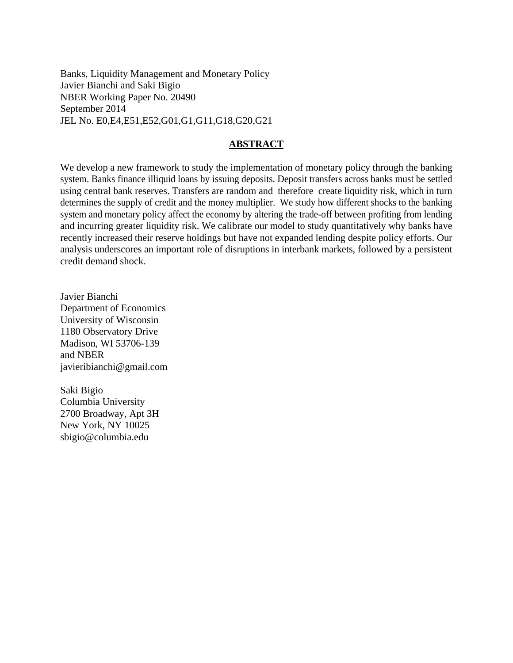Banks, Liquidity Management and Monetary Policy Javier Bianchi and Saki Bigio NBER Working Paper No. 20490 September 2014 JEL No. E0,E4,E51,E52,G01,G1,G11,G18,G20,G21

#### **ABSTRACT**

We develop a new framework to study the implementation of monetary policy through the banking system. Banks finance illiquid loans by issuing deposits. Deposit transfers across banks must be settled using central bank reserves. Transfers are random and therefore create liquidity risk, which in turn determines the supply of credit and the money multiplier. We study how different shocks to the banking system and monetary policy affect the economy by altering the trade-off between profiting from lending and incurring greater liquidity risk. We calibrate our model to study quantitatively why banks have recently increased their reserve holdings but have not expanded lending despite policy efforts. Our analysis underscores an important role of disruptions in interbank markets, followed by a persistent credit demand shock.

Javier Bianchi Department of Economics University of Wisconsin 1180 Observatory Drive Madison, WI 53706-139 and NBER javieribianchi@gmail.com

Saki Bigio Columbia University 2700 Broadway, Apt 3H New York, NY 10025 sbigio@columbia.edu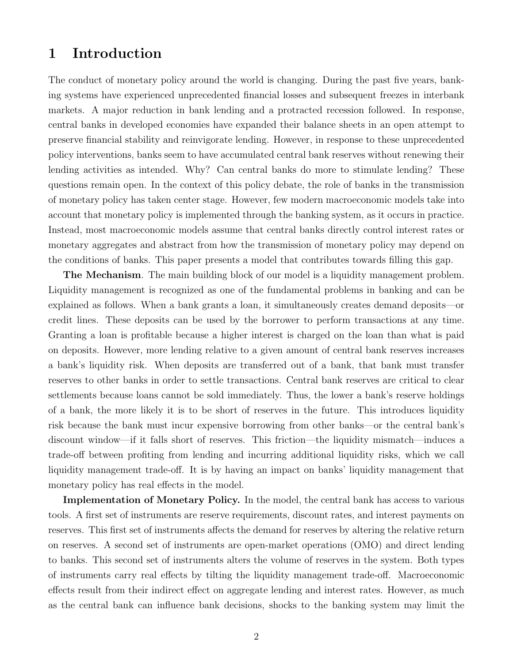# 1 Introduction

The conduct of monetary policy around the world is changing. During the past five years, banking systems have experienced unprecedented financial losses and subsequent freezes in interbank markets. A major reduction in bank lending and a protracted recession followed. In response, central banks in developed economies have expanded their balance sheets in an open attempt to preserve financial stability and reinvigorate lending. However, in response to these unprecedented policy interventions, banks seem to have accumulated central bank reserves without renewing their lending activities as intended. Why? Can central banks do more to stimulate lending? These questions remain open. In the context of this policy debate, the role of banks in the transmission of monetary policy has taken center stage. However, few modern macroeconomic models take into account that monetary policy is implemented through the banking system, as it occurs in practice. Instead, most macroeconomic models assume that central banks directly control interest rates or monetary aggregates and abstract from how the transmission of monetary policy may depend on the conditions of banks. This paper presents a model that contributes towards filling this gap.

The Mechanism. The main building block of our model is a liquidity management problem. Liquidity management is recognized as one of the fundamental problems in banking and can be explained as follows. When a bank grants a loan, it simultaneously creates demand deposits—or credit lines. These deposits can be used by the borrower to perform transactions at any time. Granting a loan is profitable because a higher interest is charged on the loan than what is paid on deposits. However, more lending relative to a given amount of central bank reserves increases a bank's liquidity risk. When deposits are transferred out of a bank, that bank must transfer reserves to other banks in order to settle transactions. Central bank reserves are critical to clear settlements because loans cannot be sold immediately. Thus, the lower a bank's reserve holdings of a bank, the more likely it is to be short of reserves in the future. This introduces liquidity risk because the bank must incur expensive borrowing from other banks—or the central bank's discount window—if it falls short of reserves. This friction—the liquidity mismatch—induces a trade-off between profiting from lending and incurring additional liquidity risks, which we call liquidity management trade-off. It is by having an impact on banks' liquidity management that monetary policy has real effects in the model.

Implementation of Monetary Policy. In the model, the central bank has access to various tools. A first set of instruments are reserve requirements, discount rates, and interest payments on reserves. This first set of instruments affects the demand for reserves by altering the relative return on reserves. A second set of instruments are open-market operations (OMO) and direct lending to banks. This second set of instruments alters the volume of reserves in the system. Both types of instruments carry real effects by tilting the liquidity management trade-off. Macroeconomic effects result from their indirect effect on aggregate lending and interest rates. However, as much as the central bank can influence bank decisions, shocks to the banking system may limit the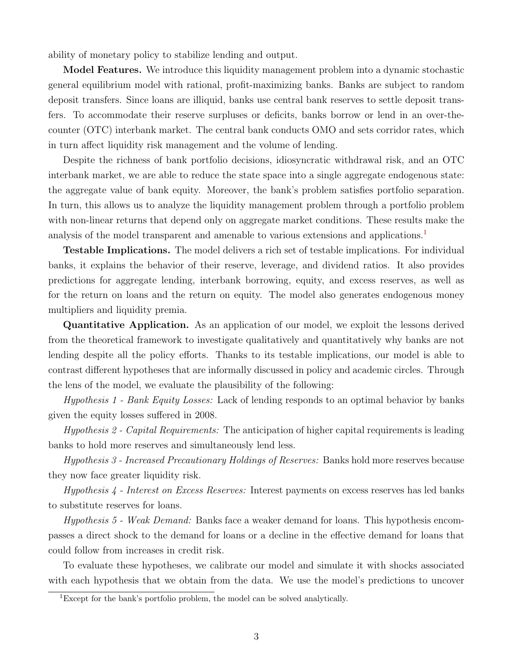ability of monetary policy to stabilize lending and output.

Model Features. We introduce this liquidity management problem into a dynamic stochastic general equilibrium model with rational, profit-maximizing banks. Banks are subject to random deposit transfers. Since loans are illiquid, banks use central bank reserves to settle deposit transfers. To accommodate their reserve surpluses or deficits, banks borrow or lend in an over-thecounter (OTC) interbank market. The central bank conducts OMO and sets corridor rates, which in turn affect liquidity risk management and the volume of lending.

Despite the richness of bank portfolio decisions, idiosyncratic withdrawal risk, and an OTC interbank market, we are able to reduce the state space into a single aggregate endogenous state: the aggregate value of bank equity. Moreover, the bank's problem satisfies portfolio separation. In turn, this allows us to analyze the liquidity management problem through a portfolio problem with non-linear returns that depend only on aggregate market conditions. These results make the analysis of the model transparent and amenable to various extensions and applications.[1](#page-3-0)

Testable Implications. The model delivers a rich set of testable implications. For individual banks, it explains the behavior of their reserve, leverage, and dividend ratios. It also provides predictions for aggregate lending, interbank borrowing, equity, and excess reserves, as well as for the return on loans and the return on equity. The model also generates endogenous money multipliers and liquidity premia.

Quantitative Application. As an application of our model, we exploit the lessons derived from the theoretical framework to investigate qualitatively and quantitatively why banks are not lending despite all the policy efforts. Thanks to its testable implications, our model is able to contrast different hypotheses that are informally discussed in policy and academic circles. Through the lens of the model, we evaluate the plausibility of the following:

Hypothesis 1 - Bank Equity Losses: Lack of lending responds to an optimal behavior by banks given the equity losses suffered in 2008.

Hypothesis 2 - Capital Requirements: The anticipation of higher capital requirements is leading banks to hold more reserves and simultaneously lend less.

Hypothesis 3 - Increased Precautionary Holdings of Reserves: Banks hold more reserves because they now face greater liquidity risk.

Hypothesis 4 - Interest on Excess Reserves: Interest payments on excess reserves has led banks to substitute reserves for loans.

Hypothesis 5 - Weak Demand: Banks face a weaker demand for loans. This hypothesis encompasses a direct shock to the demand for loans or a decline in the effective demand for loans that could follow from increases in credit risk.

To evaluate these hypotheses, we calibrate our model and simulate it with shocks associated with each hypothesis that we obtain from the data. We use the model's predictions to uncover

<span id="page-3-0"></span><sup>1</sup>Except for the bank's portfolio problem, the model can be solved analytically.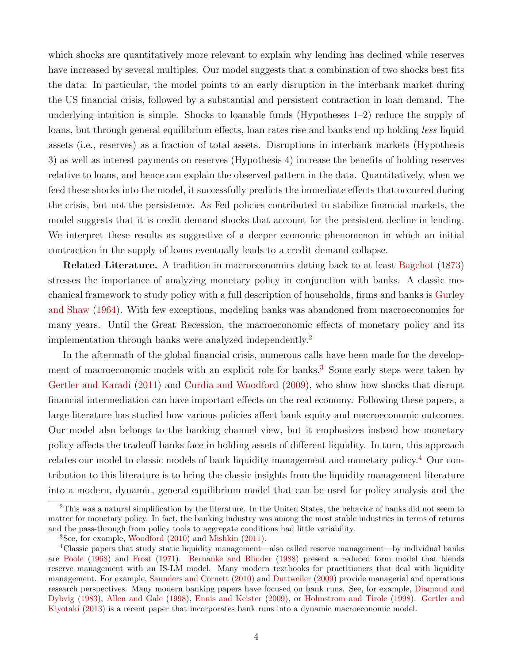which shocks are quantitatively more relevant to explain why lending has declined while reserves have increased by several multiples. Our model suggests that a combination of two shocks best fits the data: In particular, the model points to an early disruption in the interbank market during the US financial crisis, followed by a substantial and persistent contraction in loan demand. The underlying intuition is simple. Shocks to loanable funds (Hypotheses  $1-2$ ) reduce the supply of loans, but through general equilibrium effects, loan rates rise and banks end up holding *less* liquid assets (i.e., reserves) as a fraction of total assets. Disruptions in interbank markets (Hypothesis 3) as well as interest payments on reserves (Hypothesis 4) increase the benefits of holding reserves relative to loans, and hence can explain the observed pattern in the data. Quantitatively, when we feed these shocks into the model, it successfully predicts the immediate effects that occurred during the crisis, but not the persistence. As Fed policies contributed to stabilize financial markets, the model suggests that it is credit demand shocks that account for the persistent decline in lending. We interpret these results as suggestive of a deeper economic phenomenon in which an initial contraction in the supply of loans eventually leads to a credit demand collapse.

Related Literature. A tradition in macroeconomics dating back to at least [Bagehot](#page-46-0) [\(1873\)](#page-46-0) stresses the importance of analyzing monetary policy in conjunction with banks. A classic mechanical framework to study policy with a full description of households, firms and banks is [Gurley](#page-48-0) [and Shaw](#page-48-0) [\(1964\)](#page-48-0). With few exceptions, modeling banks was abandoned from macroeconomics for many years. Until the Great Recession, the macroeconomic effects of monetary policy and its implementation through banks were analyzed independently.[2](#page-4-0)

In the aftermath of the global financial crisis, numerous calls have been made for the develop-ment of macroeconomic models with an explicit role for banks.<sup>[3](#page-4-1)</sup> Some early steps were taken by [Gertler and Karadi](#page-48-1) [\(2011\)](#page-48-1) and [Curdia and Woodford](#page-47-0) [\(2009\)](#page-47-0), who show how shocks that disrupt financial intermediation can have important effects on the real economy. Following these papers, a large literature has studied how various policies affect bank equity and macroeconomic outcomes. Our model also belongs to the banking channel view, but it emphasizes instead how monetary policy affects the tradeoff banks face in holding assets of different liquidity. In turn, this approach relates our model to classic models of bank liquidity management and monetary policy.[4](#page-4-2) Our contribution to this literature is to bring the classic insights from the liquidity management literature into a modern, dynamic, general equilibrium model that can be used for policy analysis and the

<span id="page-4-0"></span> $2$ This was a natural simplification by the literature. In the United States, the behavior of banks did not seem to matter for monetary policy. In fact, the banking industry was among the most stable industries in terms of returns and the pass-through from policy tools to aggregate conditions had little variability.

<span id="page-4-2"></span><span id="page-4-1"></span><sup>3</sup>See, for example, [Woodford](#page-49-0) [\(2010\)](#page-49-0) and [Mishkin](#page-48-2) [\(2011\)](#page-48-2).

<sup>4</sup>Classic papers that study static liquidity management—also called reserve management—by individual banks are [Poole](#page-48-3) [\(1968\)](#page-48-3) and [Frost](#page-48-4) [\(1971\)](#page-48-4). [Bernanke and Blinder](#page-46-1) [\(1988\)](#page-46-1) present a reduced form model that blends reserve management with an IS-LM model. Many modern textbooks for practitioners that deal with liquidity management. For example, [Saunders and Cornett](#page-49-1) [\(2010\)](#page-49-1) and [Duttweiler](#page-47-1) [\(2009\)](#page-47-1) provide managerial and operations research perspectives. Many modern banking papers have focused on bank runs. See, for example, [Diamond and](#page-47-2) [Dybvig](#page-47-2) [\(1983\)](#page-47-2), [Allen and Gale](#page-46-2) [\(1998\)](#page-46-2), [Ennis and Keister](#page-47-3) [\(2009\)](#page-47-3), or [Holmstrom and Tirole](#page-48-5) [\(1998\)](#page-48-5). [Gertler and](#page-48-6) [Kiyotaki](#page-48-6) [\(2013\)](#page-48-6) is a recent paper that incorporates bank runs into a dynamic macroeconomic model.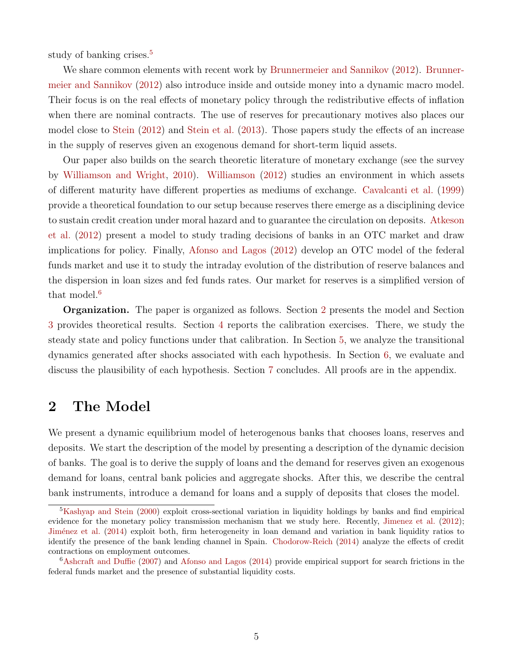study of banking crises.<sup>[5](#page-5-0)</sup>

We share common elements with recent work by [Brunnermeier and Sannikov](#page-47-4) [\(2012\)](#page-47-4). [Brunner](#page-47-4)[meier and Sannikov](#page-47-4) [\(2012\)](#page-47-4) also introduce inside and outside money into a dynamic macro model. Their focus is on the real effects of monetary policy through the redistributive effects of inflation when there are nominal contracts. The use of reserves for precautionary motives also places our model close to [Stein](#page-49-2) [\(2012\)](#page-49-2) and [Stein et al.](#page-49-3) [\(2013\)](#page-49-3). Those papers study the effects of an increase in the supply of reserves given an exogenous demand for short-term liquid assets.

Our paper also builds on the search theoretic literature of monetary exchange (see the survey by [Williamson and Wright,](#page-49-4) [2010\)](#page-49-4). [Williamson](#page-49-5) [\(2012\)](#page-49-5) studies an environment in which assets of different maturity have different properties as mediums of exchange. [Cavalcanti et al.](#page-47-5) [\(1999\)](#page-47-5) provide a theoretical foundation to our setup because reserves there emerge as a disciplining device to sustain credit creation under moral hazard and to guarantee the circulation on deposits. [Atkeson](#page-46-3) [et al.](#page-46-3) [\(2012\)](#page-46-3) present a model to study trading decisions of banks in an OTC market and draw implications for policy. Finally, [Afonso and Lagos](#page-46-4) [\(2012\)](#page-46-4) develop an OTC model of the federal funds market and use it to study the intraday evolution of the distribution of reserve balances and the dispersion in loan sizes and fed funds rates. Our market for reserves is a simplified version of that model.<sup>[6](#page-5-1)</sup>

Organization. The paper is organized as follows. Section [2](#page-5-2) presents the model and Section [3](#page-19-0) provides theoretical results. Section [4](#page-24-0) reports the calibration exercises. There, we study the steady state and policy functions under that calibration. In Section [5,](#page-29-0) we analyze the transitional dynamics generated after shocks associated with each hypothesis. In Section [6,](#page-37-0) we evaluate and discuss the plausibility of each hypothesis. Section [7](#page-44-0) concludes. All proofs are in the appendix.

# <span id="page-5-2"></span>2 The Model

We present a dynamic equilibrium model of heterogenous banks that chooses loans, reserves and deposits. We start the description of the model by presenting a description of the dynamic decision of banks. The goal is to derive the supply of loans and the demand for reserves given an exogenous demand for loans, central bank policies and aggregate shocks. After this, we describe the central bank instruments, introduce a demand for loans and a supply of deposits that closes the model.

<span id="page-5-0"></span><sup>&</sup>lt;sup>5</sup>[Kashyap and Stein](#page-48-7) [\(2000\)](#page-48-7) exploit cross-sectional variation in liquidity holdings by banks and find empirical evidence for the monetary policy transmission mechanism that we study here. Recently, [Jimenez et al.](#page-48-8) [\(2012\)](#page-48-8); Jiménez et al. [\(2014\)](#page-48-9) exploit both, firm heterogeneity in loan demand and variation in bank liquidity ratios to identify the presence of the bank lending channel in Spain. [Chodorow-Reich](#page-47-6) [\(2014\)](#page-47-6) analyze the effects of credit contractions on employment outcomes.

<span id="page-5-1"></span><sup>6</sup>[Ashcraft and Duffie](#page-46-5) [\(2007\)](#page-46-5) and [Afonso and Lagos](#page-46-6) [\(2014\)](#page-46-6) provide empirical support for search frictions in the federal funds market and the presence of substantial liquidity costs.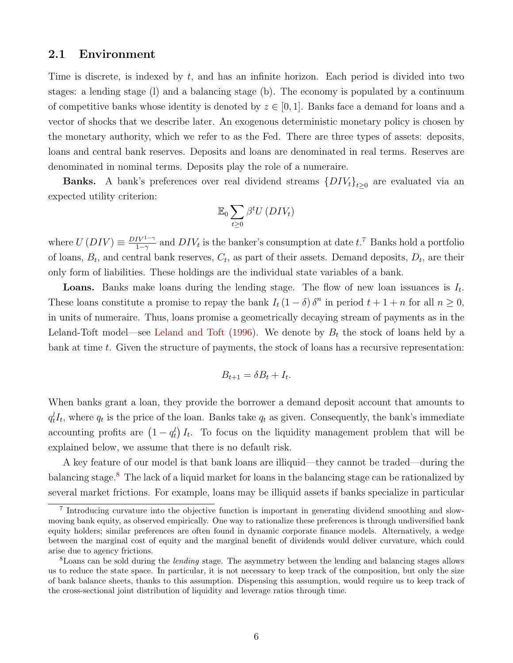### 2.1 Environment

Time is discrete, is indexed by t, and has an infinite horizon. Each period is divided into two stages: a lending stage (l) and a balancing stage (b). The economy is populated by a continuum of competitive banks whose identity is denoted by  $z \in [0,1]$ . Banks face a demand for loans and a vector of shocks that we describe later. An exogenous deterministic monetary policy is chosen by the monetary authority, which we refer to as the Fed. There are three types of assets: deposits, loans and central bank reserves. Deposits and loans are denominated in real terms. Reserves are denominated in nominal terms. Deposits play the role of a numeraire.

**Banks.** A bank's preferences over real dividend streams  $\{DIV_t\}_{t\geq 0}$  are evaluated via an expected utility criterion:

$$
\mathbb{E}_0 \sum_{t \geq 0} \beta^t U(DIV_t)
$$

where  $U(DIV) \equiv \frac{DIV^{1-\gamma}}{1-\gamma}$  $\frac{IV^{1-\gamma}}{1-\gamma}$  and  $DIV_t$  is the banker's consumption at date  $t$ .<sup>[7](#page-6-0)</sup> Banks hold a portfolio of loans,  $B_t$ , and central bank reserves,  $C_t$ , as part of their assets. Demand deposits,  $D_t$ , are their only form of liabilities. These holdings are the individual state variables of a bank.

**Loans.** Banks make loans during the lending stage. The flow of new loan issuances is  $I_t$ . These loans constitute a promise to repay the bank  $I_t(1-\delta)\delta^n$  in period  $t+1+n$  for all  $n\geq 0$ , in units of numeraire. Thus, loans promise a geometrically decaying stream of payments as in the Leland-Toft model—see [Leland and Toft](#page-48-10) [\(1996\)](#page-48-10). We denote by  $B_t$  the stock of loans held by a bank at time  $t$ . Given the structure of payments, the stock of loans has a recursive representation:

$$
B_{t+1} = \delta B_t + I_t.
$$

When banks grant a loan, they provide the borrower a demand deposit account that amounts to  $q_t^l I_t$ , where  $q_t$  is the price of the loan. Banks take  $q_t$  as given. Consequently, the bank's immediate accounting profits are  $(1 - q_t^l) I_t$ . To focus on the liquidity management problem that will be explained below, we assume that there is no default risk.

A key feature of our model is that bank loans are illiquid—they cannot be traded—during the balancing stage.[8](#page-6-1) The lack of a liquid market for loans in the balancing stage can be rationalized by several market frictions. For example, loans may be illiquid assets if banks specialize in particular

<span id="page-6-0"></span><sup>&</sup>lt;sup>7</sup> Introducing curvature into the objective function is important in generating dividend smoothing and slowmoving bank equity, as observed empirically. One way to rationalize these preferences is through undiversified bank equity holders; similar preferences are often found in dynamic corporate finance models. Alternatively, a wedge between the marginal cost of equity and the marginal benefit of dividends would deliver curvature, which could arise due to agency frictions.

<span id="page-6-1"></span><sup>&</sup>lt;sup>8</sup>Loans can be sold during the *lending* stage. The asymmetry between the lending and balancing stages allows us to reduce the state space. In particular, it is not necessary to keep track of the composition, but only the size of bank balance sheets, thanks to this assumption. Dispensing this assumption, would require us to keep track of the cross-sectional joint distribution of liquidity and leverage ratios through time.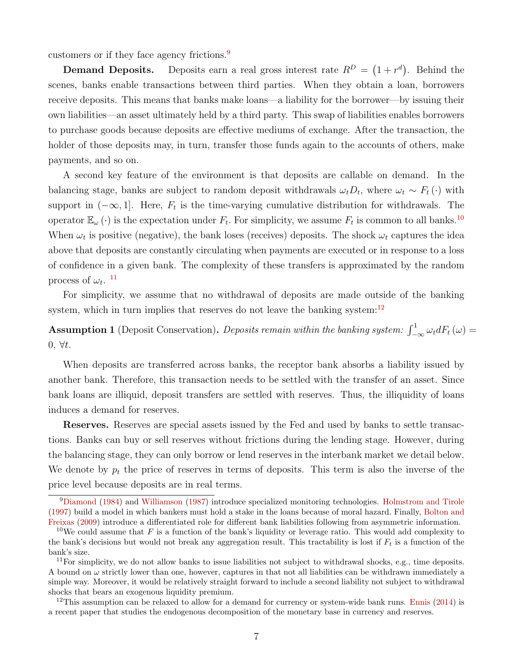customers or if they face agency frictions.[9](#page-7-0)

**Demand Deposits.** Deposits earn a real gross interest rate  $R^D = (1 + r^d)$ . Behind the scenes, banks enable transactions between third parties. When they obtain a loan, borrowers receive deposits. This means that banks make loans—a liability for the borrower—by issuing their own liabilities—an asset ultimately held by a third party. This swap of liabilities enables borrowers to purchase goods because deposits are effective mediums of exchange. After the transaction, the holder of those deposits may, in turn, transfer those funds again to the accounts of others, make payments, and so on.

A second key feature of the environment is that deposits are callable on demand. In the balancing stage, banks are subject to random deposit withdrawals  $\omega_t D_t$ , where  $\omega_t \sim F_t(\cdot)$  with support in  $(-\infty, 1]$ . Here,  $F_t$  is the time-varying cumulative distribution for withdrawals. The operator  $\mathbb{E}_{\omega}(\cdot)$  is the expectation under  $F_t$ . For simplicity, we assume  $F_t$  is common to all banks.<sup>[10](#page-7-1)</sup> When  $\omega_t$  is positive (negative), the bank loses (receives) deposits. The shock  $\omega_t$  captures the idea above that deposits are constantly circulating when payments are executed or in response to a loss of confidence in a given bank. The complexity of these transfers is approximated by the random process of  $\omega_t$ .<sup>[11](#page-7-2)</sup>

For simplicity, we assume that no withdrawal of deposits are made outside of the banking system, which in turn implies that reserves do not leave the banking system:<sup>[12](#page-7-3)</sup>

**Assumption 1** (Deposit Conservation). Deposits remain within the banking system:  $\int_{-\infty}^{1} \omega_t dF_t(\omega) =$  $0, \forall t.$ 

When deposits are transferred across banks, the receptor bank absorbs a liability issued by another bank. Therefore, this transaction needs to be settled with the transfer of an asset. Since bank loans are illiquid, deposit transfers are settled with reserves. Thus, the illiquidity of loans induces a demand for reserves.

Reserves. Reserves are special assets issued by the Fed and used by banks to settle transactions. Banks can buy or sell reserves without frictions during the lending stage. However, during the balancing stage, they can only borrow or lend reserves in the interbank market we detail below. We denote by  $p_t$  the price of reserves in terms of deposits. This term is also the inverse of the price level because deposits are in real terms.

<span id="page-7-0"></span><sup>&</sup>lt;sup>9</sup>[Diamond](#page-47-7) [\(1984\)](#page-47-7) and [Williamson](#page-49-6) [\(1987\)](#page-49-6) introduce specialized monitoring technologies. [Holmstrom and Tirole](#page-48-11) [\(1997\)](#page-48-11) build a model in which bankers must hold a stake in the loans because of moral hazard. Finally, [Bolton and](#page-47-8) [Freixas](#page-47-8) [\(2009\)](#page-47-8) introduce a differentiated role for different bank liabilities following from asymmetric information.

<span id="page-7-1"></span><sup>&</sup>lt;sup>10</sup>We could assume that F is a function of the bank's liquidity or leverage ratio. This would add complexity to the bank's decisions but would not break any aggregation result. This tractability is lost if  $F_t$  is a function of the bank's size.

<span id="page-7-2"></span> $11$ For simplicity, we do not allow banks to issue liabilities not subject to withdrawal shocks, e.g., time deposits. A bound on  $\omega$  strictly lower than one, however, captures in that not all liabilities can be withdrawn immediately a simple way. Moreover, it would be relatively straight forward to include a second liability not subject to withdrawal shocks that bears an exogenous liquidity premium.

<span id="page-7-3"></span><sup>&</sup>lt;sup>12</sup>This assumption can be relaxed to allow for a demand for currency or system-wide bank runs. [Ennis](#page-47-9)  $(2014)$  is a recent paper that studies the endogenous decomposition of the monetary base in currency and reserves.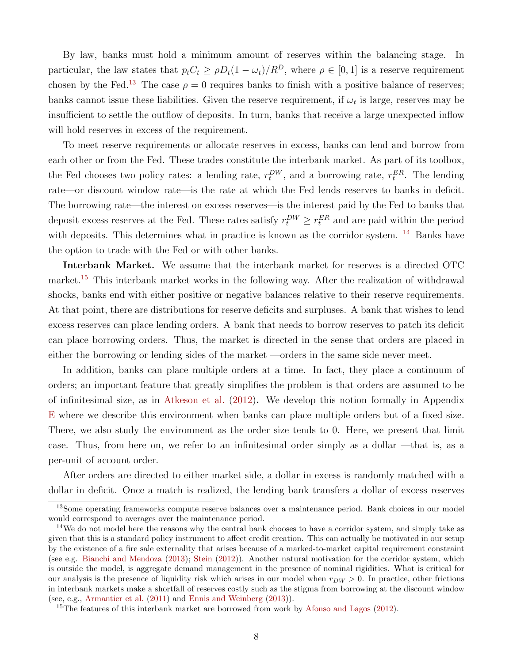By law, banks must hold a minimum amount of reserves within the balancing stage. In particular, the law states that  $p_tC_t \geq \rho D_t(1-\omega_t)/R^D$ , where  $\rho \in [0,1]$  is a reserve requirement chosen by the Fed.<sup>[13](#page-8-0)</sup> The case  $\rho = 0$  requires banks to finish with a positive balance of reserves; banks cannot issue these liabilities. Given the reserve requirement, if  $\omega_t$  is large, reserves may be insufficient to settle the outflow of deposits. In turn, banks that receive a large unexpected inflow will hold reserves in excess of the requirement.

To meet reserve requirements or allocate reserves in excess, banks can lend and borrow from each other or from the Fed. These trades constitute the interbank market. As part of its toolbox, the Fed chooses two policy rates: a lending rate,  $r_t^{DW}$ , and a borrowing rate,  $r_t^{ER}$ . The lending rate—or discount window rate—is the rate at which the Fed lends reserves to banks in deficit. The borrowing rate—the interest on excess reserves—is the interest paid by the Fed to banks that deposit excess reserves at the Fed. These rates satisfy  $r_t^{DW} \ge r_t^{ER}$  and are paid within the period with deposits. This determines what in practice is known as the corridor system. <sup>[14](#page-8-1)</sup> Banks have the option to trade with the Fed or with other banks.

Interbank Market. We assume that the interbank market for reserves is a directed OTC market.<sup>[15](#page-8-2)</sup> This interbank market works in the following way. After the realization of withdrawal shocks, banks end with either positive or negative balances relative to their reserve requirements. At that point, there are distributions for reserve deficits and surpluses. A bank that wishes to lend excess reserves can place lending orders. A bank that needs to borrow reserves to patch its deficit can place borrowing orders. Thus, the market is directed in the sense that orders are placed in either the borrowing or lending sides of the market —orders in the same side never meet.

In addition, banks can place multiple orders at a time. In fact, they place a continuum of orders; an important feature that greatly simplifies the problem is that orders are assumed to be of infinitesimal size, as in [Atkeson et al.](#page-46-3) [\(2012\)](#page-46-3). We develop this notion formally in Appendix [E](#page-63-0) where we describe this environment when banks can place multiple orders but of a fixed size. There, we also study the environment as the order size tends to 0. Here, we present that limit case. Thus, from here on, we refer to an infinitesimal order simply as a dollar —that is, as a per-unit of account order.

After orders are directed to either market side, a dollar in excess is randomly matched with a dollar in deficit. Once a match is realized, the lending bank transfers a dollar of excess reserves

<span id="page-8-0"></span><sup>&</sup>lt;sup>13</sup>Some operating frameworks compute reserve balances over a maintenance period. Bank choices in our model would correspond to averages over the maintenance period.

<span id="page-8-1"></span><sup>&</sup>lt;sup>14</sup>We do not model here the reasons why the central bank chooses to have a corridor system, and simply take as given that this is a standard policy instrument to affect credit creation. This can actually be motivated in our setup by the existence of a fire sale externality that arises because of a marked-to-market capital requirement constraint (see e.g. [Bianchi and Mendoza](#page-46-7) [\(2013\)](#page-46-7); [Stein](#page-49-2) [\(2012\)](#page-49-2)). Another natural motivation for the corridor system, which is outside the model, is aggregate demand management in the presence of nominal rigidities. What is critical for our analysis is the presence of liquidity risk which arises in our model when  $r_{DW} > 0$ . In practice, other frictions in interbank markets make a shortfall of reserves costly such as the stigma from borrowing at the discount window (see, e.g., [Armantier et al.](#page-46-8) [\(2011\)](#page-46-8) and [Ennis and Weinberg](#page-48-12) [\(2013\)](#page-48-12)).

<span id="page-8-2"></span><sup>&</sup>lt;sup>15</sup>The features of this interbank market are borrowed from work by [Afonso and Lagos](#page-46-4)  $(2012)$ .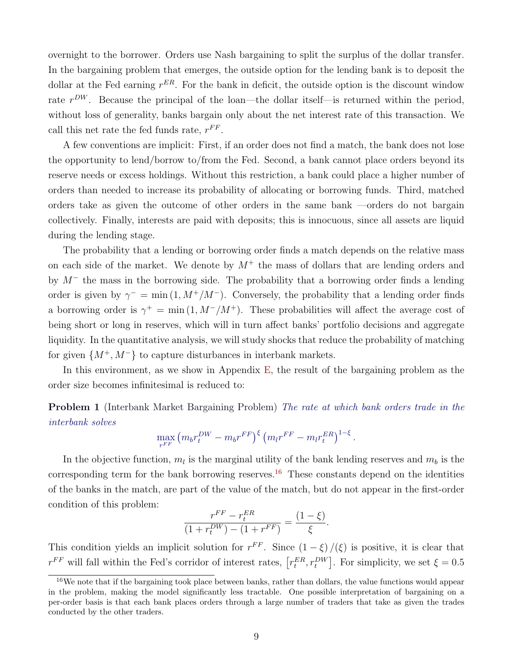overnight to the borrower. Orders use Nash bargaining to split the surplus of the dollar transfer. In the bargaining problem that emerges, the outside option for the lending bank is to deposit the dollar at the Fed earning  $r^{ER}$ . For the bank in deficit, the outside option is the discount window rate  $r^{DW}$ . Because the principal of the loan—the dollar itself—is returned within the period, without loss of generality, banks bargain only about the net interest rate of this transaction. We call this net rate the fed funds rate,  $r^{FF}$ .

A few conventions are implicit: First, if an order does not find a match, the bank does not lose the opportunity to lend/borrow to/from the Fed. Second, a bank cannot place orders beyond its reserve needs or excess holdings. Without this restriction, a bank could place a higher number of orders than needed to increase its probability of allocating or borrowing funds. Third, matched orders take as given the outcome of other orders in the same bank —orders do not bargain collectively. Finally, interests are paid with deposits; this is innocuous, since all assets are liquid during the lending stage.

The probability that a lending or borrowing order finds a match depends on the relative mass on each side of the market. We denote by  $M^+$  the mass of dollars that are lending orders and by  $M^-$  the mass in the borrowing side. The probability that a borrowing order finds a lending order is given by  $\gamma$ <sup>-</sup> = min (1, M<sup>+</sup>/M<sup>-</sup>). Conversely, the probability that a lending order finds a borrowing order is  $\gamma^+ = \min(1, M^-/M^+)$ . These probabilities will affect the average cost of being short or long in reserves, which will in turn affect banks' portfolio decisions and aggregate liquidity. In the quantitative analysis, we will study shocks that reduce the probability of matching for given  $\{M^+, M^-\}$  to capture disturbances in interbank markets.

In this environment, as we show in Appendix  $E$ , the result of the bargaining problem as the order size becomes infinitesimal is reduced to:

Problem 1 (Interbank Market Bargaining Problem) The rate at which bank orders trade in the interbank solves

$$
\max_{r^{FF}} \left( m_b r_t^{DW} - m_b r^{FF} \right)^{\xi} \left( m_l r^{FF} - m_l r_t^{ER} \right)^{1-\xi}.
$$

In the objective function,  $m_l$  is the marginal utility of the bank lending reserves and  $m_b$  is the corresponding term for the bank borrowing reserves.<sup>[16](#page-9-0)</sup> These constants depend on the identities of the banks in the match, are part of the value of the match, but do not appear in the first-order condition of this problem:

$$
\frac{r^{FF} - r_t^{ER}}{(1 + r_t^{DW}) - (1 + r^{FF})} = \frac{(1 - \xi)}{\xi}.
$$

This condition yields an implicit solution for  $r^{FF}$ . Since  $(1 - \xi)/(\xi)$  is positive, it is clear that  $r^{FF}$  will fall within the Fed's corridor of interest rates,  $[r_t^{ER}, r_t^{DW}]$ . For simplicity, we set  $\xi = 0.5$ 

<span id="page-9-0"></span> $16$ We note that if the bargaining took place between banks, rather than dollars, the value functions would appear in the problem, making the model significantly less tractable. One possible interpretation of bargaining on a per-order basis is that each bank places orders through a large number of traders that take as given the trades conducted by the other traders.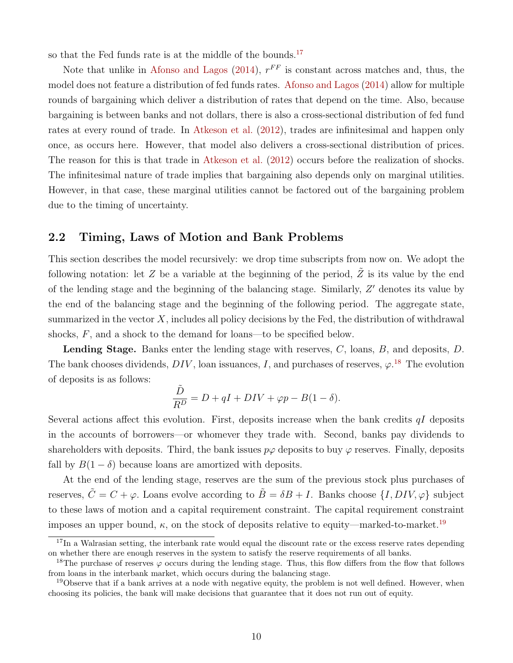so that the Fed funds rate is at the middle of the bounds.<sup>[17](#page-10-0)</sup>

Note that unlike in [Afonso and Lagos](#page-46-6)  $(2014)$ ,  $r^{FF}$  is constant across matches and, thus, the model does not feature a distribution of fed funds rates. [Afonso and Lagos](#page-46-6) [\(2014\)](#page-46-6) allow for multiple rounds of bargaining which deliver a distribution of rates that depend on the time. Also, because bargaining is between banks and not dollars, there is also a cross-sectional distribution of fed fund rates at every round of trade. In [Atkeson et al.](#page-46-3) [\(2012\)](#page-46-3), trades are infinitesimal and happen only once, as occurs here. However, that model also delivers a cross-sectional distribution of prices. The reason for this is that trade in [Atkeson et al.](#page-46-3) [\(2012\)](#page-46-3) occurs before the realization of shocks. The infinitesimal nature of trade implies that bargaining also depends only on marginal utilities. However, in that case, these marginal utilities cannot be factored out of the bargaining problem due to the timing of uncertainty.

## <span id="page-10-3"></span>2.2 Timing, Laws of Motion and Bank Problems

This section describes the model recursively: we drop time subscripts from now on. We adopt the following notation: let Z be a variable at the beginning of the period,  $\tilde{Z}$  is its value by the end of the lending stage and the beginning of the balancing stage. Similarly,  $Z'$  denotes its value by the end of the balancing stage and the beginning of the following period. The aggregate state, summarized in the vector  $X$ , includes all policy decisions by the Fed, the distribution of withdrawal shocks, F, and a shock to the demand for loans—to be specified below.

Lending Stage. Banks enter the lending stage with reserves, C, loans, B, and deposits, D. The bank chooses dividends,  $DIV$ , loan issuances, I, and purchases of reserves,  $\varphi$ <sup>[18](#page-10-1)</sup>. The evolution of deposits is as follows:

$$
\frac{\tilde{D}}{R^D} = D + qI + DIV + \varphi p - B(1 - \delta).
$$

Several actions affect this evolution. First, deposits increase when the bank credits  $qI$  deposits in the accounts of borrowers—or whomever they trade with. Second, banks pay dividends to shareholders with deposits. Third, the bank issues  $p\varphi$  deposits to buy  $\varphi$  reserves. Finally, deposits fall by  $B(1 - \delta)$  because loans are amortized with deposits.

At the end of the lending stage, reserves are the sum of the previous stock plus purchases of reserves,  $\tilde{C} = C + \varphi$ . Loans evolve according to  $\tilde{B} = \delta B + I$ . Banks choose  $\{I, DIV, \varphi\}$  subject to these laws of motion and a capital requirement constraint. The capital requirement constraint imposes an upper bound,  $\kappa$ , on the stock of deposits relative to equity—marked-to-market.<sup>[19](#page-10-2)</sup>

<span id="page-10-0"></span> $17$ In a Walrasian setting, the interbank rate would equal the discount rate or the excess reserve rates depending on whether there are enough reserves in the system to satisfy the reserve requirements of all banks.

<span id="page-10-1"></span><sup>&</sup>lt;sup>18</sup>The purchase of reserves  $\varphi$  occurs during the lending stage. Thus, this flow differs from the flow that follows from loans in the interbank market, which occurs during the balancing stage.

<span id="page-10-2"></span><sup>&</sup>lt;sup>19</sup>Observe that if a bank arrives at a node with negative equity, the problem is not well defined. However, when choosing its policies, the bank will make decisions that guarantee that it does not run out of equity.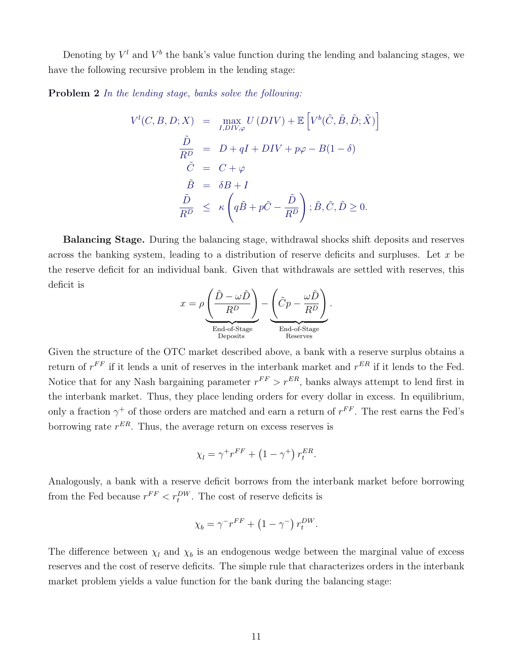Denoting by  $V^l$  and  $V^b$  the bank's value function during the lending and balancing stages, we have the following recursive problem in the lending stage:

Problem 2 In the lending stage, banks solve the following:

$$
V^{l}(C, B, D; X) = \max_{I, DIV, \varphi} U(DIV) + \mathbb{E}\left[V^{b}(\tilde{C}, \tilde{B}, \tilde{D}; \tilde{X})\right]
$$
  

$$
\frac{\tilde{D}}{R^{D}} = D + qI + DIV + p\varphi - B(1 - \delta)
$$
  

$$
\tilde{C} = C + \varphi
$$
  

$$
\tilde{B} = \delta B + I
$$
  

$$
\frac{\tilde{D}}{R^{D}} \le \kappa \left(q\tilde{B} + p\tilde{C} - \frac{\tilde{D}}{R^{D}}\right); \tilde{B}, \tilde{C}, \tilde{D} \ge 0.
$$

Balancing Stage. During the balancing stage, withdrawal shocks shift deposits and reserves across the banking system, leading to a distribution of reserve deficits and surpluses. Let  $x$  be the reserve deficit for an individual bank. Given that withdrawals are settled with reserves, this deficit is

$$
x = \rho \underbrace{\left(\frac{\tilde{D} - \omega \tilde{D}}{R^D}\right)}_{\text{End-of-Stage}} - \underbrace{\left(\tilde{C}p - \frac{\omega \tilde{D}}{R^D}\right)}_{\text{End-of-Stage}}.
$$

Given the structure of the OTC market described above, a bank with a reserve surplus obtains a return of  $r^{FF}$  if it lends a unit of reserves in the interbank market and  $r^{ER}$  if it lends to the Fed. Notice that for any Nash bargaining parameter  $r^{FF} > r^{ER}$ , banks always attempt to lend first in the interbank market. Thus, they place lending orders for every dollar in excess. In equilibrium, only a fraction  $\gamma^+$  of those orders are matched and earn a return of  $r^{FF}$ . The rest earns the Fed's borrowing rate  $r^{ER}$ . Thus, the average return on excess reserves is

$$
\chi_l = \gamma^+ r^{FF} + \left(1 - \gamma^+\right) r_t^{ER}.
$$

Analogously, a bank with a reserve deficit borrows from the interbank market before borrowing from the Fed because  $r^{FF} < r_t^{DW}$ . The cost of reserve deficits is

$$
\chi_b = \gamma^- r^{FF} + \left(1 - \gamma^-\right) r_t^{DW}.
$$

The difference between  $\chi_l$  and  $\chi_b$  is an endogenous wedge between the marginal value of excess reserves and the cost of reserve deficits. The simple rule that characterizes orders in the interbank market problem yields a value function for the bank during the balancing stage: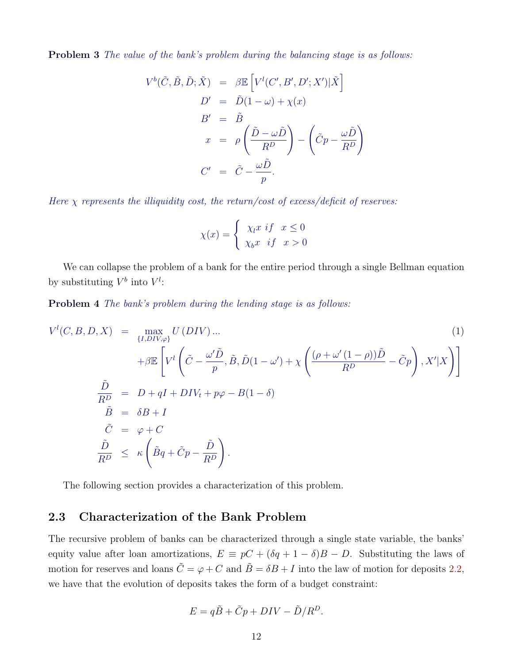**Problem 3** The value of the bank's problem during the balancing stage is as follows:

$$
V^{b}(\tilde{C}, \tilde{B}, \tilde{D}; \tilde{X}) = \beta \mathbb{E} \left[ V^{l}(C', B', D'; X') | \tilde{X} \right]
$$
  
\n
$$
D' = \tilde{D} (1 - \omega) + \chi(x)
$$
  
\n
$$
B' = \tilde{B}
$$
  
\n
$$
x = \rho \left( \frac{\tilde{D} - \omega \tilde{D}}{R^{D}} \right) - \left( \tilde{C}p - \frac{\omega \tilde{D}}{R^{D}} \right)
$$
  
\n
$$
C' = \tilde{C} - \frac{\omega \tilde{D}}{p}.
$$

Here  $\chi$  represents the illiquidity cost, the return/cost of excess/deficit of reserves:

$$
\chi(x) = \begin{cases} \chi_l x & \text{if } x \le 0 \\ \chi_b x & \text{if } x > 0 \end{cases}
$$

We can collapse the problem of a bank for the entire period through a single Bellman equation by substituting  $V^b$  into  $V^l$ :

<span id="page-12-0"></span>**Problem 4** The bank's problem during the lending stage is as follows:

$$
V^{l}(C, B, D, X) = \max_{\{I, DIV, \varphi\}} U(DIV) ... \tag{1}
$$
\n
$$
+ \beta \mathbb{E} \left[ V^{l} \left( \tilde{C} - \frac{\omega' \tilde{D}}{p}, \tilde{B}, \tilde{D}(1 - \omega') + \chi \left( \frac{(\rho + \omega'(1 - \rho))\tilde{D}}{R^{D}} - \tilde{C}p \right), X'|X \right) \right]
$$
\n
$$
\frac{\tilde{D}}{R^{D}} = D + qI + DIV_{t} + p\varphi - B(1 - \delta)
$$
\n
$$
\tilde{B} = \delta B + I
$$
\n
$$
\tilde{C} = \varphi + C
$$
\n
$$
\frac{\tilde{D}}{R^{D}} \le \kappa \left( \tilde{B}q + \tilde{C}p - \frac{\tilde{D}}{R^{D}} \right).
$$
\n(1)

The following section provides a characterization of this problem.

### 2.3 Characterization of the Bank Problem

The recursive problem of banks can be characterized through a single state variable, the banks' equity value after loan amortizations,  $E \equiv pC + (\delta q + 1 - \delta)B - D$ . Substituting the laws of motion for reserves and loans  $\tilde{C} = \varphi + C$  and  $\tilde{B} = \delta B + I$  into the law of motion for deposits [2.2,](#page-10-3) we have that the evolution of deposits takes the form of a budget constraint:

$$
E = q\tilde{B} + \tilde{C}p + DIV - \tilde{D}/R^D.
$$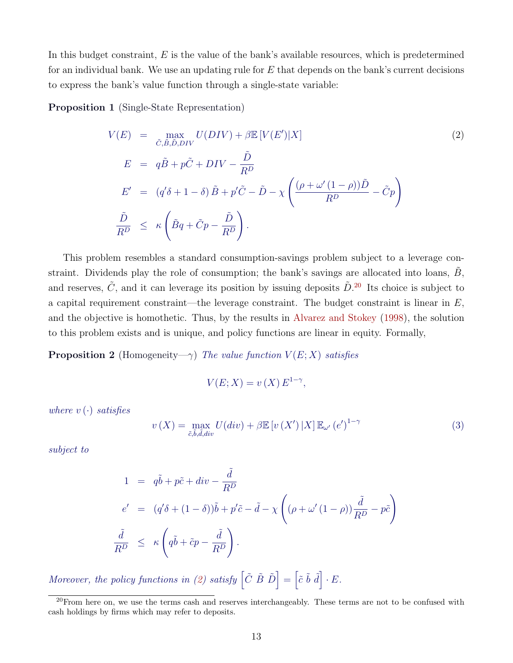In this budget constraint,  $E$  is the value of the bank's available resources, which is predetermined for an individual bank. We use an updating rule for  $E$  that depends on the bank's current decisions to express the bank's value function through a single-state variable:

<span id="page-13-3"></span>Proposition 1 (Single-State Representation)

<span id="page-13-1"></span>
$$
V(E) = \max_{\tilde{C}, \tilde{B}, \tilde{D}, DIV} U(DIV) + \beta \mathbb{E} [V(E')|X]
$$
  
\n
$$
E = q\tilde{B} + p\tilde{C} + DIV - \frac{\tilde{D}}{R^D}
$$
  
\n
$$
E' = (q'\delta + 1 - \delta)\tilde{B} + p'\tilde{C} - \tilde{D} - \chi \left(\frac{(\rho + \omega'(1 - \rho))\tilde{D}}{R^D} - \tilde{C}p\right)
$$
  
\n
$$
\frac{\tilde{D}}{R^D} \le \kappa \left(\tilde{B}q + \tilde{C}p - \frac{\tilde{D}}{R^D}\right).
$$
\n(2)

This problem resembles a standard consumption-savings problem subject to a leverage constraint. Dividends play the role of consumption; the bank's savings are allocated into loans,  $B$ , and reserves,  $\tilde{C}$ , and it can leverage its position by issuing deposits  $\tilde{D}$ .<sup>[20](#page-13-0)</sup> Its choice is subject to a capital requirement constraint—the leverage constraint. The budget constraint is linear in  $E$ , and the objective is homothetic. Thus, by the results in [Alvarez and Stokey](#page-46-9) [\(1998\)](#page-46-9), the solution to this problem exists and is unique, and policy functions are linear in equity. Formally,

**Proposition 2** (Homogeneity-γ) The value function  $V(E; X)$  satisfies

$$
V(E;X) = v(X) E^{1-\gamma},
$$

where  $v(\cdot)$  satisfies

<span id="page-13-2"></span>
$$
v(X) = \max_{\tilde{c}, \tilde{b}, \tilde{d}, \text{div}} U(\text{div}) + \beta \mathbb{E}\left[v(X') \, | X\right] \mathbb{E}_{\omega'}\left(e'\right)^{1-\gamma} \tag{3}
$$

subject to

$$
1 = q\tilde{b} + p\tilde{c} + div - \frac{\tilde{d}}{R^D}
$$
  
\n
$$
e' = (q'\delta + (1 - \delta))\tilde{b} + p'\tilde{c} - \tilde{d} - \chi \left( (\rho + \omega'(1 - \rho))\frac{\tilde{d}}{R^D} - p\tilde{c} \right)
$$
  
\n
$$
\frac{\tilde{d}}{R^D} \le \kappa \left( q\tilde{b} + \tilde{c}p - \frac{\tilde{d}}{R^D} \right).
$$

Moreover, the policy functions in [\(2\)](#page-13-1) satisfy  $\left[\tilde{C} \tilde{B} \tilde{D}\right] = \left[\tilde{c} \tilde{b} \tilde{d}\right] \cdot E$ .

<span id="page-13-0"></span> $20$ From here on, we use the terms cash and reserves interchangeably. These terms are not to be confused with cash holdings by firms which may refer to deposits.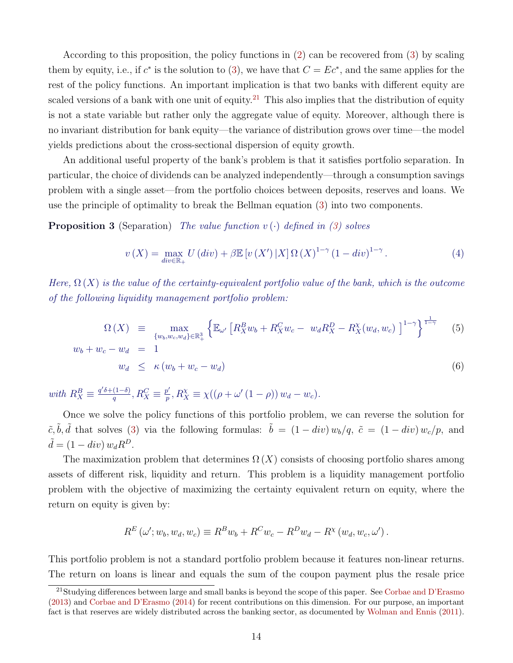According to this proposition, the policy functions in [\(2\)](#page-13-1) can be recovered from [\(3\)](#page-13-2) by scaling them by equity, i.e., if  $c^*$  is the solution to [\(3\)](#page-13-2), we have that  $C = Ec^*$ , and the same applies for the rest of the policy functions. An important implication is that two banks with different equity are scaled versions of a bank with one unit of equity.<sup>[21](#page-14-0)</sup> This also implies that the distribution of equity is not a state variable but rather only the aggregate value of equity. Moreover, although there is no invariant distribution for bank equity—the variance of distribution grows over time—the model yields predictions about the cross-sectional dispersion of equity growth.

An additional useful property of the bank's problem is that it satisfies portfolio separation. In particular, the choice of dividends can be analyzed independently—through a consumption savings problem with a single asset—from the portfolio choices between deposits, reserves and loans. We use the principle of optimality to break the Bellman equation [\(3\)](#page-13-2) into two components.

<span id="page-14-2"></span>**Proposition 3** (Separation) The value function  $v(\cdot)$  defined in [\(3\)](#page-13-2) solves

$$
v(X) = \max_{div \in \mathbb{R}_+} U\left(\text{div}\right) + \beta \mathbb{E}\left[v\left(X'\right)|X\right] \Omega\left(X\right)^{1-\gamma} \left(1 - \text{div}\right)^{1-\gamma}.
$$
\n<sup>(4)</sup>

 $\overline{1}$ 

Here,  $\Omega(X)$  is the value of the certainty-equivalent portfolio value of the bank, which is the outcome of the following liquidity management portfolio problem:

<span id="page-14-1"></span>
$$
\Omega(X) \equiv \max_{\{w_b, w_c, w_d\} \in \mathbb{R}^3_+} \left\{ \mathbb{E}_{\omega'} \left[ R_X^B w_b + R_X^C w_c - w_d R_X^D - R_X^{\chi}(w_d, w_c) \right]^{1-\gamma} \right\}^{\frac{1}{1-\gamma}}
$$
(5)  

$$
w_b + w_c - w_d = 1
$$
  

$$
w_d \le \kappa (w_b + w_c - w_d)
$$
(6)

with  $R_X^B \equiv \frac{q'\delta + (1-\delta)}{q}$  $\frac{(1-\delta)}{q}$ ,  $R_X^C \equiv \frac{p'}{p}$  $\frac{p'}{p}$ ,  $R_X^{\chi} \equiv \chi((\rho + \omega'(1 - \rho)) w_d - w_c).$ 

Once we solve the policy functions of this portfolio problem, we can reverse the solution for  $\tilde{c}, \tilde{b}, \tilde{d}$  that solves [\(3\)](#page-13-2) via the following formulas:  $\tilde{b} = (1 - div) w_b/q$ ,  $\tilde{c} = (1 - div) w_c/p$ , and  $\tilde{d} = (1 - div) w_d R^D.$ 

The maximization problem that determines  $\Omega(X)$  consists of choosing portfolio shares among assets of different risk, liquidity and return. This problem is a liquidity management portfolio problem with the objective of maximizing the certainty equivalent return on equity, where the return on equity is given by:

$$
R^{E}(\omega'; w_b, w_d, w_c) \equiv R^{B}w_b + R^{C}w_c - R^{D}w_d - R^{\chi}(w_d, w_c, \omega').
$$

This portfolio problem is not a standard portfolio problem because it features non-linear returns. The return on loans is linear and equals the sum of the coupon payment plus the resale price

<span id="page-14-0"></span><sup>&</sup>lt;sup>21</sup>Studying differences between large and small banks is beyond the scope of this paper. See [Corbae and D'Erasmo](#page-47-10) [\(2013\)](#page-47-10) and [Corbae and D'Erasmo](#page-47-11) [\(2014\)](#page-47-11) for recent contributions on this dimension. For our purpose, an important fact is that reserves are widely distributed across the banking sector, as documented by [Wolman and Ennis](#page-49-7) [\(2011\)](#page-49-7).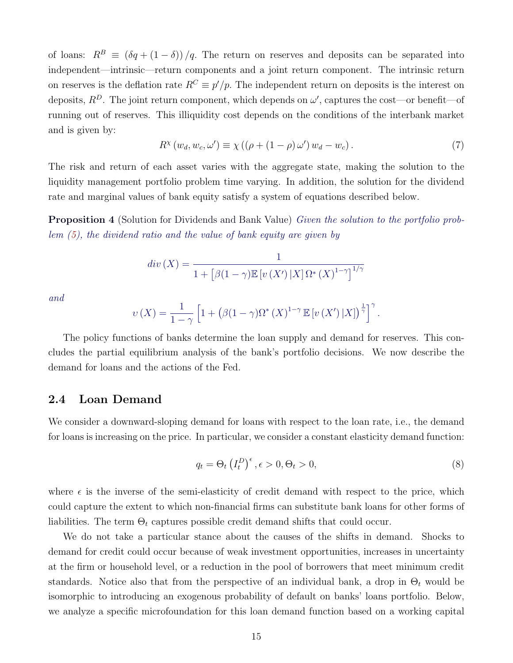of loans:  $R^B \equiv (\delta q + (1 - \delta))/q$ . The return on reserves and deposits can be separated into independent—intrinsic—return components and a joint return component. The intrinsic return on reserves is the deflation rate  $R^C \equiv p'/p$ . The independent return on deposits is the interest on deposits,  $R^D$ . The joint return component, which depends on  $\omega'$ , captures the cost—or benefit—of running out of reserves. This illiquidity cost depends on the conditions of the interbank market and is given by:

$$
R^{\chi}(w_d, w_c, \omega') \equiv \chi\left( (\rho + (1 - \rho)\,\omega')\,w_d - w_c \right). \tag{7}
$$

The risk and return of each asset varies with the aggregate state, making the solution to the liquidity management portfolio problem time varying. In addition, the solution for the dividend rate and marginal values of bank equity satisfy a system of equations described below.

<span id="page-15-1"></span>Proposition 4 (Solution for Dividends and Bank Value) Given the solution to the portfolio problem [\(5\)](#page-14-1), the dividend ratio and the value of bank equity are given by

$$
div(X) = \frac{1}{1 + \left[\beta(1-\gamma)\mathbb{E}\left[v\left(X'\right)|X\right]\Omega^*\left(X\right)^{1-\gamma}\right]^{1/\gamma}}
$$

and

$$
\upsilon(X) = \frac{1}{1-\gamma} \left[ 1 + \left( \beta(1-\gamma)\Omega^* \left( X \right)^{1-\gamma} \mathbb{E} \left[ \upsilon \left( X' \right) | X \right] \right)^{\frac{1}{\gamma}} \right]^\gamma.
$$

The policy functions of banks determine the loan supply and demand for reserves. This concludes the partial equilibrium analysis of the bank's portfolio decisions. We now describe the demand for loans and the actions of the Fed.

### 2.4 Loan Demand

We consider a downward-sloping demand for loans with respect to the loan rate, i.e., the demand for loans is increasing on the price. In particular, we consider a constant elasticity demand function:

<span id="page-15-0"></span>
$$
q_t = \Theta_t \left(I_t^D\right)^{\epsilon}, \epsilon > 0, \Theta_t > 0,
$$
\n
$$
(8)
$$

where  $\epsilon$  is the inverse of the semi-elasticity of credit demand with respect to the price, which could capture the extent to which non-financial firms can substitute bank loans for other forms of liabilities. The term  $\Theta_t$  captures possible credit demand shifts that could occur.

We do not take a particular stance about the causes of the shifts in demand. Shocks to demand for credit could occur because of weak investment opportunities, increases in uncertainty at the firm or household level, or a reduction in the pool of borrowers that meet minimum credit standards. Notice also that from the perspective of an individual bank, a drop in  $\Theta_t$  would be isomorphic to introducing an exogenous probability of default on banks' loans portfolio. Below, we analyze a specific microfoundation for this loan demand function based on a working capital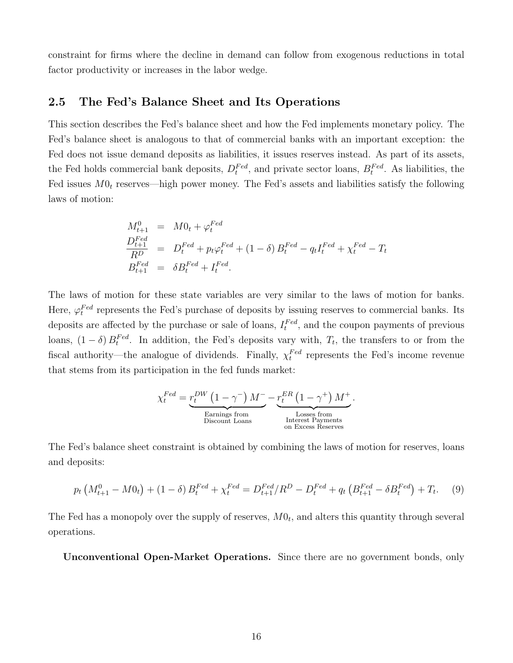constraint for firms where the decline in demand can follow from exogenous reductions in total factor productivity or increases in the labor wedge.

### 2.5 The Fed's Balance Sheet and Its Operations

This section describes the Fed's balance sheet and how the Fed implements monetary policy. The Fed's balance sheet is analogous to that of commercial banks with an important exception: the Fed does not issue demand deposits as liabilities, it issues reserves instead. As part of its assets, the Fed holds commercial bank deposits,  $D_t^{Fed}$ , and private sector loans,  $B_t^{Fed}$ . As liabilities, the Fed issues  $M0_t$  reserves—high power money. The Fed's assets and liabilities satisfy the following laws of motion:

$$
M_{t+1}^{0} = M0_{t} + \varphi_{t}^{Fed}
$$
  
\n
$$
\frac{D_{t+1}^{Fed}}{R^{D}} = D_{t}^{Fed} + p_{t}\varphi_{t}^{Fed} + (1 - \delta) B_{t}^{Fed} - q_{t}I_{t}^{Fed} + \chi_{t}^{Fed} - T_{t}
$$
  
\n
$$
B_{t+1}^{Fed} = \delta B_{t}^{Fed} + I_{t}^{Fed}.
$$

The laws of motion for these state variables are very similar to the laws of motion for banks. Here,  $\varphi_t^{Fed}$  represents the Fed's purchase of deposits by issuing reserves to commercial banks. Its deposits are affected by the purchase or sale of loans,  $I_t^{Fed}$ , and the coupon payments of previous loans,  $(1 - \delta) B_t^{Fed}$ . In addition, the Fed's deposits vary with,  $T_t$ , the transfers to or from the fiscal authority—the analogue of dividends. Finally,  $\chi_t^{Fed}$  represents the Fed's income revenue that stems from its participation in the fed funds market:

$$
\chi_t^{Fed} = \underbrace{r_t^{DW} \left(1-\gamma^{-}\right) M^{-}}_{\text{Barnings from}} - \underbrace{r_t^{ER} \left(1-\gamma^{+}\right) M^{+}}_{\text{Losses from}}_{\text{Interest Payments}} \\ \text{Discount Loss} \underbrace{\text{Losses from}}_{\text{on Excess Reserves}}
$$

.

The Fed's balance sheet constraint is obtained by combining the laws of motion for reserves, loans and deposits:

$$
p_t\left(M_{t+1}^0 - M_0\right) + (1 - \delta) B_t^{Fed} + \chi_t^{Fed} = D_{t+1}^{Fed} / R^D - D_t^{Fed} + q_t \left(B_{t+1}^{Fed} - \delta B_t^{Fed}\right) + T_t. \tag{9}
$$

The Fed has a monopoly over the supply of reserves,  $M0_t$ , and alters this quantity through several operations.

Unconventional Open-Market Operations. Since there are no government bonds, only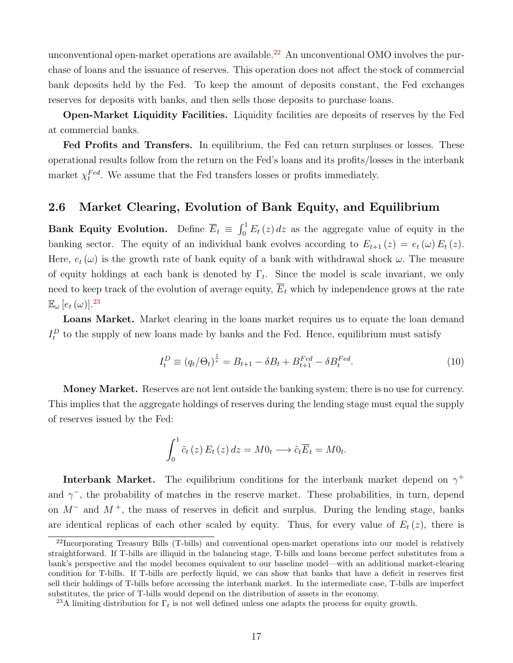unconventional open-market operations are available.<sup>[22](#page-17-0)</sup> An unconventional OMO involves the purchase of loans and the issuance of reserves. This operation does not affect the stock of commercial bank deposits held by the Fed. To keep the amount of deposits constant, the Fed exchanges reserves for deposits with banks, and then sells those deposits to purchase loans.

Open-Market Liquidity Facilities. Liquidity facilities are deposits of reserves by the Fed at commercial banks.

Fed Profits and Transfers. In equilibrium, the Fed can return surpluses or losses. These operational results follow from the return on the Fed's loans and its profits/losses in the interbank market  $\chi_t^{Fed}$ . We assume that the Fed transfers losses or profits immediately.

## 2.6 Market Clearing, Evolution of Bank Equity, and Equilibrium

Bank Equity Evolution. Define  $\overline{E}_t \equiv \int_0^1 E_t(z) dz$  as the aggregate value of equity in the banking sector. The equity of an individual bank evolves according to  $E_{t+1}(z) = e_t(\omega) E_t(z)$ . Here,  $e_t(\omega)$  is the growth rate of bank equity of a bank with withdrawal shock  $\omega$ . The measure of equity holdings at each bank is denoted by  $\Gamma_t$ . Since the model is scale invariant, we only need to keep track of the evolution of average equity,  $\overline{E}_t$  which by independence grows at the rate  $\mathbb{E}_{\omega}$   $[e_t(\omega)]^{23}$  $[e_t(\omega)]^{23}$  $[e_t(\omega)]^{23}$ 

Loans Market. Market clearing in the loans market requires us to equate the loan demand  $I_t^D$  to the supply of new loans made by banks and the Fed. Hence, equilibrium must satisfy

<span id="page-17-2"></span>
$$
I_t^D \equiv (q_t / \Theta_t)^{\frac{1}{\epsilon}} = B_{t+1} - \delta B_t + B_{t+1}^{Fed} - \delta B_t^{Fed}.
$$
 (10)

Money Market. Reserves are not lent outside the banking system; there is no use for currency. This implies that the aggregate holdings of reserves during the lending stage must equal the supply of reserves issued by the Fed:

$$
\int_0^1 \tilde{c}_t(z) E_t(z) dz = M 0_t \longrightarrow \tilde{c}_t \overline{E}_t = M 0_t.
$$

**Interbank Market.** The equilibrium conditions for the interbank market depend on  $\gamma^+$ and  $\gamma$ , the probability of matches in the reserve market. These probabilities, in turn, depend on  $M^-$  and  $M^+$ , the mass of reserves in deficit and surplus. During the lending stage, banks are identical replicas of each other scaled by equity. Thus, for every value of  $E_t(z)$ , there is

<span id="page-17-0"></span><sup>&</sup>lt;sup>22</sup>Incorporating Treasury Bills (T-bills) and conventional open-market operations into our model is relatively straightforward. If T-bills are illiquid in the balancing stage, T-bills and loans become perfect substitutes from a bank's perspective and the model becomes equivalent to our baseline model—with an additional market-clearing condition for T-bills. If T-bills are perfectly liquid, we can show that banks that have a deficit in reserves first sell their holdings of T-bills before accessing the interbank market. In the intermediate case, T-bills are imperfect substitutes, the price of T-bills would depend on the distribution of assets in the economy.

<span id="page-17-1"></span><sup>&</sup>lt;sup>23</sup>A limiting distribution for  $\Gamma_t$  is not well defined unless one adapts the process for equity growth.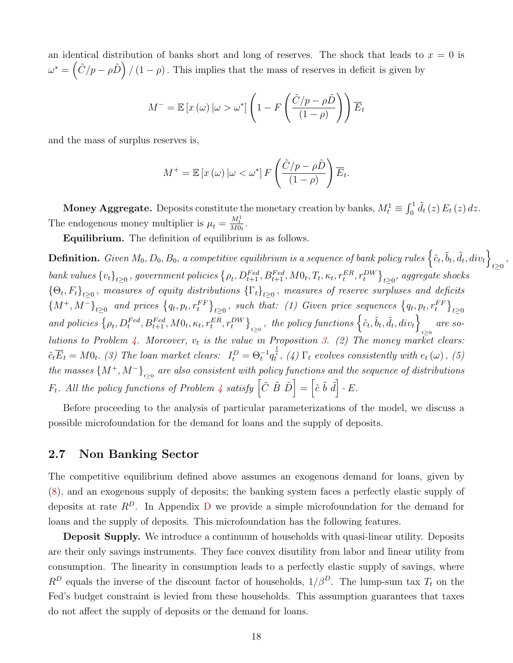an identical distribution of banks short and long of reserves. The shock that leads to  $x = 0$  is  $\omega^* = \left(\tilde{C}/p - \rho \tilde{D}\right) / (1 - \rho)$ . This implies that the mass of reserves in deficit is given by

$$
M^{-} = \mathbb{E}\left[x\left(\omega\right)|\omega > \omega^*\right] \left(1 - F\left(\frac{\tilde{C}/p - \rho\tilde{D}}{\left(1 - \rho\right)}\right)\right)\overline{E}_t
$$

and the mass of surplus reserves is,

$$
M^{+} = \mathbb{E}\left[x\left(\omega\right)|\omega < \omega^{*}\right]F\left(\frac{\tilde{C}/p - \rho\tilde{D}}{\left(1 - \rho\right)}\right)\overline{E}_{t}.
$$

**Money Aggregate.** Deposits constitute the monetary creation by banks,  $M_t^1 \equiv \int_0^1 \tilde{d}_t(z) E_t(z) dz$ . The endogenous money multiplier is  $\mu_t = \frac{M_t^1}{M0_t}$ .

Equilibrium. The definition of equilibrium is as follows.

**Definition.** Given  $M_0, D_0, B_0$ , a competitive equilibrium is a sequence of bank policy rules  $\left\{ \tilde{c}_t, \tilde{b}_t, \tilde{d}_t, div_t \right\}$  $t \geq 0$ <sup>,</sup>  $\{v_t\}_{t\geq 0}$ , government policies  $\{\rho_t, D_{t+1}^{Fed}, B_{t+1}^{Fed}, M0_t, T_t, \kappa_t, r_t^{ER}, r_t^{DW}\}_{t\geq 0}$ , aggregate shocks  $\{\Theta_t, F_t\}_{t\geq 0}$ , measures of equity distributions  $\{\Gamma_t\}_{t\geq 0}$ , measures of reserve surpluses and deficits  ${M^+, M^-\}_{t\geq 0}$  and prices  ${q_t, p_t, r_t^{FF}}_{t\geq 0}$ , such that: (1) Given price sequences  ${q_t, p_t, r_t^{FF}}_{t\geq 0}$ and policies  $\left\{\rho_t, D_t^{Fed}, B_{t+1}^{Fed}, MO_t, \kappa_t, r_t^{ER}, r_t^{DW}\right\}_{t\geq0}$ , the policy functions  $\left\{\tilde{c}_t, \tilde{b}_t, \tilde{d}_t, div_t\right\}_{t\geq0}$  are so-lutions to Problem [4.](#page-12-0) Moreover,  $v_t$  is the value in Proposition [3.](#page-14-2) (2) The money market clears:  $\tilde{c}_t \overline{E}_t = M0_t$ . (3) The loan market clears:  $I_t^D = \Theta_t^{-1} q_t^{\frac{1}{\epsilon}}$ , (4)  $\Gamma_t$  evolves consistently with  $e_t(\omega)$ , (5) the masses  $\{M^+,M^-\}_{t\geq 0}$  are also consistent with policy functions and the sequence of distributions  $F_t$ . All the policy functions of Problem [4](#page-12-0) satisfy  $\left[\tilde{C} \,\tilde{B} \,\tilde{D}\right] = \left[\tilde{c} \,\tilde{b} \,\tilde{d}\right] \cdot E$ .

Before proceeding to the analysis of particular parameterizations of the model, we discuss a possible microfoundation for the demand for loans and the supply of deposits.

### 2.7 Non Banking Sector

The competitive equilibrium defined above assumes an exogenous demand for loans, given by [\(8\)](#page-15-0), and an exogenous supply of deposits; the banking system faces a perfectly elastic supply of deposits at rate  $R^D$  $R^D$ . In Appendix D we provide a simple microfoundation for the demand for loans and the supply of deposits. This microfoundation has the following features.

Deposit Supply. We introduce a continuum of households with quasi-linear utility. Deposits are their only savings instruments. They face convex disutility from labor and linear utility from consumption. The linearity in consumption leads to a perfectly elastic supply of savings, where  $R^D$  equals the inverse of the discount factor of households,  $1/\beta^D$ . The lump-sum tax  $T_t$  on the Fed's budget constraint is levied from these households. This assumption guarantees that taxes do not affect the supply of deposits or the demand for loans.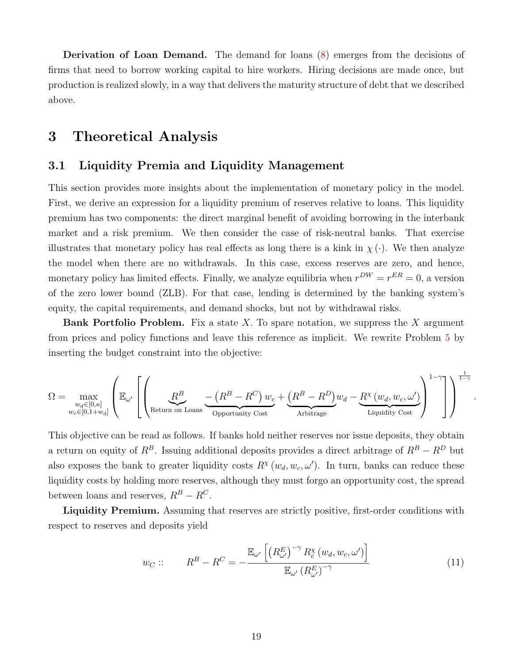Derivation of Loan Demand. The demand for loans [\(8\)](#page-15-0) emerges from the decisions of firms that need to borrow working capital to hire workers. Hiring decisions are made once, but production is realized slowly, in a way that delivers the maturity structure of debt that we described above.

# <span id="page-19-0"></span>3 Theoretical Analysis

### 3.1 Liquidity Premia and Liquidity Management

This section provides more insights about the implementation of monetary policy in the model. First, we derive an expression for a liquidity premium of reserves relative to loans. This liquidity premium has two components: the direct marginal benefit of avoiding borrowing in the interbank market and a risk premium. We then consider the case of risk-neutral banks. That exercise illustrates that monetary policy has real effects as long there is a kink in  $\chi(\cdot)$ . We then analyze the model when there are no withdrawals. In this case, excess reserves are zero, and hence, monetary policy has limited effects. Finally, we analyze equilibria when  $r^{DW} = r^{ER} = 0$ , a version of the zero lower bound (ZLB). For that case, lending is determined by the banking system's equity, the capital requirements, and demand shocks, but not by withdrawal risks.

**Bank Portfolio Problem.** Fix a state X. To spare notation, we suppress the X argument from prices and policy functions and leave this reference as implicit. We rewrite Problem [5](#page-14-1) by inserting the budget constraint into the objective:

$$
\Omega = \max_{\substack{w_d \in [0,\kappa] \\ w_c \in [0,1+w_d]}} \left( \mathbb{E}_{\omega'} \left[ \left( \underbrace{R^B}{\text{Return on Loss}} \underbrace{-\left( R^B - R^C \right) w_c + \underbrace{\left( R^B - R^D \right)}_{\text{Arbitrage}} w_d - \underbrace{R^\chi \left( w_d, w_c, \omega' \right)}_{\text{Liquidity Cost}} \right)^{1-\gamma} \right] \right)^{\frac{1}{1-\gamma}}
$$

This objective can be read as follows. If banks hold neither reserves nor issue deposits, they obtain a return on equity of  $R^B$ . Issuing additional deposits provides a direct arbitrage of  $R^B - R^D$  but also exposes the bank to greater liquidity costs  $R^{\chi}(w_d, w_c, \omega')$ . In turn, banks can reduce these liquidity costs by holding more reserves, although they must forgo an opportunity cost, the spread between loans and reserves,  $R^B - R^C$ .

Liquidity Premium. Assuming that reserves are strictly positive, first-order conditions with respect to reserves and deposits yield

<span id="page-19-1"></span>
$$
w_C :: R^B - R^C = -\frac{\mathbb{E}_{\omega'}\left[ \left( R^E_{\omega'} \right)^{-\gamma} R^{\chi}_c \left( w_d, w_c, \omega' \right) \right]}{\mathbb{E}_{\omega'} \left( R^E_{\omega'} \right)^{-\gamma}}
$$
(11)

.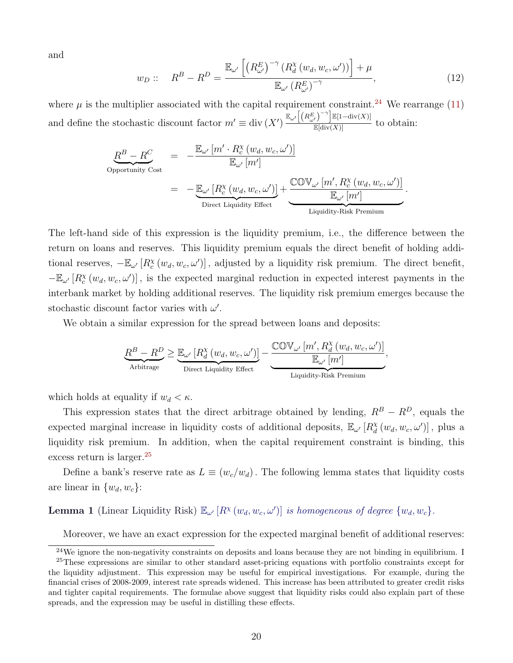and

$$
w_D :: R^B - R^D = \frac{\mathbb{E}_{\omega'}\left[ \left( R^E_{\omega'} \right)^{-\gamma} \left( R^{\chi}_{d} \left( w_d, w_c, \omega' \right) \right) \right] + \mu}{\mathbb{E}_{\omega'} \left( R^E_{\omega'} \right)^{-\gamma}}, \tag{12}
$$

where  $\mu$  is the multiplier associated with the capital requirement constraint.<sup>[24](#page-20-0)</sup> We rearrange [\(11\)](#page-19-1) and define the stochastic discount factor  $m' \equiv \text{div}(X') \frac{\mathbb{E}_{\omega'}[(R_{\omega'}^E)^{-\gamma}]\mathbb{E}[1-\text{div}(X)]}{\mathbb{E}[\text{div}(X)]}$  to obtain:

$$
\underbrace{R^{B} - R^{C}}_{\text{Oportunity Cost}} = -\frac{\mathbb{E}_{\omega'} [m' \cdot R_{c}^{\chi}(w_{d}, w_{c}, \omega')] }{\mathbb{E}_{\omega'} [m']}
$$
\n
$$
= -\underbrace{\mathbb{E}_{\omega'} [R_{c}^{\chi}(w_{d}, w_{c}, \omega')] }_{\text{Direct Liquidity Effect}} + \underbrace{\mathbb{COV}_{\omega'} [m', R_{c}^{\chi}(w_{d}, w_{c}, \omega')] }_{\text{Liquidity-Risk Premium}}.
$$

The left-hand side of this expression is the liquidity premium, i.e., the difference between the return on loans and reserves. This liquidity premium equals the direct benefit of holding additional reserves,  $-\mathbb{E}_{\omega'}[R_c^{\chi}(w_d, w_c, \omega')]$ , adjusted by a liquidity risk premium. The direct benefit,  $-\mathbb{E}_{\omega'}[R_c^{\chi}(w_d, w_c, \omega')]$ , is the expected marginal reduction in expected interest payments in the interbank market by holding additional reserves. The liquidity risk premium emerges because the stochastic discount factor varies with  $\omega'$ .

We obtain a similar expression for the spread between loans and deposits:

$$
\underbrace{R^B - R^D}_{\text{Arbitrage}} \geq \underbrace{\mathbb{E}_{\omega'} \left[ R_d^{\chi} \left( w_d, w_c, \omega' \right) \right]}_{\text{Direct Liquidity Effect}} - \underbrace{\underbrace{\text{COV}_{\omega'} \left[ m', R_d^{\chi} \left( w_d, w_c, \omega' \right) \right]}_{\text{Liquidity-Risk Premium}},
$$

which holds at equality if  $w_d < \kappa$ .

This expression states that the direct arbitrage obtained by lending,  $R^B - R^D$ , equals the expected marginal increase in liquidity costs of additional deposits,  $\mathbb{E}_{\omega}$  [ $R_d^{\chi}$ ]  $\frac{\chi}{d}(w_d, w_c, \omega')$ , plus a liquidity risk premium. In addition, when the capital requirement constraint is binding, this excess return is larger.<sup>[25](#page-20-1)</sup>

Define a bank's reserve rate as  $L \equiv (w_c/w_d)$ . The following lemma states that liquidity costs are linear in  $\{w_d, w_c\}$ :

<span id="page-20-2"></span>**Lemma 1** (Linear Liquidity Risk)  $\mathbb{E}_{\omega'}[R^{\chi}(w_d, w_c, \omega')]$  is homogeneous of degree  $\{w_d, w_c\}$ .

<span id="page-20-0"></span>Moreover, we have an exact expression for the expected marginal benefit of additional reserves:

<span id="page-20-1"></span> $^{24}$ We ignore the non-negativity constraints on deposits and loans because they are not binding in equilibrium. I <sup>25</sup>These expressions are similar to other standard asset-pricing equations with portfolio constraints except for the liquidity adjustment. This expression may be useful for empirical investigations. For example, during the financial crises of 2008-2009, interest rate spreads widened. This increase has been attributed to greater credit risks and tighter capital requirements. The formulae above suggest that liquidity risks could also explain part of these spreads, and the expression may be useful in distilling these effects.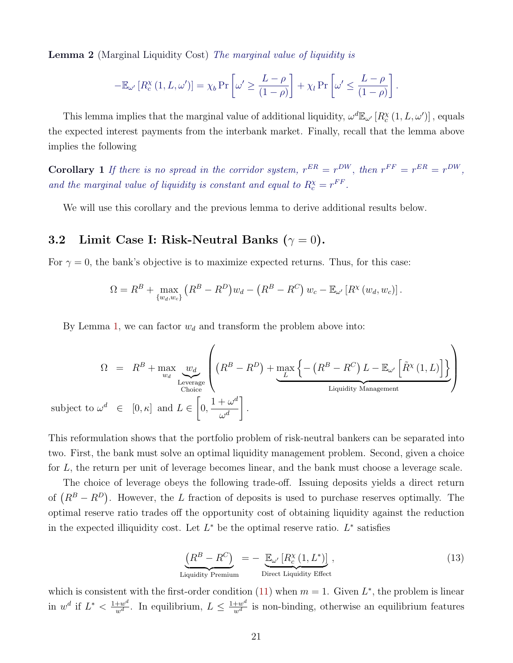**Lemma 2** (Marginal Liquidity Cost) The marginal value of liquidity is

$$
-\mathbb{E}_{\omega'}\left[R_c^{\chi}(1, L, \omega')\right] = \chi_b \Pr\left[\omega' \ge \frac{L-\rho}{(1-\rho)}\right] + \chi_l \Pr\left[\omega' \le \frac{L-\rho}{(1-\rho)}\right].
$$

This lemma implies that the marginal value of additional liquidity,  $\omega^d \mathbb{E}_{\omega'} [R_c^{\chi}(1, L, \omega')]$ , equals the expected interest payments from the interbank market. Finally, recall that the lemma above implies the following

**Corollary** 1 If there is no spread in the corridor system,  $r^{ER} = r^{DW}$ , then  $r^{FF} = r^{ER} = r^{DW}$ , and the marginal value of liquidity is constant and equal to  $R_c^{\chi} = r^{FF}$ .

We will use this corollary and the previous lemma to derive additional results below.

### 3.2 Limit Case I: Risk-Neutral Banks ( $\gamma = 0$ ).

For  $\gamma = 0$ , the bank's objective is to maximize expected returns. Thus, for this case:

$$
\Omega = R^B + \max_{\{w_d, w_c\}} (R^B - R^D) w_d - (R^B - R^C) w_c - \mathbb{E}_{\omega'} [R^{\chi}(w_d, w_c)].
$$

By Lemma [1,](#page-20-2) we can factor  $w_d$  and transform the problem above into:

$$
\Omega = R^{B} + \max_{w_d} \underbrace{w_d}_{\text{Leverage}} \left( (R^{B} - R^{D}) + \underbrace{\max_{L} \left\{ - (R^{B} - R^{C}) L - \mathbb{E}_{\omega'} \left[ \tilde{R}^{X} (1, L) \right] \right\}}_{\text{Liquidity Management}} \right)
$$
\nsubject to 
$$
\omega^d \in [0, \kappa]
$$
 and 
$$
L \in \left[ 0, \frac{1 + \omega^d}{\omega^d} \right].
$$

This reformulation shows that the portfolio problem of risk-neutral bankers can be separated into two. First, the bank must solve an optimal liquidity management problem. Second, given a choice for L, the return per unit of leverage becomes linear, and the bank must choose a leverage scale.

The choice of leverage obeys the following trade-off. Issuing deposits yields a direct return of  $(R^B - R^D)$ . However, the L fraction of deposits is used to purchase reserves optimally. The optimal reserve ratio trades off the opportunity cost of obtaining liquidity against the reduction in the expected illiquidity cost. Let  $L^*$  be the optimal reserve ratio.  $L^*$  satisfies

<span id="page-21-0"></span>
$$
\underbrace{\left(R^{B} - R^{C}\right)}_{\text{Liquidity Premium}} = - \underbrace{\mathbb{E}_{\omega'}\left[R_{c}^{\chi}\left(1, L^{*}\right)\right]}_{\text{Direct Liquidity Effect}},\tag{13}
$$

which is consistent with the first-order condition [\(11\)](#page-19-1) when  $m = 1$ . Given  $L^*$ , the problem is linear in  $w^d$  if  $L^* < \frac{1+w^d}{w^d}$ . In equilibrium,  $L \leq \frac{1+w^d}{w^d}$  is non-binding, otherwise an equilibrium features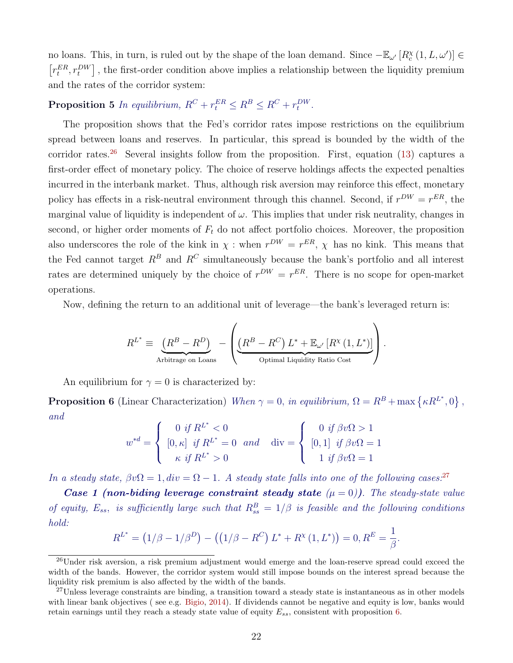no loans. This, in turn, is ruled out by the shape of the loan demand. Since  $-\mathbb{E}_{\omega'}[R_c^{\chi}(1,L,\omega')] \in$  $[r_t^{ER}, r_t^{DW}]$ , the first-order condition above implies a relationship between the liquidity premium and the rates of the corridor system:

**Proposition 5** In equilibrium,  $R^C + r_t^{ER} \leq R^B \leq R^C + r_t^{DW}$ .

The proposition shows that the Fed's corridor rates impose restrictions on the equilibrium spread between loans and reserves. In particular, this spread is bounded by the width of the corridor rates.<sup>[26](#page-22-0)</sup> Several insights follow from the proposition. First, equation [\(13\)](#page-21-0) captures a first-order effect of monetary policy. The choice of reserve holdings affects the expected penalties incurred in the interbank market. Thus, although risk aversion may reinforce this effect, monetary policy has effects in a risk-neutral environment through this channel. Second, if  $r^{DW} = r^{ER}$ , the marginal value of liquidity is independent of  $\omega$ . This implies that under risk neutrality, changes in second, or higher order moments of  $F_t$  do not affect portfolio choices. Moreover, the proposition also underscores the role of the kink in  $\chi$ : when  $r^{DW} = r^{ER}$ ,  $\chi$  has no kink. This means that the Fed cannot target  $R^B$  and  $R^C$  simultaneously because the bank's portfolio and all interest rates are determined uniquely by the choice of  $r^{DW} = r^{ER}$ . There is no scope for open-market operations.

Now, defining the return to an additional unit of leverage—the bank's leveraged return is:

$$
R^{L^*} \equiv \underbrace{(R^B - R^D)}_{\text{Arbitrage on Loans}} - \left( \underbrace{(R^B - R^C) L^* + \mathbb{E}_{\omega'} \left[ R^{\chi} \left( 1, L^* \right) \right]}_{\text{Optimal Liquidity Ratio Cost}} \right).
$$

An equilibrium for  $\gamma = 0$  is characterized by:

<span id="page-22-2"></span>**Proposition 6** (Linear Characterization) When  $\gamma = 0$ , in equilibrium,  $\Omega = R^B + \max \{ \kappa R^{L^*}, 0 \}$ , and

$$
w^{*d} = \begin{cases} 0 & \text{if } R^{L^*} < 0\\ [0, \kappa] & \text{if } R^{L^*} = 0 \quad \text{and} \quad \text{div} = \begin{cases} 0 & \text{if } \beta v \Omega > 1\\ [0, 1] & \text{if } \beta v \Omega = 1\\ 1 & \text{if } \beta v \Omega = 1 \end{cases} \end{cases}
$$

In a steady state,  $\beta v \Omega = 1$ ,  $div = \Omega - 1$ . A steady state falls into one of the following cases.<sup>[27](#page-22-1)</sup>

**Case 1 (non-biding leverage constraint steady state**  $(\mu = 0)$ ). The steady-state value of equity,  $E_{ss}$ , is sufficiently large such that  $R_{ss}^B = 1/\beta$  is feasible and the following conditions hold:

$$
R^{L^*} = (1/\beta - 1/\beta^D) - ((1/\beta - R^C) L^* + R^{\chi}(1, L^*)) = 0, R^E = \frac{1}{\beta}.
$$

<span id="page-22-0"></span> $^{26}$ Under risk aversion, a risk premium adjustment would emerge and the loan-reserve spread could exceed the width of the bands. However, the corridor system would still impose bounds on the interest spread because the liquidity risk premium is also affected by the width of the bands.

<span id="page-22-1"></span> $^{27}$ Unless leverage constraints are binding, a transition toward a steady state is instantaneous as in other models with linear bank objectives (see e.g. [Bigio,](#page-46-10) [2014\)](#page-46-10). If dividends cannot be negative and equity is low, banks would retain earnings until they reach a steady state value of equity  $E_{ss}$ , consistent with proposition [6.](#page-22-2)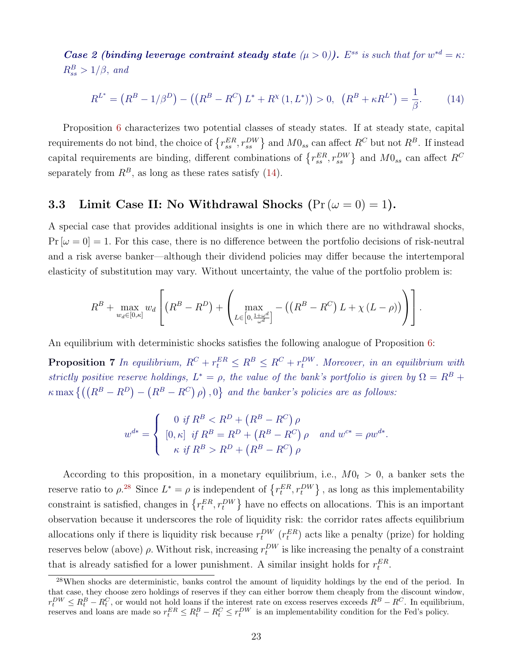**Case 2 (binding leverage contraint steady state**  $(\mu > 0)$ ). E<sup>ss</sup> is such that for  $w^{*d} = \kappa$ :  $R_{ss}^B > 1/\beta$ , and

<span id="page-23-0"></span>
$$
R^{L^*} = (R^B - 1/\beta^D) - ((R^B - R^C) L^* + R^\chi(1, L^*)) > 0, \ \ (R^B + \kappa R^{L^*}) = \frac{1}{\beta}.
$$
 (14)

Proposition [6](#page-22-2) characterizes two potential classes of steady states. If at steady state, capital requirements do not bind, the choice of  $\{r_{ss}^{ER}, r_{ss}^{DW}\}\$  and  $M0_{ss}$  can affect  $R^C$  but not  $R^B$ . If instead capital requirements are binding, different combinations of  $\{r_{ss}^{ER}, r_{ss}^{DW}\}\$  and  $M0_{ss}$  can affect  $R^C$ separately from  $R^B$ , as long as these rates satisfy [\(14\)](#page-23-0).

## 3.3 Limit Case II: No Withdrawal Shocks  $(\Pr(\omega = 0) = 1)$ .

A special case that provides additional insights is one in which there are no withdrawal shocks,  $Pr[\omega = 0] = 1$ . For this case, there is no difference between the portfolio decisions of risk-neutral and a risk averse banker—although their dividend policies may differ because the intertemporal elasticity of substitution may vary. Without uncertainty, the value of the portfolio problem is:

$$
R^{B} + \max_{w_d \in [0,\kappa]} w_d \left[ \left( R^{B} - R^{D} \right) + \left( \max_{L \in \left[ 0, \frac{1 + \omega^d}{\omega^d} \right]} - \left( \left( R^{B} - R^{C} \right) L + \chi \left( L - \rho \right) \right) \right) \right].
$$

An equilibrium with deterministic shocks satisfies the following analogue of Proposition [6:](#page-22-2)

**Proposition 7** In equilibrium,  $R^C + r_t^{ER} \leq R^B \leq R^C + r_t^{DW}$ . Moreover, in an equilibrium with strictly positive reserve holdings,  $L^* = \rho$ , the value of the bank's portfolio is given by  $\Omega = R^B +$  $\kappa \max \left\{ \left( (R^B - R^D) - (R^B - R^C) \rho \right), 0 \right\}$  and the banker's policies are as follows:

$$
w^{d*} = \begin{cases} 0 & \text{if } R^B < R^D + (R^B - R^C) \, \rho \\ [0, \kappa] & \text{if } R^B = R^D + (R^B - R^C) \, \rho \\ \kappa & \text{if } R^B > R^D + (R^B - R^C) \, \rho \end{cases} \quad \text{and } w^{c*} = \rho w^{d*}.
$$

According to this proposition, in a monetary equilibrium, i.e.,  $M0_t > 0$ , a banker sets the reserve ratio to  $\rho^{28}$  $\rho^{28}$  $\rho^{28}$  Since  $L^* = \rho$  is independent of  $\{r_t^{ER}, r_t^{DW}\}\$ , as long as this implementability constraint is satisfied, changes in  $\{r_t^{ER}, r_t^{DW}\}\$  have no effects on allocations. This is an important observation because it underscores the role of liquidity risk: the corridor rates affects equilibrium allocations only if there is liquidity risk because  $r_t^{DW}$  ( $r_t^{ER}$ ) acts like a penalty (prize) for holding reserves below (above)  $\rho$ . Without risk, increasing  $r_t^{DW}$  is like increasing the penalty of a constraint that is already satisfied for a lower punishment. A similar insight holds for  $r_t^{ER}$ .

<span id="page-23-1"></span><sup>&</sup>lt;sup>28</sup>When shocks are deterministic, banks control the amount of liquidity holdings by the end of the period. In that case, they choose zero holdings of reserves if they can either borrow them cheaply from the discount window,  $r_t^{DW} \leq R_t^B - R_t^C$ , or would not hold loans if the interest rate on excess reserves exceeds  $R^B - R^C$ . In equilibrium, reserves and loans are made so  $r_t^{ER} \leq R_t^B - R_t^C \leq r_t^{DW}$  is an implementability condition for the Fed's policy.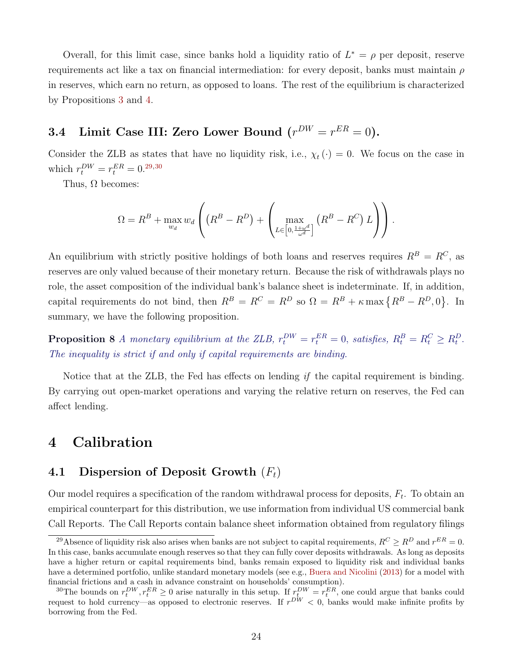Overall, for this limit case, since banks hold a liquidity ratio of  $L^* = \rho$  per deposit, reserve requirements act like a tax on financial intermediation: for every deposit, banks must maintain  $\rho$ in reserves, which earn no return, as opposed to loans. The rest of the equilibrium is characterized by Propositions [3](#page-14-2) and [4.](#page-15-1)

# 3.4 Limit Case III: Zero Lower Bound  $(r^{DW} = r^{ER} = 0)$ .

Consider the ZLB as states that have no liquidity risk, i.e.,  $\chi_t(\cdot) = 0$ . We focus on the case in which  $r_t^{DW} = r_t^{ER} = 0^{29,30}$  $r_t^{DW} = r_t^{ER} = 0^{29,30}$  $r_t^{DW} = r_t^{ER} = 0^{29,30}$  $r_t^{DW} = r_t^{ER} = 0^{29,30}$  $r_t^{DW} = r_t^{ER} = 0^{29,30}$ 

Thus,  $\Omega$  becomes:

$$
\Omega = R^{B} + \max_{w_d} w_d \left( \left( R^{B} - R^{D} \right) + \left( \max_{L \in \left[0, \frac{1 + \omega^d}{\omega^d} \right]} \left( R^{B} - R^{C} \right) L \right) \right).
$$

An equilibrium with strictly positive holdings of both loans and reserves requires  $R^B = R^C$ , as reserves are only valued because of their monetary return. Because the risk of withdrawals plays no role, the asset composition of the individual bank's balance sheet is indeterminate. If, in addition, capital requirements do not bind, then  $R^B = R^C = R^D$  so  $\Omega = R^B + \kappa \max \{R^B - R^D, 0\}$ . In summary, we have the following proposition.

**Proposition 8** A monetary equilibrium at the ZLB,  $r_t^{DW} = r_t^{ER} = 0$ , satisfies,  $R_t^B = R_t^C \ge R_t^D$ . The inequality is strict if and only if capital requirements are binding.

Notice that at the ZLB, the Fed has effects on lending if the capital requirement is binding. By carrying out open-market operations and varying the relative return on reserves, the Fed can affect lending.

# <span id="page-24-0"></span>4 Calibration

### 4.1 Dispersion of Deposit Growth  $(F_t)$

Our model requires a specification of the random withdrawal process for deposits,  $F_t$ . To obtain an empirical counterpart for this distribution, we use information from individual US commercial bank Call Reports. The Call Reports contain balance sheet information obtained from regulatory filings

<span id="page-24-1"></span><sup>&</sup>lt;sup>29</sup>Absence of liquidity risk also arises when banks are not subject to capital requirements,  $R^C \ge R^D$  and  $r^{ER} = 0$ . In this case, banks accumulate enough reserves so that they can fully cover deposits withdrawals. As long as deposits have a higher return or capital requirements bind, banks remain exposed to liquidity risk and individual banks have a determined portfolio, unlike standard monetary models (see e.g., [Buera and Nicolini](#page-47-12) [\(2013\)](#page-47-12) for a model with financial frictions and a cash in advance constraint on households' consumption).

<span id="page-24-2"></span><sup>&</sup>lt;sup>30</sup>The bounds on  $r_t^{DW}, r_t^{ER} \ge 0$  arise naturally in this setup. If  $r_t^{DW} = r_t^{ER}$ , one could argue that banks could request to hold currency—as opposed to electronic reserves. If  $r^{DW} < 0$ , banks would make infinite profits by borrowing from the Fed.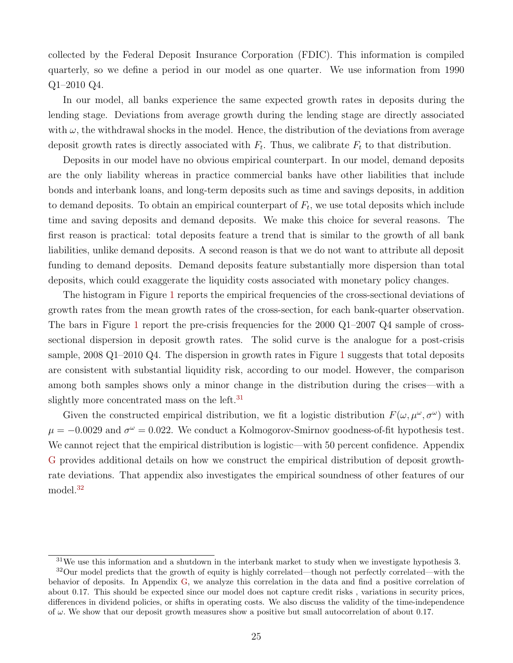collected by the Federal Deposit Insurance Corporation (FDIC). This information is compiled quarterly, so we define a period in our model as one quarter. We use information from 1990 Q1–2010 Q4.

In our model, all banks experience the same expected growth rates in deposits during the lending stage. Deviations from average growth during the lending stage are directly associated with  $\omega$ , the withdrawal shocks in the model. Hence, the distribution of the deviations from average deposit growth rates is directly associated with  $F_t$ . Thus, we calibrate  $F_t$  to that distribution.

Deposits in our model have no obvious empirical counterpart. In our model, demand deposits are the only liability whereas in practice commercial banks have other liabilities that include bonds and interbank loans, and long-term deposits such as time and savings deposits, in addition to demand deposits. To obtain an empirical counterpart of  $F_t$ , we use total deposits which include time and saving deposits and demand deposits. We make this choice for several reasons. The first reason is practical: total deposits feature a trend that is similar to the growth of all bank liabilities, unlike demand deposits. A second reason is that we do not want to attribute all deposit funding to demand deposits. Demand deposits feature substantially more dispersion than total deposits, which could exaggerate the liquidity costs associated with monetary policy changes.

The histogram in Figure [1](#page-26-0) reports the empirical frequencies of the cross-sectional deviations of growth rates from the mean growth rates of the cross-section, for each bank-quarter observation. The bars in Figure [1](#page-26-0) report the pre-crisis frequencies for the  $2000 \text{ Q1}-2007 \text{ Q4}$  sample of crosssectional dispersion in deposit growth rates. The solid curve is the analogue for a post-crisis sample, 2008 Q1–2010 Q4. The dispersion in growth rates in Figure [1](#page-26-0) suggests that total deposits are consistent with substantial liquidity risk, according to our model. However, the comparison among both samples shows only a minor change in the distribution during the crises—with a slightly more concentrated mass on the left.<sup>[31](#page-25-0)</sup>

Given the constructed empirical distribution, we fit a logistic distribution  $F(\omega, \mu^{\omega}, \sigma^{\omega})$  with  $\mu = -0.0029$  and  $\sigma^{\omega} = 0.022$ . We conduct a Kolmogorov-Smirnov goodness-of-fit hypothesis test. We cannot reject that the empirical distribution is logistic—with 50 percent confidence. Appendix [G](#page-72-0) provides additional details on how we construct the empirical distribution of deposit growthrate deviations. That appendix also investigates the empirical soundness of other features of our model.<sup>[32](#page-25-1)</sup>

<span id="page-25-1"></span><span id="page-25-0"></span> $31\,\text{We}$  use this information and a shutdown in the interbank market to study when we investigate hypothesis 3.

<sup>&</sup>lt;sup>32</sup>Our model predicts that the growth of equity is highly correlated—though not perfectly correlated—with the behavior of deposits. In Appendix [G,](#page-72-0) we analyze this correlation in the data and find a positive correlation of about 0.17. This should be expected since our model does not capture credit risks , variations in security prices, differences in dividend policies, or shifts in operating costs. We also discuss the validity of the time-independence of  $\omega$ . We show that our deposit growth measures show a positive but small autocorrelation of about 0.17.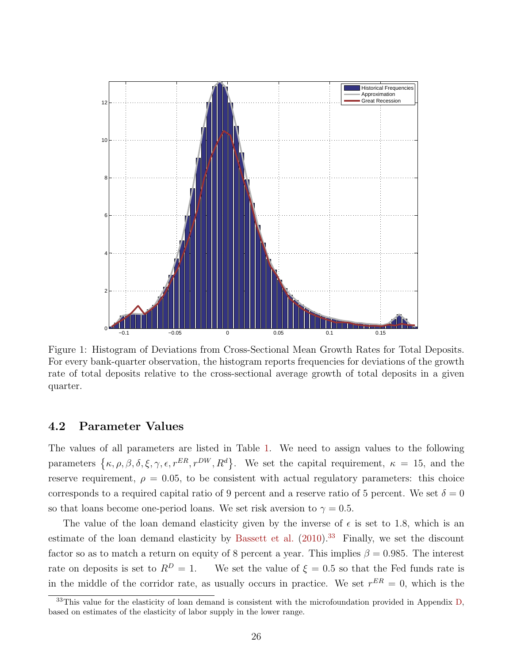<span id="page-26-0"></span>

Figure 1: Histogram of Deviations from Cross-Sectional Mean Growth Rates for Total Deposits. For every bank-quarter observation, the histogram reports frequencies for deviations of the growth rate of total deposits relative to the cross-sectional average growth of total deposits in a given quarter.

### 4.2 Parameter Values

The values of all parameters are listed in Table [1.](#page-27-0) We need to assign values to the following parameters  $\{\kappa, \rho, \beta, \delta, \xi, \gamma, \epsilon, r^{ER}, r^{DW}, R^d\}$ . We set the capital requirement,  $\kappa = 15$ , and the reserve requirement,  $\rho = 0.05$ , to be consistent with actual regulatory parameters: this choice corresponds to a required capital ratio of 9 percent and a reserve ratio of 5 percent. We set  $\delta = 0$ so that loans become one-period loans. We set risk aversion to  $\gamma = 0.5$ .

The value of the loan demand elasticity given by the inverse of  $\epsilon$  is set to 1.8, which is an estimate of the loan demand elasticity by [Bassett et al.](#page-46-11)  $(2010).^{33}$  $(2010).^{33}$  $(2010).^{33}$  $(2010).^{33}$  Finally, we set the discount factor so as to match a return on equity of 8 percent a year. This implies  $\beta = 0.985$ . The interest rate on deposits is set to  $R^D = 1$ . We set the value of  $\xi = 0.5$  so that the Fed funds rate is in the middle of the corridor rate, as usually occurs in practice. We set  $r^{ER} = 0$ , which is the

<span id="page-26-1"></span><sup>&</sup>lt;sup>33</sup>This value for the elasticity of loan demand is consistent with the microfoundation provided in Appendix [D,](#page-60-0) based on estimates of the elasticity of labor supply in the lower range.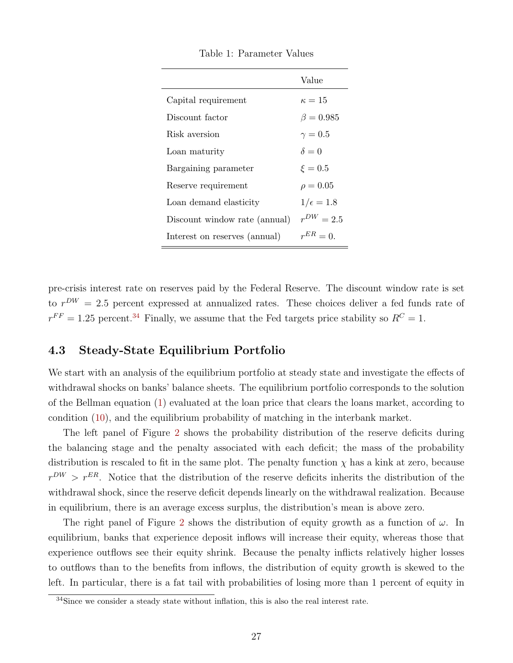<span id="page-27-0"></span>

|                               | Value            |
|-------------------------------|------------------|
| Capital requirement           | $\kappa=15$      |
| Discount factor               | $\beta = 0.985$  |
| Risk aversion                 | $\gamma=0.5$     |
| Loan maturity                 | $\delta = 0$     |
| Bargaining parameter          | $\xi = 0.5$      |
| Reserve requirement           | $\rho = 0.05$    |
| Loan demand elasticity        | $1/\epsilon=1.8$ |
| Discount window rate (annual) | $r^{DW} = 2.5$   |
| Interest on reserves (annual) | $r^{ER}=0$       |

Table 1: Parameter Values

pre-crisis interest rate on reserves paid by the Federal Reserve. The discount window rate is set to  $r^{DW} = 2.5$  percent expressed at annualized rates. These choices deliver a fed funds rate of  $r^{FF} = 1.25$  percent.<sup>[34](#page-27-1)</sup> Finally, we assume that the Fed targets price stability so  $R^C = 1$ .

### 4.3 Steady-State Equilibrium Portfolio

We start with an analysis of the equilibrium portfolio at steady state and investigate the effects of withdrawal shocks on banks' balance sheets. The equilibrium portfolio corresponds to the solution of the Bellman equation [\(1\)](#page-13-3) evaluated at the loan price that clears the loans market, according to condition [\(10\)](#page-17-2), and the equilibrium probability of matching in the interbank market.

The left panel of Figure [2](#page-28-0) shows the probability distribution of the reserve deficits during the balancing stage and the penalty associated with each deficit; the mass of the probability distribution is rescaled to fit in the same plot. The penalty function  $\chi$  has a kink at zero, because  $r^{DW} > r^{ER}$ . Notice that the distribution of the reserve deficits inherits the distribution of the withdrawal shock, since the reserve deficit depends linearly on the withdrawal realization. Because in equilibrium, there is an average excess surplus, the distribution's mean is above zero.

The right panel of Figure [2](#page-28-0) shows the distribution of equity growth as a function of  $\omega$ . In equilibrium, banks that experience deposit inflows will increase their equity, whereas those that experience outflows see their equity shrink. Because the penalty inflicts relatively higher losses to outflows than to the benefits from inflows, the distribution of equity growth is skewed to the left. In particular, there is a fat tail with probabilities of losing more than 1 percent of equity in

<span id="page-27-1"></span> $34$ Since we consider a steady state without inflation, this is also the real interest rate.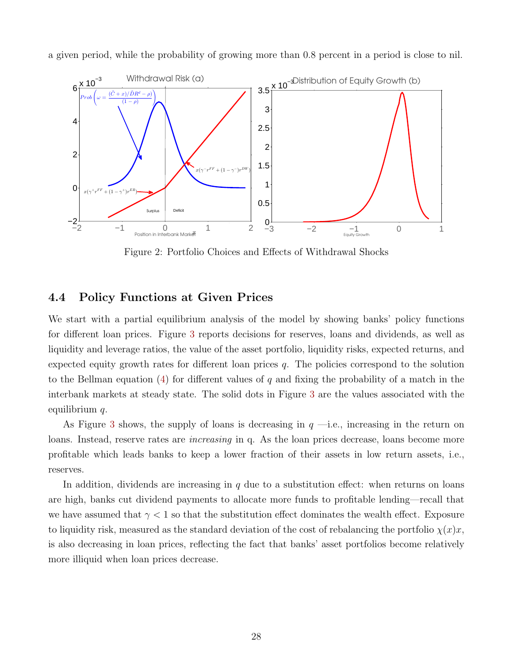<span id="page-28-0"></span>

a given period, while the probability of growing more than 0.8 percent in a period is close to nil.

Figure 2: Portfolio Choices and Effects of Withdrawal Shocks

## 4.4 Policy Functions at Given Prices

We start with a partial equilibrium analysis of the model by showing banks' policy functions for different loan prices. Figure [3](#page-29-1) reports decisions for reserves, loans and dividends, as well as liquidity and leverage ratios, the value of the asset portfolio, liquidity risks, expected returns, and expected equity growth rates for different loan prices  $q$ . The policies correspond to the solution to the Bellman equation  $(4)$  for different values of q and fixing the probability of a match in the interbank markets at steady state. The solid dots in Figure [3](#page-29-1) are the values associated with the equilibrium q.

As Figure [3](#page-29-1) shows, the supply of loans is decreasing in  $q$  —i.e., increasing in the return on loans. Instead, reserve rates are *increasing* in q. As the loan prices decrease, loans become more profitable which leads banks to keep a lower fraction of their assets in low return assets, i.e., reserves.

In addition, dividends are increasing in  $q$  due to a substitution effect: when returns on loans are high, banks cut dividend payments to allocate more funds to profitable lending—recall that we have assumed that  $\gamma < 1$  so that the substitution effect dominates the wealth effect. Exposure to liquidity risk, measured as the standard deviation of the cost of rebalancing the portfolio  $\chi(x)x$ , is also decreasing in loan prices, reflecting the fact that banks' asset portfolios become relatively more illiquid when loan prices decrease.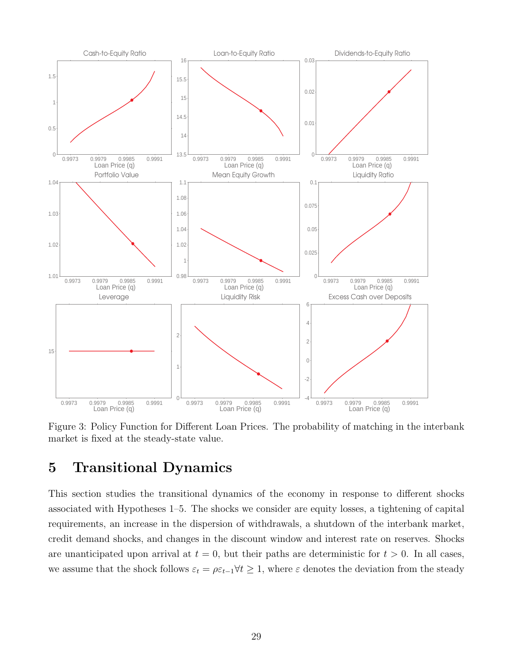<span id="page-29-1"></span>

Figure 3: Policy Function for Different Loan Prices. The probability of matching in the interbank market is fixed at the steady-state value.

# <span id="page-29-0"></span>5 Transitional Dynamics

This section studies the transitional dynamics of the economy in response to different shocks associated with Hypotheses 1–5. The shocks we consider are equity losses, a tightening of capital requirements, an increase in the dispersion of withdrawals, a shutdown of the interbank market, credit demand shocks, and changes in the discount window and interest rate on reserves. Shocks are unanticipated upon arrival at  $t = 0$ , but their paths are deterministic for  $t > 0$ . In all cases, we assume that the shock follows  $\varepsilon_t = \rho \varepsilon_{t-1} \forall t \geq 1$ , where  $\varepsilon$  denotes the deviation from the steady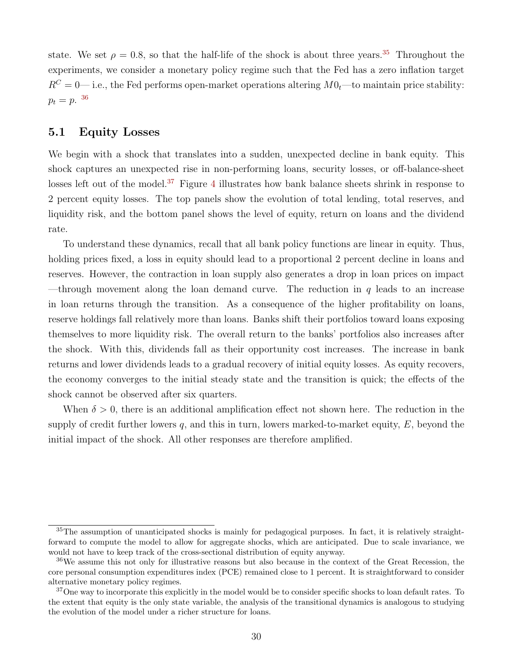state. We set  $\rho = 0.8$ , so that the half-life of the shock is about three years.<sup>[35](#page-30-0)</sup> Throughout the experiments, we consider a monetary policy regime such that the Fed has a zero inflation target  $R<sup>C</sup> = 0$ — i.e., the Fed performs open-market operations altering  $M0<sub>t</sub>$ —to maintain price stability:  $p_t = p$ . [36](#page-30-1)

#### 5.1 Equity Losses

We begin with a shock that translates into a sudden, unexpected decline in bank equity. This shock captures an unexpected rise in non-performing loans, security losses, or off-balance-sheet losses left out of the model.<sup>[37](#page-30-2)</sup> Figure [4](#page-31-0) illustrates how bank balance sheets shrink in response to 2 percent equity losses. The top panels show the evolution of total lending, total reserves, and liquidity risk, and the bottom panel shows the level of equity, return on loans and the dividend rate.

To understand these dynamics, recall that all bank policy functions are linear in equity. Thus, holding prices fixed, a loss in equity should lead to a proportional 2 percent decline in loans and reserves. However, the contraction in loan supply also generates a drop in loan prices on impact —through movement along the loan demand curve. The reduction in q leads to an increase in loan returns through the transition. As a consequence of the higher profitability on loans, reserve holdings fall relatively more than loans. Banks shift their portfolios toward loans exposing themselves to more liquidity risk. The overall return to the banks' portfolios also increases after the shock. With this, dividends fall as their opportunity cost increases. The increase in bank returns and lower dividends leads to a gradual recovery of initial equity losses. As equity recovers, the economy converges to the initial steady state and the transition is quick; the effects of the shock cannot be observed after six quarters.

When  $\delta > 0$ , there is an additional amplification effect not shown here. The reduction in the supply of credit further lowers  $q$ , and this in turn, lowers marked-to-market equity,  $E$ , beyond the initial impact of the shock. All other responses are therefore amplified.

<span id="page-30-0"></span><sup>35</sup>The assumption of unanticipated shocks is mainly for pedagogical purposes. In fact, it is relatively straightforward to compute the model to allow for aggregate shocks, which are anticipated. Due to scale invariance, we would not have to keep track of the cross-sectional distribution of equity anyway.

<span id="page-30-1"></span><sup>&</sup>lt;sup>36</sup>We assume this not only for illustrative reasons but also because in the context of the Great Recession, the core personal consumption expenditures index (PCE) remained close to 1 percent. It is straightforward to consider alternative monetary policy regimes.

<span id="page-30-2"></span><sup>&</sup>lt;sup>37</sup>One way to incorporate this explicitly in the model would be to consider specific shocks to loan default rates. To the extent that equity is the only state variable, the analysis of the transitional dynamics is analogous to studying the evolution of the model under a richer structure for loans.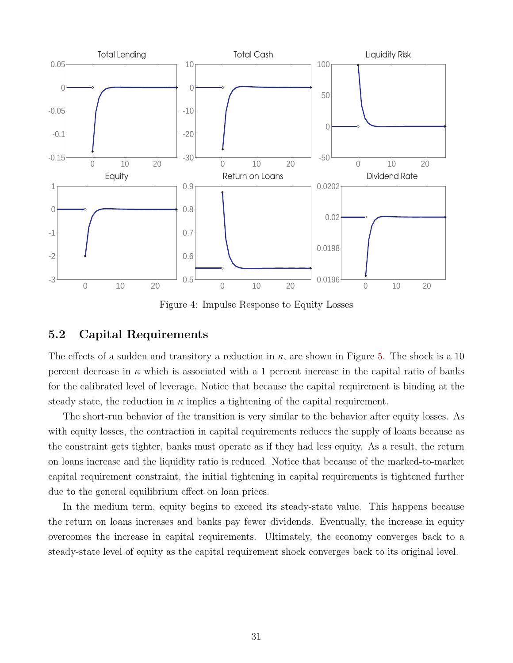<span id="page-31-0"></span>

Figure 4: Impulse Response to Equity Losses

### 5.2 Capital Requirements

The effects of a sudden and transitory a reduction in  $\kappa$ , are shown in Figure [5.](#page-32-0) The shock is a 10 percent decrease in  $\kappa$  which is associated with a 1 percent increase in the capital ratio of banks for the calibrated level of leverage. Notice that because the capital requirement is binding at the steady state, the reduction in  $\kappa$  implies a tightening of the capital requirement.

The short-run behavior of the transition is very similar to the behavior after equity losses. As with equity losses, the contraction in capital requirements reduces the supply of loans because as the constraint gets tighter, banks must operate as if they had less equity. As a result, the return on loans increase and the liquidity ratio is reduced. Notice that because of the marked-to-market capital requirement constraint, the initial tightening in capital requirements is tightened further due to the general equilibrium effect on loan prices.

In the medium term, equity begins to exceed its steady-state value. This happens because the return on loans increases and banks pay fewer dividends. Eventually, the increase in equity overcomes the increase in capital requirements. Ultimately, the economy converges back to a steady-state level of equity as the capital requirement shock converges back to its original level.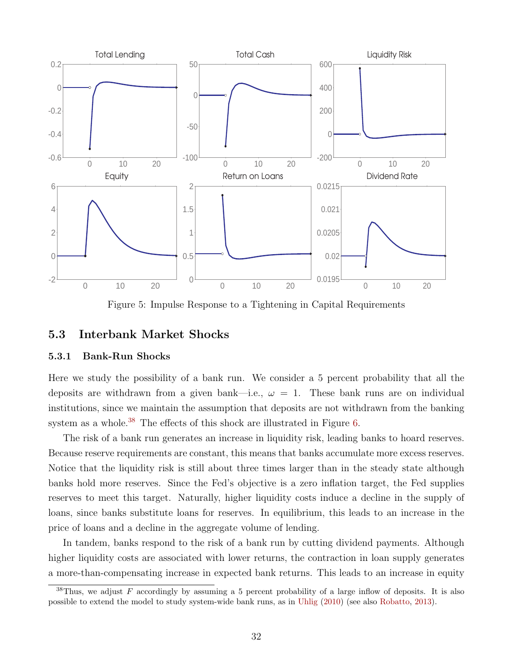<span id="page-32-0"></span>

Figure 5: Impulse Response to a Tightening in Capital Requirements

### 5.3 Interbank Market Shocks

#### 5.3.1 Bank-Run Shocks

Here we study the possibility of a bank run. We consider a 5 percent probability that all the deposits are withdrawn from a given bank—i.e.,  $\omega = 1$ . These bank runs are on individual institutions, since we maintain the assumption that deposits are not withdrawn from the banking system as a whole.<sup>[38](#page-32-1)</sup> The effects of this shock are illustrated in Figure [6.](#page-33-0)

The risk of a bank run generates an increase in liquidity risk, leading banks to hoard reserves. Because reserve requirements are constant, this means that banks accumulate more excess reserves. Notice that the liquidity risk is still about three times larger than in the steady state although banks hold more reserves. Since the Fed's objective is a zero inflation target, the Fed supplies reserves to meet this target. Naturally, higher liquidity costs induce a decline in the supply of loans, since banks substitute loans for reserves. In equilibrium, this leads to an increase in the price of loans and a decline in the aggregate volume of lending.

In tandem, banks respond to the risk of a bank run by cutting dividend payments. Although higher liquidity costs are associated with lower returns, the contraction in loan supply generates a more-than-compensating increase in expected bank returns. This leads to an increase in equity

<span id="page-32-1"></span><sup>&</sup>lt;sup>38</sup>Thus, we adjust F accordingly by assuming a 5 percent probability of a large inflow of deposits. It is also possible to extend the model to study system-wide bank runs, as in [Uhlig](#page-49-8) [\(2010\)](#page-49-8) (see also [Robatto,](#page-49-9) [2013\)](#page-49-9).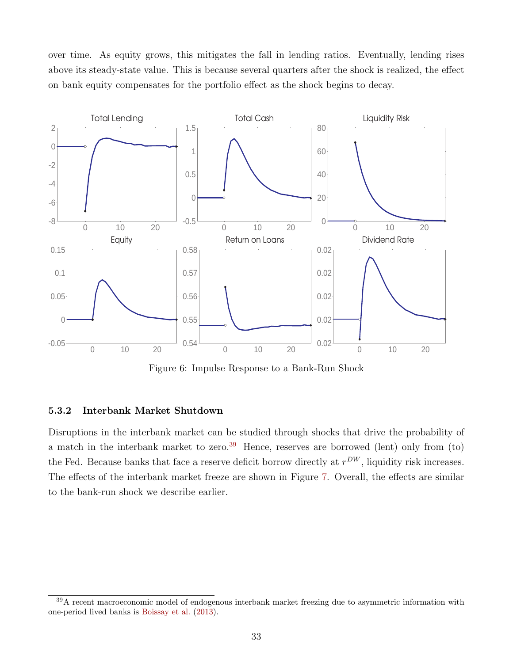over time. As equity grows, this mitigates the fall in lending ratios. Eventually, lending rises above its steady-state value. This is because several quarters after the shock is realized, the effect on bank equity compensates for the portfolio effect as the shock begins to decay.

<span id="page-33-0"></span>

Figure 6: Impulse Response to a Bank-Run Shock

#### 5.3.2 Interbank Market Shutdown

Disruptions in the interbank market can be studied through shocks that drive the probability of a match in the interbank market to zero.<sup>[39](#page-33-1)</sup> Hence, reserves are borrowed (lent) only from (to) the Fed. Because banks that face a reserve deficit borrow directly at  $r^{DW}$ , liquidity risk increases. The effects of the interbank market freeze are shown in Figure [7.](#page-34-0) Overall, the effects are similar to the bank-run shock we describe earlier.

<span id="page-33-1"></span><sup>&</sup>lt;sup>39</sup>A recent macroeconomic model of endogenous interbank market freezing due to asymmetric information with one-period lived banks is [Boissay et al.](#page-46-12) [\(2013\)](#page-46-12).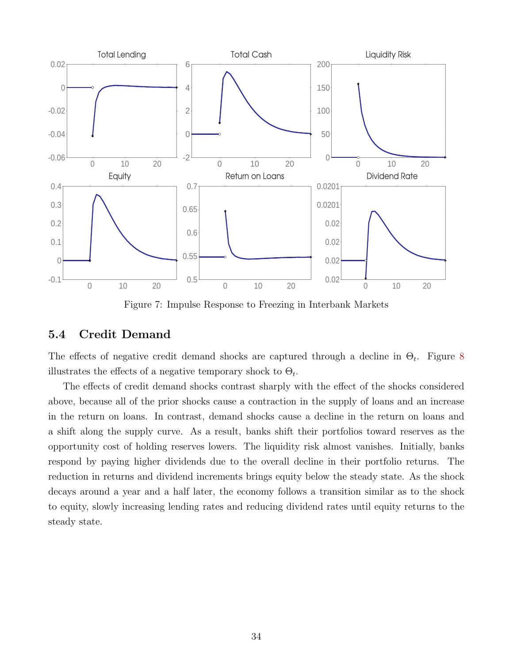<span id="page-34-0"></span>

Figure 7: Impulse Response to Freezing in Interbank Markets

### 5.4 Credit Demand

The effects of negative credit demand shocks are captured through a decline in  $\Theta_t$ . Figure [8](#page-35-0) illustrates the effects of a negative temporary shock to  $\Theta_t$ .

The effects of credit demand shocks contrast sharply with the effect of the shocks considered above, because all of the prior shocks cause a contraction in the supply of loans and an increase in the return on loans. In contrast, demand shocks cause a decline in the return on loans and a shift along the supply curve. As a result, banks shift their portfolios toward reserves as the opportunity cost of holding reserves lowers. The liquidity risk almost vanishes. Initially, banks respond by paying higher dividends due to the overall decline in their portfolio returns. The reduction in returns and dividend increments brings equity below the steady state. As the shock decays around a year and a half later, the economy follows a transition similar as to the shock to equity, slowly increasing lending rates and reducing dividend rates until equity returns to the steady state.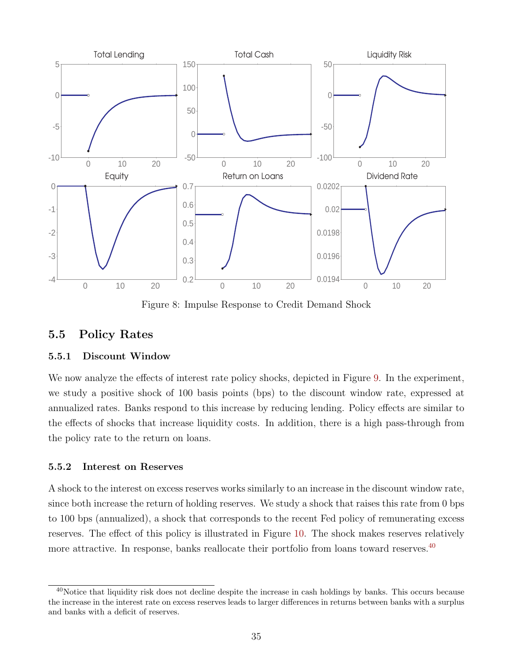<span id="page-35-0"></span>

Figure 8: Impulse Response to Credit Demand Shock

## 5.5 Policy Rates

### 5.5.1 Discount Window

We now analyze the effects of interest rate policy shocks, depicted in Figure [9.](#page-36-0) In the experiment, we study a positive shock of 100 basis points (bps) to the discount window rate, expressed at annualized rates. Banks respond to this increase by reducing lending. Policy effects are similar to the effects of shocks that increase liquidity costs. In addition, there is a high pass-through from the policy rate to the return on loans.

### 5.5.2 Interest on Reserves

A shock to the interest on excess reserves works similarly to an increase in the discount window rate, since both increase the return of holding reserves. We study a shock that raises this rate from 0 bps to 100 bps (annualized), a shock that corresponds to the recent Fed policy of remunerating excess reserves. The effect of this policy is illustrated in Figure [10.](#page-36-1) The shock makes reserves relatively more attractive. In response, banks reallocate their portfolio from loans toward reserves.<sup>[40](#page-35-1)</sup>

<span id="page-35-1"></span> $40$ Notice that liquidity risk does not decline despite the increase in cash holdings by banks. This occurs because the increase in the interest rate on excess reserves leads to larger differences in returns between banks with a surplus and banks with a deficit of reserves.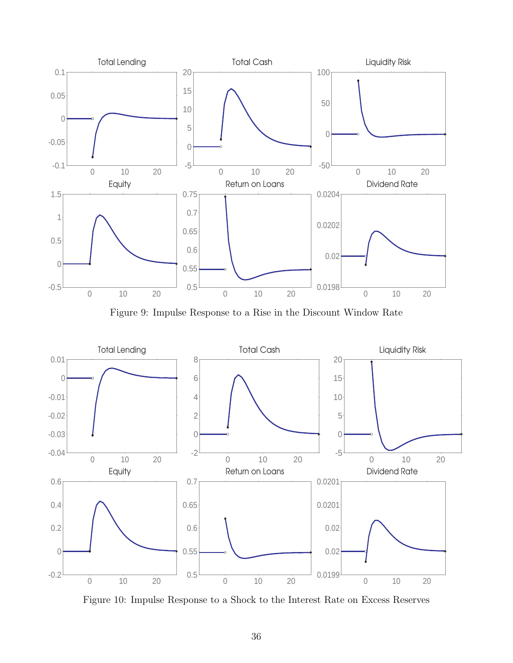

Figure 9: Impulse Response to a Rise in the Discount Window Rate



Figure 10: Impulse Response to a Shock to the Interest Rate on Excess Reserves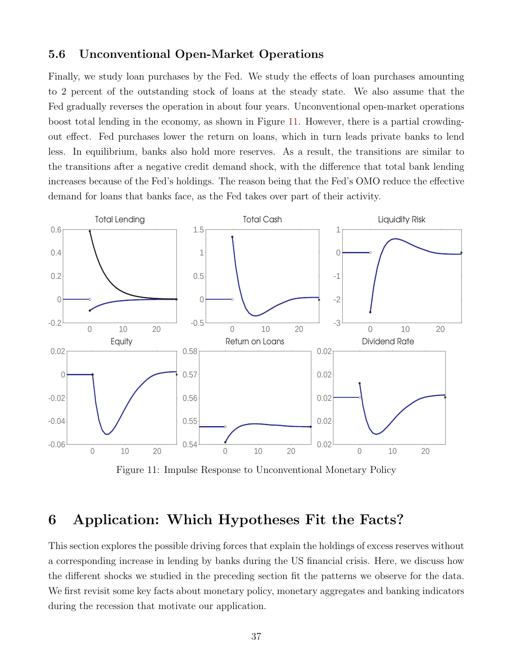#### 5.6 Unconventional Open-Market Operations

Finally, we study loan purchases by the Fed. We study the effects of loan purchases amounting to 2 percent of the outstanding stock of loans at the steady state. We also assume that the Fed gradually reverses the operation in about four years. Unconventional open-market operations boost total lending in the economy, as shown in Figure [11.](#page-37-0) However, there is a partial crowdingout effect. Fed purchases lower the return on loans, which in turn leads private banks to lend less. In equilibrium, banks also hold more reserves. As a result, the transitions are similar to the transitions after a negative credit demand shock, with the difference that total bank lending increases because of the Fed's holdings. The reason being that the Fed's OMO reduce the effective demand for loans that banks face, as the Fed takes over part of their activity.

<span id="page-37-0"></span>

Figure 11: Impulse Response to Unconventional Monetary Policy

# 6 Application: Which Hypotheses Fit the Facts?

This section explores the possible driving forces that explain the holdings of excess reserves without a corresponding increase in lending by banks during the US financial crisis. Here, we discuss how the different shocks we studied in the preceding section fit the patterns we observe for the data. We first revisit some key facts about monetary policy, monetary aggregates and banking indicators during the recession that motivate our application.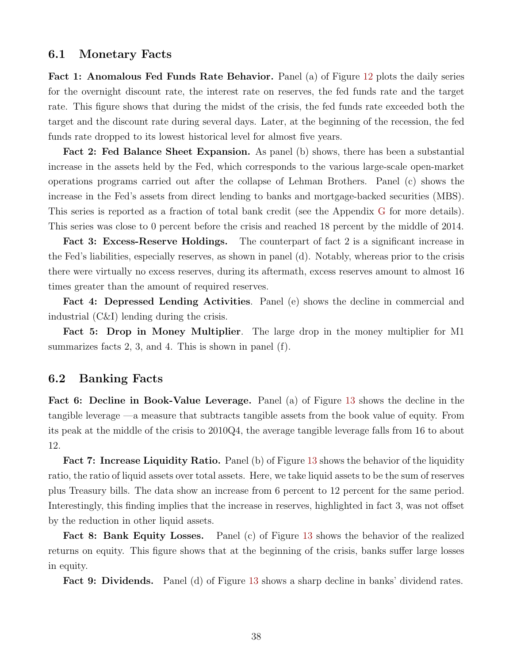#### <span id="page-38-0"></span>6.1 Monetary Facts

Fact 1: Anomalous Fed Funds Rate Behavior. Panel (a) of Figure [12](#page-39-0) plots the daily series for the overnight discount rate, the interest rate on reserves, the fed funds rate and the target rate. This figure shows that during the midst of the crisis, the fed funds rate exceeded both the target and the discount rate during several days. Later, at the beginning of the recession, the fed funds rate dropped to its lowest historical level for almost five years.

Fact 2: Fed Balance Sheet Expansion. As panel (b) shows, there has been a substantial increase in the assets held by the Fed, which corresponds to the various large-scale open-market operations programs carried out after the collapse of Lehman Brothers. Panel (c) shows the increase in the Fed's assets from direct lending to banks and mortgage-backed securities (MBS). This series is reported as a fraction of total bank credit (see the Appendix [G](#page-72-0) for more details). This series was close to 0 percent before the crisis and reached 18 percent by the middle of 2014.

Fact 3: Excess-Reserve Holdings. The counterpart of fact 2 is a significant increase in the Fed's liabilities, especially reserves, as shown in panel (d). Notably, whereas prior to the crisis there were virtually no excess reserves, during its aftermath, excess reserves amount to almost 16 times greater than the amount of required reserves.

Fact 4: Depressed Lending Activities. Panel (e) shows the decline in commercial and industrial (C&I) lending during the crisis.

Fact 5: Drop in Money Multiplier. The large drop in the money multiplier for M1 summarizes facts 2, 3, and 4. This is shown in panel (f).

### 6.2 Banking Facts

Fact 6: Decline in Book-Value Leverage. Panel (a) of Figure [13](#page-40-0) shows the decline in the tangible leverage —a measure that subtracts tangible assets from the book value of equity. From its peak at the middle of the crisis to 2010Q4, the average tangible leverage falls from 16 to about 12.

Fact 7: Increase Liquidity Ratio. Panel (b) of Figure [13](#page-40-0) shows the behavior of the liquidity ratio, the ratio of liquid assets over total assets. Here, we take liquid assets to be the sum of reserves plus Treasury bills. The data show an increase from 6 percent to 12 percent for the same period. Interestingly, this finding implies that the increase in reserves, highlighted in fact 3, was not offset by the reduction in other liquid assets.

Fact 8: Bank Equity Losses. Panel (c) of Figure [13](#page-40-0) shows the behavior of the realized returns on equity. This figure shows that at the beginning of the crisis, banks suffer large losses in equity.

Fact 9: Dividends. Panel (d) of Figure [13](#page-40-0) shows a sharp decline in banks' dividend rates.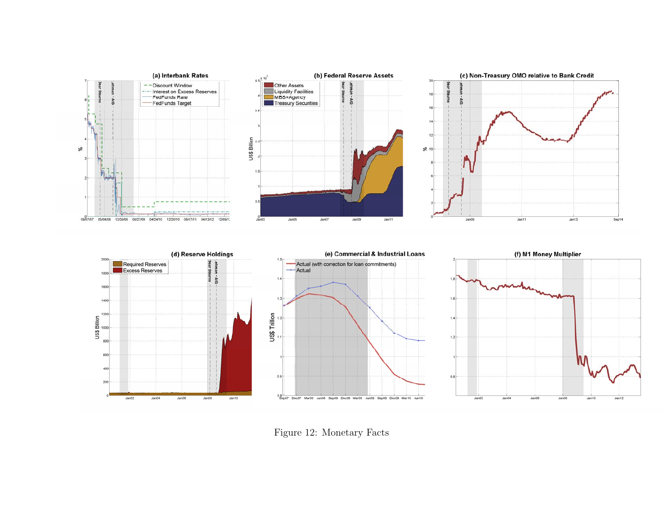

<span id="page-39-0"></span>Figure 12: Monetary Facts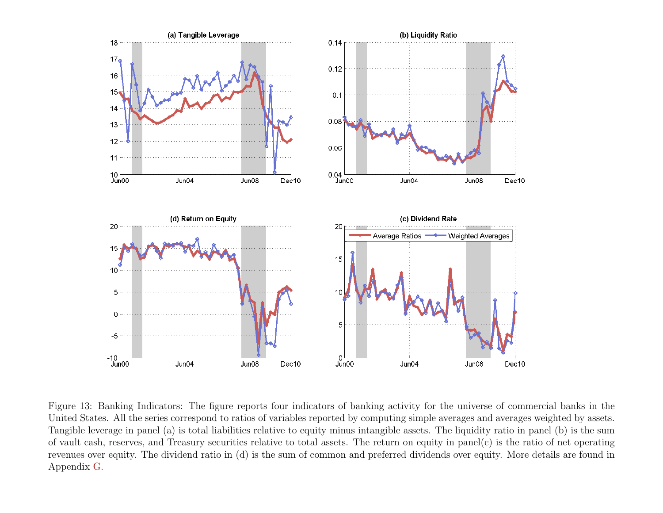

<span id="page-40-0"></span>Figure 13: Banking Indicators: The figure reports four indicators of banking activity for the universe of commercial banks in the United States. All the series correspond to ratios of variables reported by computing simple averages and averages weighted by assets. Tangible leverage in pane<sup>l</sup> (a) is total liabilities relative to equity minus intangible assets. The liquidity ratio in pane<sup>l</sup> (b) is the sum of vault cash, reserves, and Treasury securities relative to total assets. The return on equity in panel(c) is the ratio of net operating revenues over equity. The dividend ratio in (d) is the sum of common and preferred dividends over equity. More details are found in Appendix [G.](#page-72-1)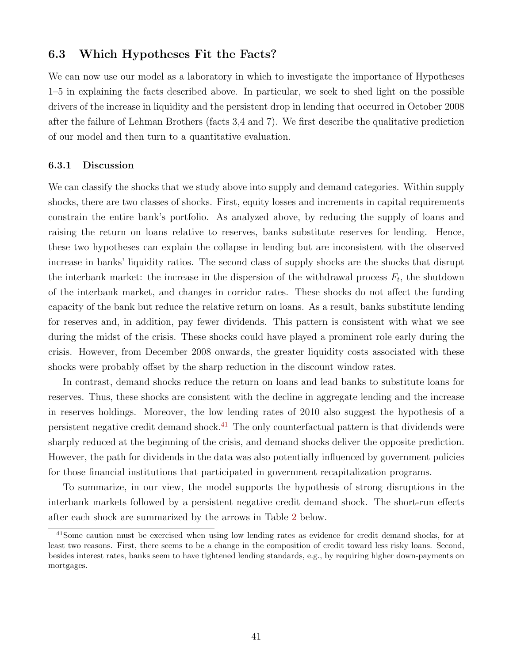#### 6.3 Which Hypotheses Fit the Facts?

We can now use our model as a laboratory in which to investigate the importance of Hypotheses 1–5 in explaining the facts described above. In particular, we seek to shed light on the possible drivers of the increase in liquidity and the persistent drop in lending that occurred in October 2008 after the failure of Lehman Brothers (facts 3,4 and 7). We first describe the qualitative prediction of our model and then turn to a quantitative evaluation.

#### 6.3.1 Discussion

We can classify the shocks that we study above into supply and demand categories. Within supply shocks, there are two classes of shocks. First, equity losses and increments in capital requirements constrain the entire bank's portfolio. As analyzed above, by reducing the supply of loans and raising the return on loans relative to reserves, banks substitute reserves for lending. Hence, these two hypotheses can explain the collapse in lending but are inconsistent with the observed increase in banks' liquidity ratios. The second class of supply shocks are the shocks that disrupt the interbank market: the increase in the dispersion of the withdrawal process  $F_t$ , the shutdown of the interbank market, and changes in corridor rates. These shocks do not affect the funding capacity of the bank but reduce the relative return on loans. As a result, banks substitute lending for reserves and, in addition, pay fewer dividends. This pattern is consistent with what we see during the midst of the crisis. These shocks could have played a prominent role early during the crisis. However, from December 2008 onwards, the greater liquidity costs associated with these shocks were probably offset by the sharp reduction in the discount window rates.

In contrast, demand shocks reduce the return on loans and lead banks to substitute loans for reserves. Thus, these shocks are consistent with the decline in aggregate lending and the increase in reserves holdings. Moreover, the low lending rates of 2010 also suggest the hypothesis of a persistent negative credit demand shock.<sup>[41](#page-41-0)</sup> The only counterfactual pattern is that dividends were sharply reduced at the beginning of the crisis, and demand shocks deliver the opposite prediction. However, the path for dividends in the data was also potentially influenced by government policies for those financial institutions that participated in government recapitalization programs.

To summarize, in our view, the model supports the hypothesis of strong disruptions in the interbank markets followed by a persistent negative credit demand shock. The short-run effects after each shock are summarized by the arrows in Table [2](#page-42-0) below.

<span id="page-41-0"></span><sup>&</sup>lt;sup>41</sup>Some caution must be exercised when using low lending rates as evidence for credit demand shocks, for at least two reasons. First, there seems to be a change in the composition of credit toward less risky loans. Second, besides interest rates, banks seem to have tightened lending standards, e.g., by requiring higher down-payments on mortgages.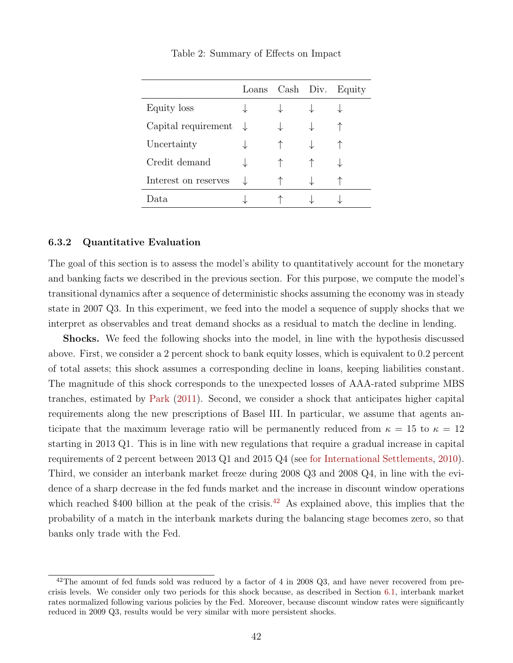<span id="page-42-2"></span><span id="page-42-0"></span>

|                      | Loans |  | Cash Div. Equity |
|----------------------|-------|--|------------------|
| Equity loss          |       |  |                  |
| Capital requirement  |       |  |                  |
| Uncertainty          |       |  |                  |
| Credit demand        |       |  |                  |
| Interest on reserves |       |  |                  |
| Data                 |       |  |                  |

Table 2: Summary of Effects on Impact

#### 6.3.2 Quantitative Evaluation

The goal of this section is to assess the model's ability to quantitatively account for the monetary and banking facts we described in the previous section. For this purpose, we compute the model's transitional dynamics after a sequence of deterministic shocks assuming the economy was in steady state in 2007 Q3. In this experiment, we feed into the model a sequence of supply shocks that we interpret as observables and treat demand shocks as a residual to match the decline in lending.

Shocks. We feed the following shocks into the model, in line with the hypothesis discussed above. First, we consider a 2 percent shock to bank equity losses, which is equivalent to 0.2 percent of total assets; this shock assumes a corresponding decline in loans, keeping liabilities constant. The magnitude of this shock corresponds to the unexpected losses of AAA-rated subprime MBS tranches, estimated by [Park](#page-48-0) [\(2011\)](#page-48-0). Second, we consider a shock that anticipates higher capital requirements along the new prescriptions of Basel III. In particular, we assume that agents anticipate that the maximum leverage ratio will be permanently reduced from  $\kappa = 15$  to  $\kappa = 12$ starting in 2013 Q1. This is in line with new regulations that require a gradual increase in capital requirements of 2 percent between 2013 Q1 and 2015 Q4 (see [for International Settlements,](#page-48-1) [2010\)](#page-48-1). Third, we consider an interbank market freeze during 2008 Q3 and 2008 Q4, in line with the evidence of a sharp decrease in the fed funds market and the increase in discount window operations which reached \$400 billion at the peak of the crisis.<sup>[42](#page-42-1)</sup> As explained above, this implies that the probability of a match in the interbank markets during the balancing stage becomes zero, so that banks only trade with the Fed.

<span id="page-42-1"></span> $42$ The amount of fed funds sold was reduced by a factor of 4 in 2008 Q3, and have never recovered from precrisis levels. We consider only two periods for this shock because, as described in Section [6.1,](#page-38-0) interbank market rates normalized following various policies by the Fed. Moreover, because discount window rates were significantly reduced in 2009 Q3, results would be very similar with more persistent shocks.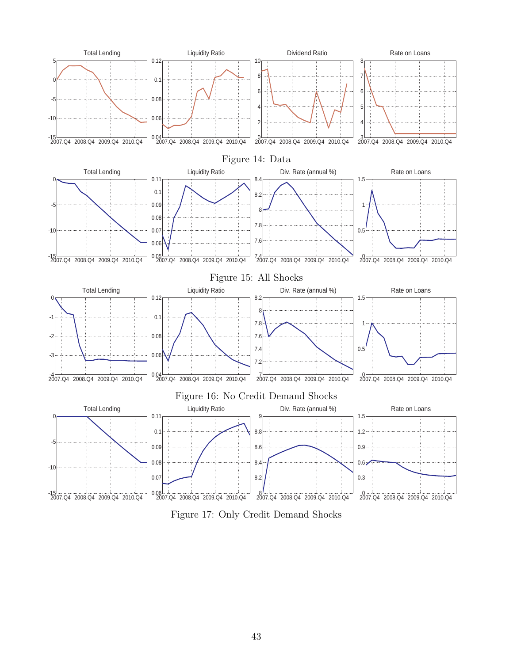<span id="page-43-0"></span>

Figure 17: Only Credit Demand Shocks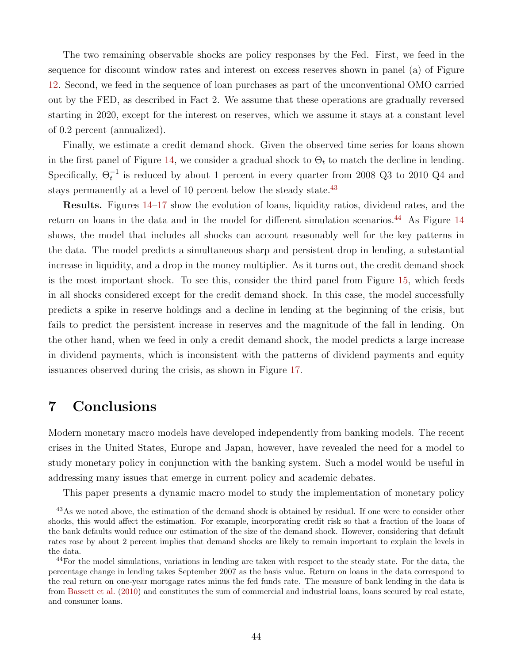<span id="page-44-2"></span>The two remaining observable shocks are policy responses by the Fed. First, we feed in the sequence for discount window rates and interest on excess reserves shown in panel (a) of Figure [12.](#page-39-0) Second, we feed in the sequence of loan purchases as part of the unconventional OMO carried out by the FED, as described in Fact 2. We assume that these operations are gradually reversed starting in 2020, except for the interest on reserves, which we assume it stays at a constant level of 0.2 percent (annualized).

Finally, we estimate a credit demand shock. Given the observed time series for loans shown in the first panel of Figure [14,](#page-43-0) we consider a gradual shock to  $\Theta_t$  to match the decline in lending. Specifically,  $\Theta_t^{-1}$  is reduced by about 1 percent in every quarter from 2008 Q3 to 2010 Q4 and stays permanently at a level of 10 percent below the steady state.<sup>[43](#page-44-0)</sup>

Results. Figures [14–17](#page-43-0) show the evolution of loans, liquidity ratios, dividend rates, and the return on loans in the data and in the model for different simulation scenarios.<sup>[44](#page-44-1)</sup> As Figure [14](#page-43-0) shows, the model that includes all shocks can account reasonably well for the key patterns in the data. The model predicts a simultaneous sharp and persistent drop in lending, a substantial increase in liquidity, and a drop in the money multiplier. As it turns out, the credit demand shock is the most important shock. To see this, consider the third panel from Figure [15,](#page-43-0) which feeds in all shocks considered except for the credit demand shock. In this case, the model successfully predicts a spike in reserve holdings and a decline in lending at the beginning of the crisis, but fails to predict the persistent increase in reserves and the magnitude of the fall in lending. On the other hand, when we feed in only a credit demand shock, the model predicts a large increase in dividend payments, which is inconsistent with the patterns of dividend payments and equity issuances observed during the crisis, as shown in Figure [17.](#page-43-0)

# 7 Conclusions

Modern monetary macro models have developed independently from banking models. The recent crises in the United States, Europe and Japan, however, have revealed the need for a model to study monetary policy in conjunction with the banking system. Such a model would be useful in addressing many issues that emerge in current policy and academic debates.

<span id="page-44-0"></span>This paper presents a dynamic macro model to study the implementation of monetary policy

<sup>43</sup>As we noted above, the estimation of the demand shock is obtained by residual. If one were to consider other shocks, this would affect the estimation. For example, incorporating credit risk so that a fraction of the loans of the bank defaults would reduce our estimation of the size of the demand shock. However, considering that default rates rose by about 2 percent implies that demand shocks are likely to remain important to explain the levels in the data.

<span id="page-44-1"></span><sup>&</sup>lt;sup>44</sup>For the model simulations, variations in lending are taken with respect to the steady state. For the data, the percentage change in lending takes September 2007 as the basis value. Return on loans in the data correspond to the real return on one-year mortgage rates minus the fed funds rate. The measure of bank lending in the data is from [Bassett et al.](#page-46-0) [\(2010\)](#page-46-0) and constitutes the sum of commercial and industrial loans, loans secured by real estate, and consumer loans.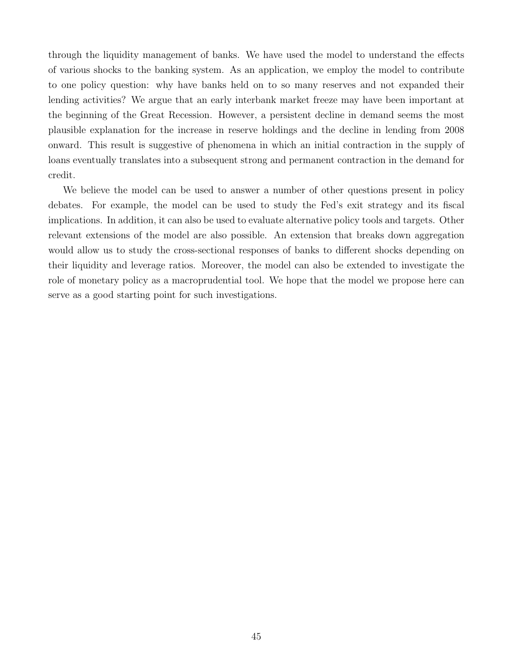through the liquidity management of banks. We have used the model to understand the effects of various shocks to the banking system. As an application, we employ the model to contribute to one policy question: why have banks held on to so many reserves and not expanded their lending activities? We argue that an early interbank market freeze may have been important at the beginning of the Great Recession. However, a persistent decline in demand seems the most plausible explanation for the increase in reserve holdings and the decline in lending from 2008 onward. This result is suggestive of phenomena in which an initial contraction in the supply of loans eventually translates into a subsequent strong and permanent contraction in the demand for credit.

We believe the model can be used to answer a number of other questions present in policy debates. For example, the model can be used to study the Fed's exit strategy and its fiscal implications. In addition, it can also be used to evaluate alternative policy tools and targets. Other relevant extensions of the model are also possible. An extension that breaks down aggregation would allow us to study the cross-sectional responses of banks to different shocks depending on their liquidity and leverage ratios. Moreover, the model can also be extended to investigate the role of monetary policy as a macroprudential tool. We hope that the model we propose here can serve as a good starting point for such investigations.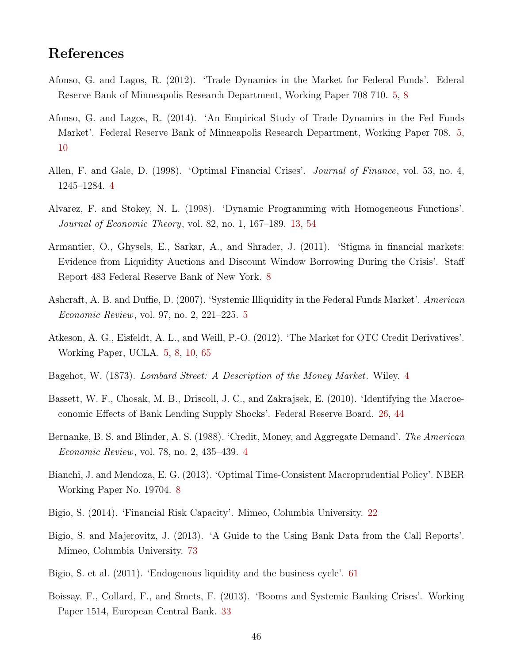# References

- Afonso, G. and Lagos, R. (2012). 'Trade Dynamics in the Market for Federal Funds'. Ederal Reserve Bank of Minneapolis Research Department, Working Paper 708 710. [5,](#page-5-0) [8](#page-8-0)
- Afonso, G. and Lagos, R. (2014). 'An Empirical Study of Trade Dynamics in the Fed Funds Market'. Federal Reserve Bank of Minneapolis Research Department, Working Paper 708. [5,](#page-5-0) [10](#page-10-0)
- Allen, F. and Gale, D. (1998). 'Optimal Financial Crises'. Journal of Finance, vol. 53, no. 4, 1245–1284. [4](#page-4-0)
- <span id="page-46-1"></span>Alvarez, F. and Stokey, N. L. (1998). 'Dynamic Programming with Homogeneous Functions'. Journal of Economic Theory, vol. 82, no. 1, 167–189. [13,](#page-13-0) [54](#page-54-0)
- Armantier, O., Ghysels, E., Sarkar, A., and Shrader, J. (2011). 'Stigma in financial markets: Evidence from Liquidity Auctions and Discount Window Borrowing During the Crisis'. Staff Report 483 Federal Reserve Bank of New York. [8](#page-8-0)
- Ashcraft, A. B. and Duffie, D. (2007). 'Systemic Illiquidity in the Federal Funds Market'. American Economic Review, vol. 97, no. 2, 221–225. [5](#page-5-0)
- <span id="page-46-3"></span>Atkeson, A. G., Eisfeldt, A. L., and Weill, P.-O. (2012). 'The Market for OTC Credit Derivatives'. Working Paper, UCLA. [5,](#page-5-0) [8,](#page-8-0) [10,](#page-10-0) [65](#page-65-0)
- Bagehot, W. (1873). Lombard Street: A Description of the Money Market. Wiley. [4](#page-4-0)
- <span id="page-46-0"></span>Bassett, W. F., Chosak, M. B., Driscoll, J. C., and Zakrajsek, E. (2010). 'Identifying the Macroeconomic Effects of Bank Lending Supply Shocks'. Federal Reserve Board. [26,](#page-26-0) [44](#page-44-2)
- Bernanke, B. S. and Blinder, A. S. (1988). 'Credit, Money, and Aggregate Demand'. The American Economic Review, vol. 78, no. 2, 435–439. [4](#page-4-0)
- Bianchi, J. and Mendoza, E. G. (2013). 'Optimal Time-Consistent Macroprudential Policy'. NBER Working Paper No. 19704. [8](#page-8-0)
- Bigio, S. (2014). 'Financial Risk Capacity'. Mimeo, Columbia University. [22](#page-22-0)
- Bigio, S. and Majerovitz, J. (2013). 'A Guide to the Using Bank Data from the Call Reports'. Mimeo, Columbia University. [73](#page-73-0)
- <span id="page-46-2"></span>Bigio, S. et al. (2011). 'Endogenous liquidity and the business cycle'. [61](#page-61-0)
- Boissay, F., Collard, F., and Smets, F. (2013). 'Booms and Systemic Banking Crises'. Working Paper 1514, European Central Bank. [33](#page-33-0)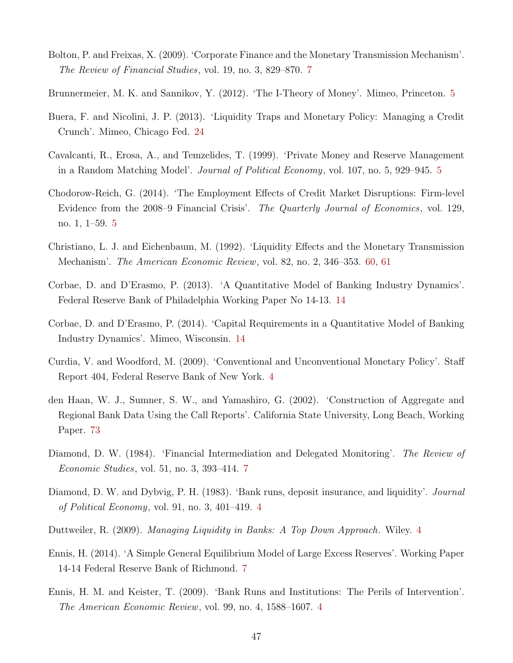- Bolton, P. and Freixas, X. (2009). 'Corporate Finance and the Monetary Transmission Mechanism'. The Review of Financial Studies, vol. 19, no. 3, 829–870. [7](#page-7-0)
- Brunnermeier, M. K. and Sannikov, Y. (2012). 'The I-Theory of Money'. Mimeo, Princeton. [5](#page-5-0)
- Buera, F. and Nicolini, J. P. (2013). 'Liquidity Traps and Monetary Policy: Managing a Credit Crunch'. Mimeo, Chicago Fed. [24](#page-24-0)
- Cavalcanti, R., Erosa, A., and Temzelides, T. (1999). 'Private Money and Reserve Management in a Random Matching Model'. Journal of Political Economy, vol. 107, no. 5, 929–945. [5](#page-5-0)
- Chodorow-Reich, G. (2014). 'The Employment Effects of Credit Market Disruptions: Firm-level Evidence from the 2008–9 Financial Crisis'. The Quarterly Journal of Economics, vol. 129, no. 1, 1–59. [5](#page-5-0)
- <span id="page-47-0"></span>Christiano, L. J. and Eichenbaum, M. (1992). 'Liquidity Effects and the Monetary Transmission Mechanism'. The American Economic Review, vol. 82, no. 2, 346–353. [60,](#page-60-0) [61](#page-61-0)
- Corbae, D. and D'Erasmo, P. (2013). 'A Quantitative Model of Banking Industry Dynamics'. Federal Reserve Bank of Philadelphia Working Paper No 14-13. [14](#page-14-0)
- Corbae, D. and D'Erasmo, P. (2014). 'Capital Requirements in a Quantitative Model of Banking Industry Dynamics'. Mimeo, Wisconsin. [14](#page-14-0)
- Curdia, V. and Woodford, M. (2009). 'Conventional and Unconventional Monetary Policy'. Staff Report 404, Federal Reserve Bank of New York. [4](#page-4-0)
- den Haan, W. J., Sumner, S. W., and Yamashiro, G. (2002). 'Construction of Aggregate and Regional Bank Data Using the Call Reports'. California State University, Long Beach, Working Paper. [73](#page-73-0)
- Diamond, D. W. (1984). 'Financial Intermediation and Delegated Monitoring'. The Review of Economic Studies, vol. 51, no. 3, 393–414. [7](#page-7-0)
- Diamond, D. W. and Dybvig, P. H. (1983). 'Bank runs, deposit insurance, and liquidity'. Journal of Political Economy, vol. 91, no. 3, 401–419. [4](#page-4-0)
- Duttweiler, R. (2009). Managing Liquidity in Banks: A Top Down Approach. Wiley. [4](#page-4-0)
- Ennis, H. (2014). 'A Simple General Equilibrium Model of Large Excess Reserves'. Working Paper 14-14 Federal Reserve Bank of Richmond. [7](#page-7-0)
- Ennis, H. M. and Keister, T. (2009). 'Bank Runs and Institutions: The Perils of Intervention'. The American Economic Review, vol. 99, no. 4, 1588–1607. [4](#page-4-0)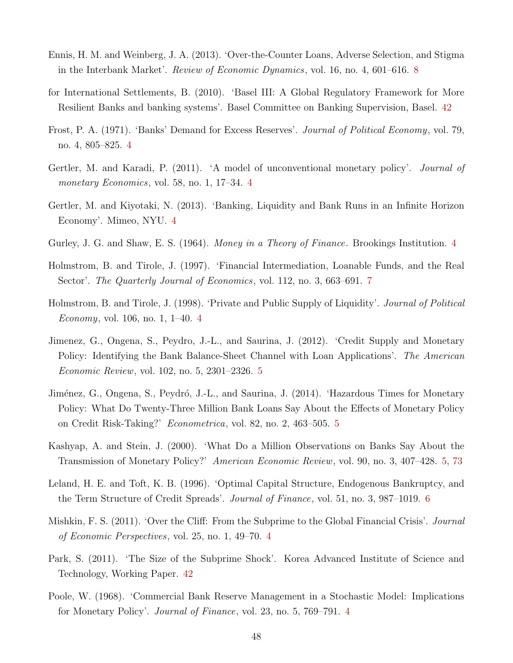- Ennis, H. M. and Weinberg, J. A. (2013). 'Over-the-Counter Loans, Adverse Selection, and Stigma in the Interbank Market'. Review of Economic Dynamics, vol. 16, no. 4, 601–616. [8](#page-8-0)
- <span id="page-48-1"></span>for International Settlements, B. (2010). 'Basel III: A Global Regulatory Framework for More Resilient Banks and banking systems'. Basel Committee on Banking Supervision, Basel. [42](#page-42-2)
- Frost, P. A. (1971). 'Banks' Demand for Excess Reserves'. Journal of Political Economy, vol. 79, no. 4, 805–825. [4](#page-4-0)
- Gertler, M. and Karadi, P. (2011). 'A model of unconventional monetary policy'. *Journal of* monetary Economics, vol. 58, no. 1, 17–3[4](#page-4-0). 4
- Gertler, M. and Kiyotaki, N. (2013). 'Banking, Liquidity and Bank Runs in an Infinite Horizon Economy'. Mimeo, NYU. [4](#page-4-0)
- Gurley, J. G. and Shaw, E. S. (196[4](#page-4-0)). *Money in a Theory of Finance*. Brookings Institution. 4
- Holmstrom, B. and Tirole, J. (1997). 'Financial Intermediation, Loanable Funds, and the Real Sector'. *The Quarterly Journal of Economics*, vol. 112, no. 3, 663–691. [7](#page-7-0)
- Holmstrom, B. and Tirole, J. (1998). 'Private and Public Supply of Liquidity'. Journal of Political Economy, vol. 106, no. 1, 1–40. [4](#page-4-0)
- Jimenez, G., Ongena, S., Peydro, J.-L., and Saurina, J. (2012). 'Credit Supply and Monetary Policy: Identifying the Bank Balance-Sheet Channel with Loan Applications'. The American Economic Review, vol. 102, no. 5, 2301–2326. [5](#page-5-0)
- Jiménez, G., Ongena, S., Peydró, J.-L., and Saurina, J. (2014). 'Hazardous Times for Monetary Policy: What Do Twenty-Three Million Bank Loans Say About the Effects of Monetary Policy on Credit Risk-Taking?' Econometrica, vol. 82, no. 2, 463–505. [5](#page-5-0)
- Kashyap, A. and Stein, J. (2000). 'What Do a Million Observations on Banks Say About the Transmission of Monetary Policy?' American Economic Review, vol. 90, no. 3, 407–428. [5,](#page-5-0) [73](#page-73-0)
- Leland, H. E. and Toft, K. B. (1996). 'Optimal Capital Structure, Endogenous Bankruptcy, and the Term Structure of Credit Spreads'. Journal of Finance, vol. 51, no. 3, 987–1019. [6](#page-6-0)
- Mishkin, F. S. (2011). 'Over the Cliff: From the Subprime to the Global Financial Crisis'. *Journal* of Economic Perspectives, vol. 25, no. 1, 49–70. [4](#page-4-0)
- <span id="page-48-0"></span>Park, S. (2011). 'The Size of the Subprime Shock'. Korea Advanced Institute of Science and Technology, Working Paper. [42](#page-42-2)
- Poole, W. (1968). 'Commercial Bank Reserve Management in a Stochastic Model: Implications for Monetary Policy'. Journal of Finance, vol. 23, no. 5, 769–791. [4](#page-4-0)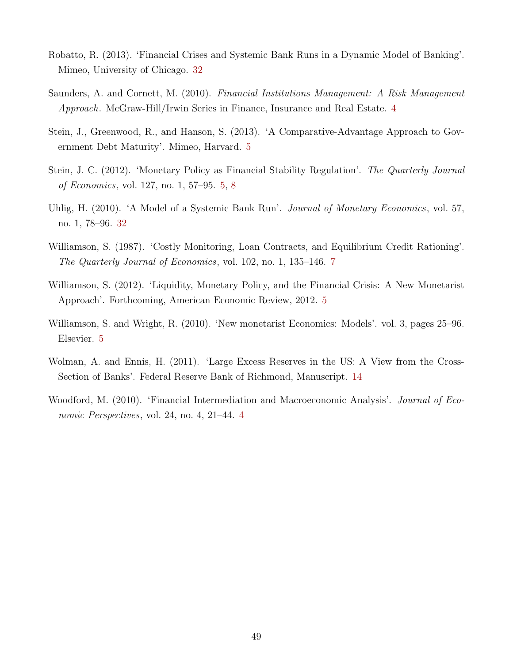- Robatto, R. (2013). 'Financial Crises and Systemic Bank Runs in a Dynamic Model of Banking'. Mimeo, University of Chicago. [32](#page-32-0)
- Saunders, A. and Cornett, M. (2010). Financial Institutions Management: A Risk Management Approach. McGraw-Hill/Irwin Series in Finance, Insurance and Real Estate. [4](#page-4-0)
- Stein, J., Greenwood, R., and Hanson, S. (2013). 'A Comparative-Advantage Approach to Government Debt Maturity'. Mimeo, Harvard. [5](#page-5-0)
- Stein, J. C. (2012). 'Monetary Policy as Financial Stability Regulation'. The Quarterly Journal of Economics, vol. 127, no. 1, 57–95. [5,](#page-5-0) [8](#page-8-0)
- Uhlig, H. (2010). 'A Model of a Systemic Bank Run'. *Journal of Monetary Economics*, vol. 57, no. 1, 78–96. [32](#page-32-0)
- Williamson, S. (1987). 'Costly Monitoring, Loan Contracts, and Equilibrium Credit Rationing'. The Quarterly Journal of Economics, vol. 102, no. 1, 135–146. [7](#page-7-0)
- Williamson, S. (2012). 'Liquidity, Monetary Policy, and the Financial Crisis: A New Monetarist Approach'. Forthcoming, American Economic Review, 2012. [5](#page-5-0)
- Williamson, S. and Wright, R. (2010). 'New monetarist Economics: Models'. vol. 3, pages 25–96. Elsevier. [5](#page-5-0)
- Wolman, A. and Ennis, H. (2011). 'Large Excess Reserves in the US: A View from the Cross-Section of Banks'. Federal Reserve Bank of Richmond, Manuscript. [14](#page-14-0)
- Woodford, M. (2010). 'Financial Intermediation and Macroeconomic Analysis'. *Journal of Eco*nomic Perspectives, vol. 24, no. 4, 21–44. [4](#page-4-0)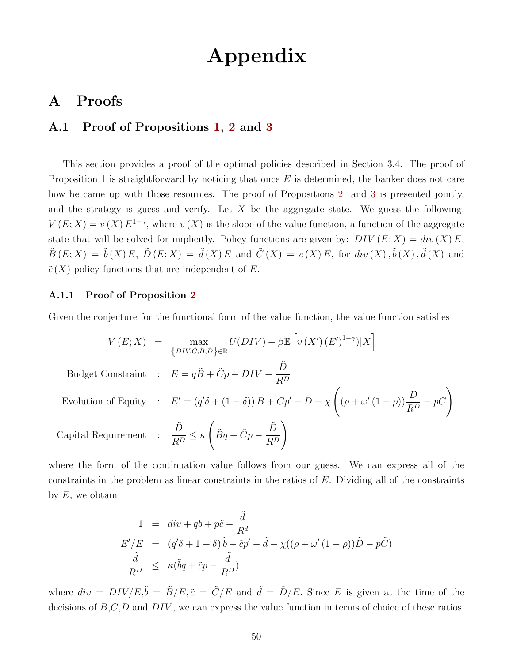# Appendix

# A Proofs

### A.1 Proof of Propositions [1,](#page-13-1) [2](#page-13-2) and [3](#page-14-1)

This section provides a proof of the optimal policies described in Section 3.4. The proof of Proposition [1](#page-13-1) is straightforward by noticing that once  $E$  is determined, the banker does not care how he came up with those resources. The proof of Propositions [2](#page-13-2) and [3](#page-14-1) is presented jointly, and the strategy is guess and verify. Let  $X$  be the aggregate state. We guess the following.  $V(E;X) = v(X) E^{1-\gamma}$ , where  $v(X)$  is the slope of the value function, a function of the aggregate state that will be solved for implicitly. Policy functions are given by:  $DIV(E; X) = div(X)E$ ,  $\tilde{B}(E;X) = \tilde{b}(X)E, \ \tilde{D}(E;X) = \tilde{d}(X)E$  and  $\tilde{C}(X) = \tilde{c}(X)E$ , for  $div(X), \tilde{b}(X), \tilde{d}(X)$  and  $\tilde{c}(X)$  policy functions that are independent of E.

#### A.1.1 Proof of Proposition [2](#page-13-2)

Given the conjecture for the functional form of the value function, the value function satisfies

$$
V(E;X) = \max_{\{DIV,\tilde{C},\tilde{B},\tilde{D}\}\in\mathbb{R}} U(DIV) + \beta \mathbb{E} \left[ v(X')(E')^{1-\gamma} | X \right]
$$
  
 Budget Constant :  $E = q\tilde{B} + \tilde{C}p + DIV - \frac{\tilde{D}}{R^D}$   
Evolution of Equity :  $E' = (q'\delta + (1-\delta))\tilde{B} + \tilde{C}p' - \tilde{D} - \chi \left( (\rho + \omega'(1-\rho))\frac{\tilde{D}}{R^D} - p\tilde{C} \right)$   
Capital Requirement :  $\frac{\tilde{D}}{R^D} \le \kappa \left( \tilde{B}q + \tilde{C}p - \frac{\tilde{D}}{R^D} \right)$ 

where the form of the continuation value follows from our guess. We can express all of the constraints in the problem as linear constraints in the ratios of E. Dividing all of the constraints by  $E$ , we obtain

$$
1 = div + q\tilde{b} + p\tilde{c} - \frac{\tilde{d}}{R^d}
$$
  
\n
$$
E'/E = (q'\delta + 1 - \delta)\tilde{b} + \tilde{c}p' - \tilde{d} - \chi((\rho + \omega'(1 - \rho))\tilde{D} - p\tilde{C})
$$
  
\n
$$
\frac{\tilde{d}}{R^D} \le \kappa(\tilde{b}q + \tilde{c}p - \frac{\tilde{d}}{R^D})
$$

where  $div = DIV/E, \tilde{b} = \tilde{B}/E, \tilde{c} = \tilde{C}/E$  and  $\tilde{d} = \tilde{D}/E$ . Since E is given at the time of the decisions of  $B,C,D$  and  $DIV$ , we can express the value function in terms of choice of these ratios.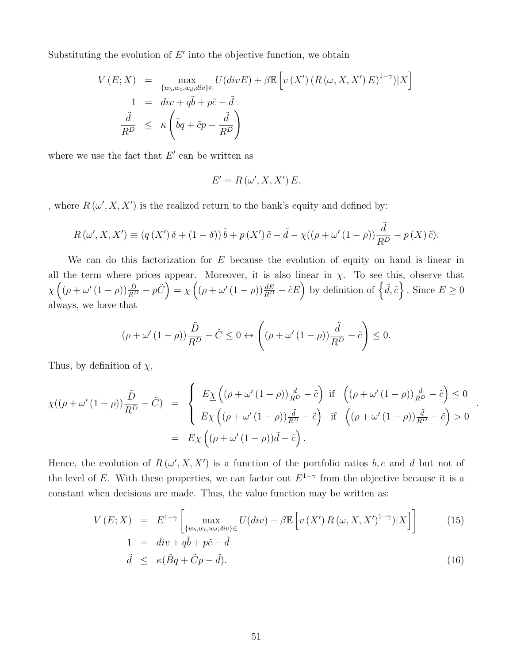Substituting the evolution of  $E'$  into the objective function, we obtain

$$
V(E;X) = \max_{\{w_b, w_c, w_d, div\} \in} U(divE) + \beta \mathbb{E}\left[v(X')\left(R\left(\omega, X, X'\right)E\right)^{1-\gamma}\right)|X\right]
$$
  
\n
$$
1 = div + q\tilde{b} + p\tilde{c} - \tilde{d}
$$
  
\n
$$
\frac{\tilde{d}}{R^D} \le \kappa \left(\tilde{b}q + \tilde{c}p - \frac{\tilde{d}}{R^D}\right)
$$

where we use the fact that  $E'$  can be written as

$$
E'=R(\omega',X,X')E,
$$

, where  $R(\omega', X, X')$  is the realized return to the bank's equity and defined by:

$$
R(\omega', X, X') \equiv (q(X')\,\delta + (1 - \delta))\,\tilde{b} + p(X')\,\tilde{c} - \tilde{d} - \chi((\rho + \omega'(1 - \rho))\frac{\tilde{d}}{R^D} - p(X)\,\tilde{c}).
$$

We can do this factorization for  $E$  because the evolution of equity on hand is linear in all the term where prices appear. Moreover, it is also linear in  $\chi$ . To see this, observe that  $\chi\left((\rho+\omega'(1-\rho))\frac{\tilde{D}}{R^D}-p\tilde{C}\right)=\chi\left((\rho+\omega'(1-\rho))\frac{\tilde{d}E}{R^D}-\tilde{c}E\right)$  by definition of  $\left\{\tilde{d},\tilde{c}\right\}$ . Since  $E\geq 0$ always, we have that

$$
(\rho + \omega'(1 - \rho))\frac{\tilde{D}}{R^{D}} - \tilde{C} \le 0 \leftrightarrow \left((\rho + \omega'(1 - \rho))\frac{\tilde{d}}{R^{D}} - \tilde{c}\right) \le 0.
$$

Thus, by definition of  $\chi$ ,

$$
\chi((\rho + \omega'(1 - \rho))\frac{\tilde{D}}{R^D} - \tilde{C}) = \begin{cases} E_{\underline{\chi}}((\rho + \omega'(1 - \rho))\frac{\tilde{d}}{R^D} - \tilde{c}) & \text{if } \left((\rho + \omega'(1 - \rho))\frac{\tilde{d}}{R^D} - \tilde{c}\right) \le 0 \\ E_{\overline{\chi}}((\rho + \omega'(1 - \rho))\frac{\tilde{d}}{R^D} - \tilde{c}) & \text{if } \left((\rho + \omega'(1 - \rho))\frac{\tilde{d}}{R^D} - \tilde{c}\right) > 0 \end{cases}
$$
  
=  $E_{\chi}((\rho + \omega'(1 - \rho))\tilde{d} - \tilde{c}).$ 

Hence, the evolution of  $R(\omega', X, X')$  is a function of the portfolio ratios b, c and d but not of the level of E. With these properties, we can factor out  $E^{1-\gamma}$  from the objective because it is a constant when decisions are made. Thus, the value function may be written as:

<span id="page-51-0"></span>
$$
V(E;X) = E^{1-\gamma} \left[ \max_{\{w_b, w_c, w_d, div\} \in} U(div) + \beta \mathbb{E} \left[ v(X') R(\omega, X, X')^{1-\gamma} | X \right] \right]
$$
(15)  
1 = div + q\tilde{b} + p\tilde{c} - \tilde{d}

$$
\tilde{d} \le \kappa (\tilde{B}q + \tilde{C}p - \tilde{d}). \tag{16}
$$

.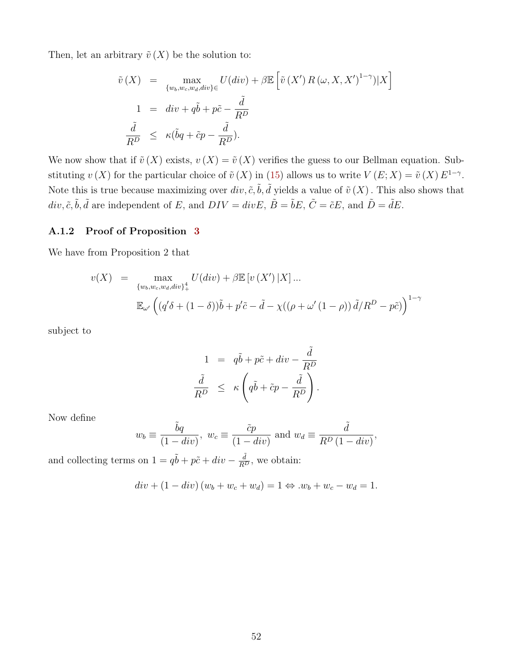Then, let an arbitrary  $\tilde{v}(X)$  be the solution to:

$$
\tilde{v}(X) = \max_{\{w_b, w_c, w_d, div\} \in} U(div) + \beta \mathbb{E} \left[ \tilde{v}(X') R(\omega, X, X')^{1-\gamma}) |X \right]
$$
  
\n
$$
1 = div + q\tilde{b} + p\tilde{c} - \frac{\tilde{d}}{R^D}
$$
  
\n
$$
\frac{\tilde{d}}{R^D} \le \kappa (\tilde{b}q + \tilde{c}p - \frac{\tilde{d}}{R^D}).
$$

We now show that if  $\tilde{v}(X)$  exists,  $v(X) = \tilde{v}(X)$  verifies the guess to our Bellman equation. Substituting  $v(X)$  for the particular choice of  $\tilde{v}(X)$  in [\(15\)](#page-51-0) allows us to write  $V(E;X) = \tilde{v}(X) E^{1-\gamma}$ . Note this is true because maximizing over  $div, \tilde{c}, \tilde{b}, \tilde{d}$  yields a value of  $\tilde{v}(X)$ . This also shows that  $div, \tilde{c}, \tilde{b}, \tilde{d}$  are independent of E, and  $DIV = divE, \tilde{B} = \tilde{b}E, \tilde{C} = \tilde{c}E$ , and  $\tilde{D} = \tilde{d}E$ .

#### A.1.2 Proof of Proposition [3](#page-14-1)

We have from Proposition 2 that

$$
v(X) = \max_{\{w_b, w_c, w_d, div\}_{+}^4} U(div) + \beta \mathbb{E}\left[v(X')|X\right]...
$$
  

$$
\mathbb{E}_{\omega'}\left((q'\delta + (1-\delta))\tilde{b} + p'\tilde{c} - \tilde{d} - \chi((\rho + \omega'(1-\rho))\tilde{d}/R^D - p\tilde{c})\right)^{1-\gamma}
$$

subject to

$$
1 = q\tilde{b} + p\tilde{c} + div - \frac{\tilde{d}}{R^D}
$$
  

$$
\frac{\tilde{d}}{R^D} \le \kappa \left( q\tilde{b} + \tilde{c}p - \frac{\tilde{d}}{R^D} \right).
$$

Now define

$$
w_b \equiv \frac{\tilde{b}q}{(1 - div)}, \ w_c \equiv \frac{\tilde{c}p}{(1 - div)} \text{ and } w_d \equiv \frac{\tilde{d}}{R^D (1 - div)},
$$

and collecting terms on  $1 = q\tilde{b} + p\tilde{c} + div - \frac{\tilde{d}}{R^D}$ , we obtain:

$$
div + (1 - div) (w_b + w_c + w_d) = 1 \Leftrightarrow w_b + w_c - w_d = 1.
$$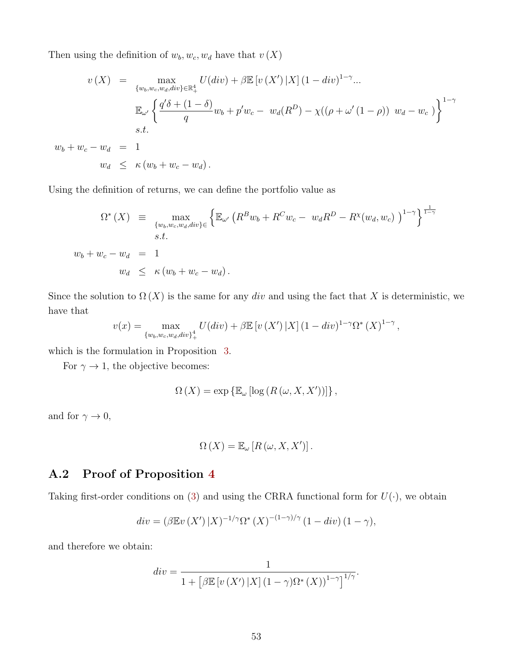Then using the definition of  $w_b, w_c, w_d$  have that  $v(X)$ 

$$
v(X) = \max_{\{w_b, w_c, w_d, div\} \in \mathbb{R}_+^4} U(div) + \beta \mathbb{E} \left[ v(X') | X \right] (1 - div)^{1 - \gamma} ...
$$
  

$$
\mathbb{E}_{\omega'} \left\{ \frac{q'\delta + (1 - \delta)}{q} w_b + p' w_c - w_d(R^D) - \chi((\rho + \omega'(1 - \rho)) w_d - w_c) \right\}^{1 - \gamma}
$$
  
s.t.  

$$
w_b + w_c - w_d = 1
$$
  

$$
w_d \le \kappa (w_b + w_c - w_d).
$$

Using the definition of returns, we can define the portfolio value as

$$
\Omega^*(X) = \max_{\{w_b, w_c, w_d, div\} \in \left\{ \mathbb{E}_{\omega'} \left( R^B w_b + R^C w_c - w_d R^D - R^X (w_d, w_c) \right)^{1-\gamma} \right\}^{\frac{1}{1-\gamma}}
$$
  
s.t.  

$$
w_b + w_c - w_d = 1
$$
  

$$
w_d \le \kappa (w_b + w_c - w_d).
$$

Since the solution to  $\Omega(X)$  is the same for any div and using the fact that X is deterministic, we have that

$$
v(x) = \max_{\{w_b, w_c, w_d, div\}_{+}^{4}} U(div) + \beta \mathbb{E}\left[v\left(X'\right)|X\right] (1 - div)^{1-\gamma} \Omega^*\left(X\right)^{1-\gamma},
$$

which is the formulation in Proposition [3.](#page-14-1)

For  $\gamma \to 1$ , the objective becomes:

$$
\Omega\left(X\right) = \exp\left\{\mathbb{E}_{\omega}\left[\log\left(R\left(\omega, X, X'\right)\right)\right]\right\},\
$$

and for  $\gamma \to 0,$ 

$$
\Omega(X) = \mathbb{E}_{\omega}[R(\omega, X, X')].
$$

## A.2 Proof of Proposition [4](#page-15-0)

Taking first-order conditions on [\(3\)](#page-13-3) and using the CRRA functional form for  $U(\cdot)$ , we obtain

$$
div = (\beta \mathbb{E}v(X')|X)^{-1/\gamma} \Omega^*(X)^{-(1-\gamma)/\gamma} (1 - div) (1 - \gamma),
$$

and therefore we obtain:

$$
div = \frac{1}{1 + \left[\beta \mathbb{E}\left[v\left(X'\right) | X\right] \left(1 - \gamma\right) \Omega^*\left(X\right)\right)^{1 - \gamma}\right]^{1/\gamma}}.
$$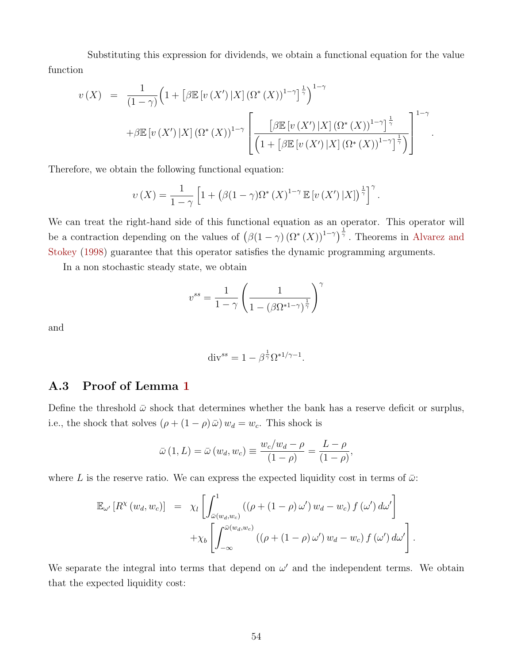<span id="page-54-0"></span>Substituting this expression for dividends, we obtain a functional equation for the value function

$$
v(X) = \frac{1}{(1-\gamma)} \Big( 1 + \left[ \beta \mathbb{E} \left[ v(X') \, | X \right] (\Omega^*(X))^{1-\gamma} \right]^{\frac{1}{\gamma}} \Big)^{1-\gamma}
$$

$$
+ \beta \mathbb{E} \left[ v(X') \, | X \right] (\Omega^*(X))^{1-\gamma} \left[ \frac{\left[ \beta \mathbb{E} \left[ v(X') \, | X \right] (\Omega^*(X))^{1-\gamma} \right]^{\frac{1}{\gamma}}}{\left( 1 + \left[ \beta \mathbb{E} \left[ v(X') \, | X \right] (\Omega^*(X))^{1-\gamma} \right]^{\frac{1}{\gamma}} \right)} \right]^{1-\gamma}
$$

.

Therefore, we obtain the following functional equation:

$$
\upsilon(X) = \frac{1}{1-\gamma} \left[ 1 + \left( \beta(1-\gamma)\Omega^*(X)^{1-\gamma} \mathbb{E}\left[ \upsilon(X') \, |X| \right)^{\frac{1}{\gamma}} \right]^\gamma.
$$

We can treat the right-hand side of this functional equation as an operator. This operator will be a contraction depending on the values of  $(\beta(1-\gamma)(\Omega^*(X))^{1-\gamma})^{\frac{1}{\gamma}}$ . Theorems in [Alvarez and](#page-46-1) [Stokey](#page-46-1) [\(1998\)](#page-46-1) guarantee that this operator satisfies the dynamic programming arguments.

In a non stochastic steady state, we obtain

$$
v^{ss} = \frac{1}{1 - \gamma} \left( \frac{1}{1 - (\beta \Omega^{*1 - \gamma})^{\frac{1}{\gamma}}} \right)^{\gamma}
$$

and

$$
\operatorname{div}^{ss} = 1 - \beta^{\frac{1}{\gamma}} \Omega^{*1/\gamma - 1}.
$$

#### A.3 Proof of Lemma [1](#page-20-0)

Define the threshold  $\bar{\omega}$  shock that determines whether the bank has a reserve deficit or surplus, i.e., the shock that solves  $(\rho + (1 - \rho)\bar{\omega})w_d = w_c$ . This shock is

$$
\bar{\omega}(1, L) = \bar{\omega}(w_d, w_c) \equiv \frac{w_c/w_d - \rho}{(1 - \rho)} = \frac{L - \rho}{(1 - \rho)}
$$

,

.

where L is the reserve ratio. We can express the expected liquidity cost in terms of  $\bar{\omega}$ :

$$
\mathbb{E}_{\omega'}\left[R^{\chi}(w_d, w_c)\right] = \chi_l \left[ \int_{\bar{\omega}(w_d, w_c)}^1 ((\rho + (1 - \rho) \omega') w_d - w_c) f(\omega') d\omega' \right] + \chi_b \left[ \int_{-\infty}^{\bar{\omega}(w_d, w_c)} ((\rho + (1 - \rho) \omega') w_d - w_c) f(\omega') d\omega' \right]
$$

We separate the integral into terms that depend on  $\omega'$  and the independent terms. We obtain that the expected liquidity cost: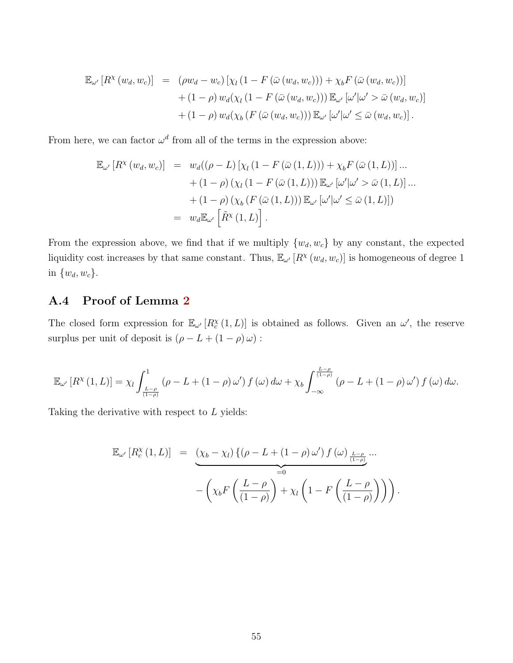$$
\mathbb{E}_{\omega'}[R^{\chi}(w_d, w_c)] = (\rho w_d - w_c) [\chi_l (1 - F(\bar{\omega}(w_d, w_c))) + \chi_b F(\bar{\omega}(w_d, w_c))]
$$
  
+ 
$$
(1 - \rho) w_d(\chi_l (1 - F(\bar{\omega}(w_d, w_c))) \mathbb{E}_{\omega'}[\omega' | \omega' > \bar{\omega}(w_d, w_c)]
$$
  
+ 
$$
(1 - \rho) w_d(\chi_b (F(\bar{\omega}(w_d, w_c))) \mathbb{E}_{\omega'}[\omega' | \omega' \le \bar{\omega}(w_d, w_c)].
$$

From here, we can factor  $\omega^d$  from all of the terms in the expression above:

$$
\mathbb{E}_{\omega'}[R^{\chi}(w_d, w_c)] = w_d((\rho - L) [\chi_l (1 - F(\bar{\omega}(1, L))) + \chi_b F(\bar{\omega}(1, L))] ... \n+ (1 - \rho) (\chi_l (1 - F(\bar{\omega}(1, L))) \mathbb{E}_{\omega'}[\omega' | \omega' > \bar{\omega}(1, L)] ... \n+ (1 - \rho) (\chi_b (F(\bar{\omega}(1, L))) \mathbb{E}_{\omega'}[\omega' | \omega' \le \bar{\omega}(1, L)]) \n= w_d \mathbb{E}_{\omega'}[\tilde{R}^{\chi}(1, L)].
$$

From the expression above, we find that if we multiply  $\{w_d, w_c\}$  by any constant, the expected liquidity cost increases by that same constant. Thus,  $\mathbb{E}_{\omega'}[R^{\chi}(w_d, w_c)]$  is homogeneous of degree 1 in  $\{w_d, w_c\}$ .

## A.4 Proof of Lemma [2](#page-21-0)

The closed form expression for  $\mathbb{E}_{\omega'}[R_c^{\chi}(1,L)]$  is obtained as follows. Given an  $\omega'$ , the reserve surplus per unit of deposit is  $(\rho-L+(1-\rho)\,\omega)$  :

$$
\mathbb{E}_{\omega'}\left[R^{\chi}\left(1,L\right)\right] = \chi_l \int_{\frac{L-\rho}{\left(1-\rho\right)}}^{1} \left(\rho - L + \left(1-\rho\right) \omega'\right) f\left(\omega\right) d\omega + \chi_b \int_{-\infty}^{\frac{L-\rho}{\left(1-\rho\right)}} \left(\rho - L + \left(1-\rho\right) \omega'\right) f\left(\omega\right) d\omega.
$$

Taking the derivative with respect to  $L$  yields:

$$
\mathbb{E}_{\omega'}[R_c^{\chi}(1,L)] = \underbrace{\left(\chi_b - \chi_l\right) \left\{ \left(\rho - L + (1-\rho)\,\omega'\right) f\left(\omega\right)_{\frac{L-\rho}{(1-\rho)}}\right.}_{=0} \cdots - \left(\chi_b F\left(\frac{L-\rho}{(1-\rho)}\right) + \chi_l \left(1 - F\left(\frac{L-\rho}{(1-\rho)}\right)\right)\right).
$$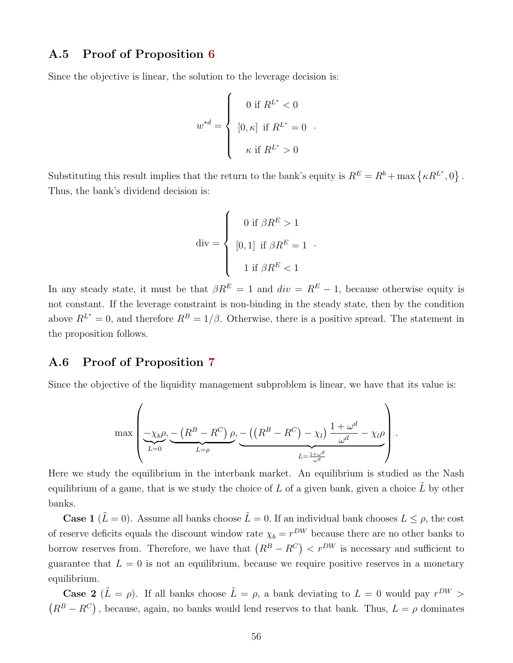#### A.5 Proof of Proposition [6](#page-22-1)

Since the objective is linear, the solution to the leverage decision is:

$$
w^{*d} = \begin{cases} 0 \text{ if } R^{L^*} < 0 \\ [0, \kappa] \text{ if } R^{L^*} = 0 \\ \kappa \text{ if } R^{L^*} > 0 \end{cases}.
$$

Substituting this result implies that the return to the bank's equity is  $R^E = R^b + \max \{ \kappa R^{L^*}, 0 \}$ . Thus, the bank's dividend decision is:

$$
\operatorname{div} = \begin{cases} 0 \text{ if } \beta R^{E} > 1 \\ [0, 1] \text{ if } \beta R^{E} = 1 \\ 1 \text{ if } \beta R^{E} < 1 \end{cases}
$$

.

In any steady state, it must be that  $\beta R^{E} = 1$  and  $div = R^{E} - 1$ , because otherwise equity is not constant. If the leverage constraint is non-binding in the steady state, then by the condition above  $R^{L^*} = 0$ , and therefore  $R^B = 1/\beta$ . Otherwise, there is a positive spread. The statement in the proposition follows.

#### A.6 Proof of Proposition [7](#page-23-0)

Since the objective of the liquidity management subproblem is linear, we have that its value is:

$$
\max \left( \underbrace{-\chi_b \rho}_{L=0}, \underbrace{-(R^B - R^C) \rho}_{L=\rho}, \underbrace{-((R^B - R^C) - \chi_l)}_{L=\frac{1+\omega^d}{\omega^d}} - \chi_l \rho \right).
$$

Here we study the equilibrium in the interbank market. An equilibrium is studied as the Nash equilibrium of a game, that is we study the choice of L of a given bank, given a choice  $\tilde{L}$  by other banks.

**Case 1** ( $\tilde{L} = 0$ ). Assume all banks choose  $\tilde{L} = 0$ . If an individual bank chooses  $L \leq \rho$ , the cost of reserve deficits equals the discount window rate  $\chi_b = r^{DW}$  because there are no other banks to borrow reserves from. Therefore, we have that  $(R^B - R^C) < r^{DW}$  is necessary and sufficient to guarantee that  $L = 0$  is not an equilibrium, because we require positive reserves in a monetary equilibrium.

**Case 2** ( $\tilde{L} = \rho$ ). If all banks choose  $\tilde{L} = \rho$ , a bank deviating to  $L = 0$  would pay  $r^{DW}$  $(R^{B}-R^{C})$ , because, again, no banks would lend reserves to that bank. Thus,  $L = \rho$  dominates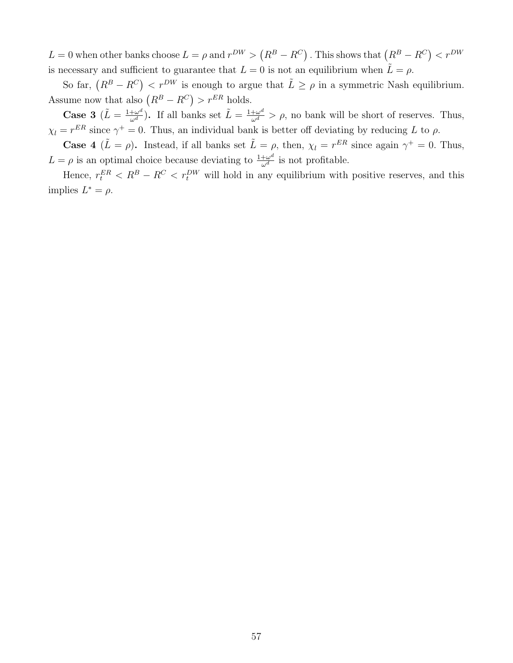$L = 0$  when other banks choose  $L = \rho$  and  $r^{DW} > (R^B - R^C)$  . This shows that  $(R^B - R^C) < r^{DW}$ is necessary and sufficient to guarantee that  $L = 0$  is not an equilibrium when  $\tilde{L} = \rho$ .

So far,  $(R^B - R^C) < r^{DW}$  is enough to argue that  $\tilde{L} \ge \rho$  in a symmetric Nash equilibrium. Assume now that also  $(R^B - R^C) > r^{ER}$  holds.

**Case 3**  $(\tilde{L} = \frac{1+\omega^d}{\omega^d})$ . If all banks set  $\tilde{L} = \frac{1+\omega^d}{\omega^d} > \rho$ , no bank will be short of reserves. Thus,  $\chi_l = r^{ER}$  since  $\gamma^+ = 0$ . Thus, an individual bank is better off deviating by reducing L to  $\rho$ .

**Case 4**  $(L = \rho)$ . Instead, if all banks set  $\tilde{L} = \rho$ , then,  $\chi_l = r^{ER}$  since again  $\gamma^+ = 0$ . Thus,  $L = \rho$  is an optimal choice because deviating to  $\frac{1+\omega^d}{\omega^d}$  is not profitable.

Hence,  $r_t^{ER} < R^B - R^C < r_t^{DW}$  will hold in any equilibrium with positive reserves, and this implies  $L^* = \rho$ .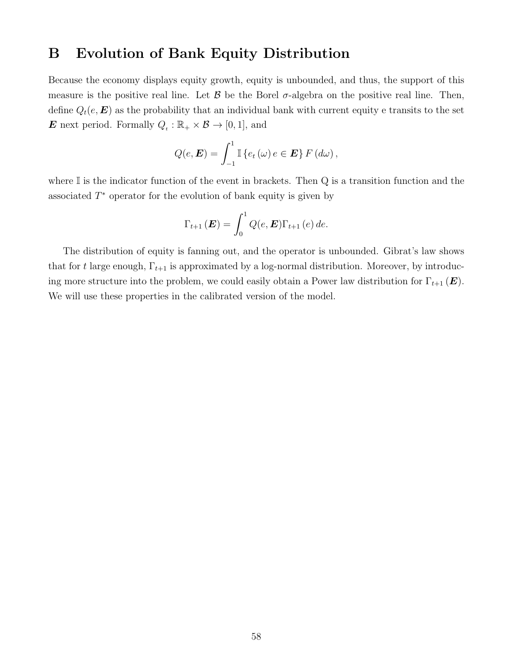## B Evolution of Bank Equity Distribution

Because the economy displays equity growth, equity is unbounded, and thus, the support of this measure is the positive real line. Let  $\beta$  be the Borel  $\sigma$ -algebra on the positive real line. Then, define  $Q_t(e, E)$  as the probability that an individual bank with current equity e transits to the set **E** next period. Formally  $Q_t : \mathbb{R}_+ \times \mathcal{B} \to [0, 1]$ , and

$$
Q(e, \mathbf{E}) = \int_{-1}^{1} \mathbb{I} \left\{ e_t \left( \omega \right) e \in \mathbf{E} \right\} F \left( d\omega \right),
$$

where  $\mathbb I$  is the indicator function of the event in brackets. Then  $Q$  is a transition function and the associated  $T^*$  operator for the evolution of bank equity is given by

$$
\Gamma_{t+1}(\boldsymbol{E}) = \int_0^1 Q(e, \boldsymbol{E}) \Gamma_{t+1}(e) de.
$$

The distribution of equity is fanning out, and the operator is unbounded. Gibrat's law shows that for t large enough,  $\Gamma_{t+1}$  is approximated by a log-normal distribution. Moreover, by introducing more structure into the problem, we could easily obtain a Power law distribution for  $\Gamma_{t+1}(\mathbf{E})$ . We will use these properties in the calibrated version of the model.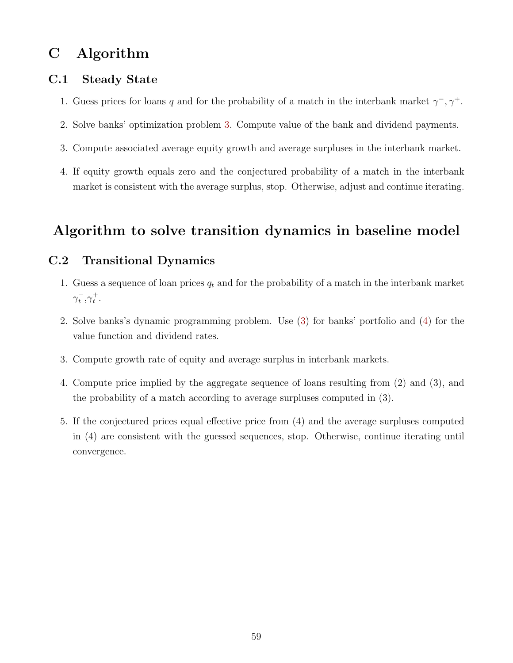# C Algorithm

## C.1 Steady State

- 1. Guess prices for loans q and for the probability of a match in the interbank market  $\gamma^-, \gamma^+$ .
- 2. Solve banks' optimization problem [3.](#page-13-3) Compute value of the bank and dividend payments.
- 3. Compute associated average equity growth and average surpluses in the interbank market.
- 4. If equity growth equals zero and the conjectured probability of a match in the interbank market is consistent with the average surplus, stop. Otherwise, adjust and continue iterating.

## Algorithm to solve transition dynamics in baseline model

## C.2 Transitional Dynamics

- 1. Guess a sequence of loan prices  $q_t$  and for the probability of a match in the interbank market  $\gamma_t^-, \gamma_t^+$ .
- 2. Solve banks's dynamic programming problem. Use [\(3\)](#page-13-3) for banks' portfolio and [\(4\)](#page-15-0) for the value function and dividend rates.
- 3. Compute growth rate of equity and average surplus in interbank markets.
- 4. Compute price implied by the aggregate sequence of loans resulting from (2) and (3), and the probability of a match according to average surpluses computed in (3).
- 5. If the conjectured prices equal effective price from (4) and the average surpluses computed in (4) are consistent with the guessed sequences, stop. Otherwise, continue iterating until convergence.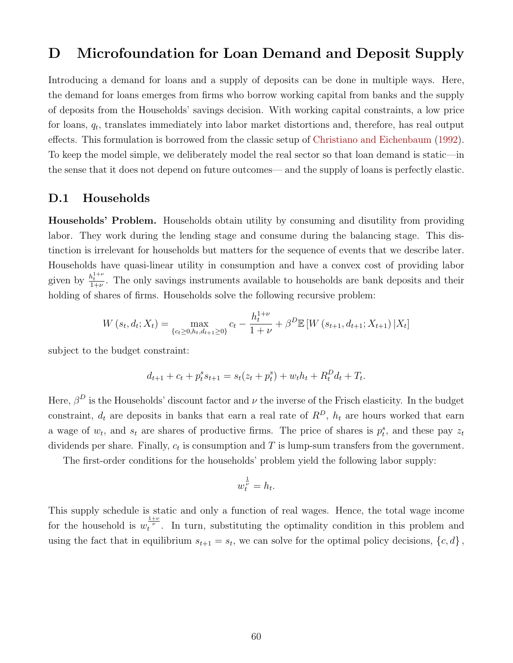## <span id="page-60-0"></span>D Microfoundation for Loan Demand and Deposit Supply

Introducing a demand for loans and a supply of deposits can be done in multiple ways. Here, the demand for loans emerges from firms who borrow working capital from banks and the supply of deposits from the Households' savings decision. With working capital constraints, a low price for loans,  $q_t$ , translates immediately into labor market distortions and, therefore, has real output effects. This formulation is borrowed from the classic setup of [Christiano and Eichenbaum](#page-47-0) [\(1992\)](#page-47-0). To keep the model simple, we deliberately model the real sector so that loan demand is static—in the sense that it does not depend on future outcomes— and the supply of loans is perfectly elastic.

#### D.1 Households

Households' Problem. Households obtain utility by consuming and disutility from providing labor. They work during the lending stage and consume during the balancing stage. This distinction is irrelevant for households but matters for the sequence of events that we describe later. Households have quasi-linear utility in consumption and have a convex cost of providing labor given by  $\frac{h_t^{1+\nu}}{1+\nu}$ . The only savings instruments available to households are bank deposits and their holding of shares of firms. Households solve the following recursive problem:

$$
W(s_t, d_t; X_t) = \max_{\{c_t \ge 0, h_t, d_{t+1} \ge 0\}} c_t - \frac{h_t^{1+\nu}}{1+\nu} + \beta^D \mathbb{E}\left[W\left(s_{t+1}, d_{t+1}; X_{t+1}\right) | X_t\right]
$$

subject to the budget constraint:

$$
d_{t+1} + c_t + p_t^s s_{t+1} = s_t(z_t + p_t^s) + w_t h_t + R_t^D d_t + T_t.
$$

Here,  $\beta^D$  is the Households' discount factor and  $\nu$  the inverse of the Frisch elasticity. In the budget constraint,  $d_t$  are deposits in banks that earn a real rate of  $R^D$ ,  $h_t$  are hours worked that earn a wage of  $w_t$ , and  $s_t$  are shares of productive firms. The price of shares is  $p_t^s$ , and these pay  $z_t$ dividends per share. Finally,  $c_t$  is consumption and T is lump-sum transfers from the government.

The first-order conditions for the households' problem yield the following labor supply:

$$
w_t^{\frac{1}{\nu}} = h_t.
$$

This supply schedule is static and only a function of real wages. Hence, the total wage income for the household is  $w_t^{\frac{1+\nu}{\nu}}$ . In turn, substituting the optimality condition in this problem and using the fact that in equilibrium  $s_{t+1} = s_t$ , we can solve for the optimal policy decisions,  $\{c, d\}$ ,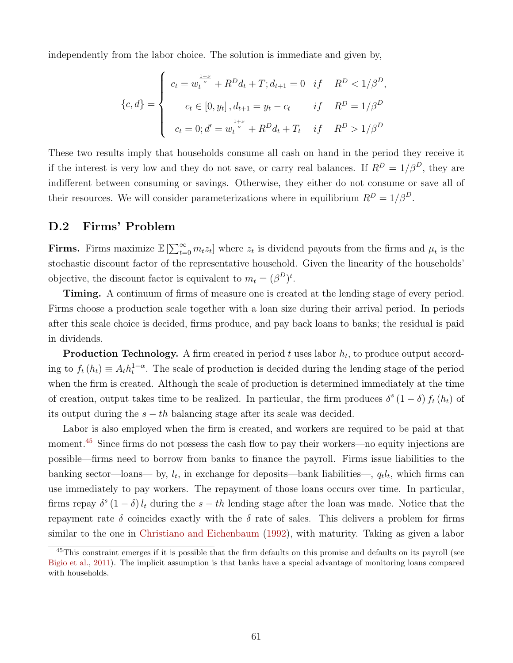<span id="page-61-0"></span>independently from the labor choice. The solution is immediate and given by,

$$
\{c, d\} = \begin{cases} c_t = w_t^{\frac{1+\nu}{\nu}} + R^D d_t + T; d_{t+1} = 0 & \text{if } R^D < 1/\beta^D, \\ c_t \in [0, y_t], d_{t+1} = y_t - c_t & \text{if } R^D = 1/\beta^D \\ c_t = 0; d' = w_t^{\frac{1+\nu}{\nu}} + R^D d_t + T_t & \text{if } R^D > 1/\beta^D \end{cases}
$$

These two results imply that households consume all cash on hand in the period they receive it if the interest is very low and they do not save, or carry real balances. If  $R^D = 1/\beta^D$ , they are indifferent between consuming or savings. Otherwise, they either do not consume or save all of their resources. We will consider parameterizations where in equilibrium  $R^D = 1/\beta^D$ .

## D.2 Firms' Problem

**Firms.** Firms maximize  $\mathbb{E}\left[\sum_{t=0}^{\infty} m_t z_t\right]$  where  $z_t$  is dividend payouts from the firms and  $\mu_t$  is the stochastic discount factor of the representative household. Given the linearity of the households' objective, the discount factor is equivalent to  $m_t = (\beta^D)^t$ .

Timing. A continuum of firms of measure one is created at the lending stage of every period. Firms choose a production scale together with a loan size during their arrival period. In periods after this scale choice is decided, firms produce, and pay back loans to banks; the residual is paid in dividends.

**Production Technology.** A firm created in period  $t$  uses labor  $h_t$ , to produce output according to  $f_t(h_t) \equiv A_t h_t^{1-\alpha}$ . The scale of production is decided during the lending stage of the period when the firm is created. Although the scale of production is determined immediately at the time of creation, output takes time to be realized. In particular, the firm produces  $\delta^s (1 - \delta) f_t(h_t)$  of its output during the  $s - th$  balancing stage after its scale was decided.

Labor is also employed when the firm is created, and workers are required to be paid at that moment.<sup>[45](#page-61-1)</sup> Since firms do not possess the cash flow to pay their workers—no equity injections are possible—firms need to borrow from banks to finance the payroll. Firms issue liabilities to the banking sector—loans— by,  $l_t$ , in exchange for deposits—bank liabilities—,  $q_t l_t$ , which firms can use immediately to pay workers. The repayment of those loans occurs over time. In particular, firms repay  $\delta^s (1 - \delta) l_t$  during the  $s - th$  lending stage after the loan was made. Notice that the repayment rate  $\delta$  coincides exactly with the  $\delta$  rate of sales. This delivers a problem for firms similar to the one in [Christiano and Eichenbaum](#page-47-0) [\(1992\)](#page-47-0), with maturity. Taking as given a labor

<span id="page-61-1"></span> $45$ This constraint emerges if it is possible that the firm defaults on this promise and defaults on its payroll (see [Bigio et al.,](#page-46-2) [2011\)](#page-46-2). The implicit assumption is that banks have a special advantage of monitoring loans compared with households.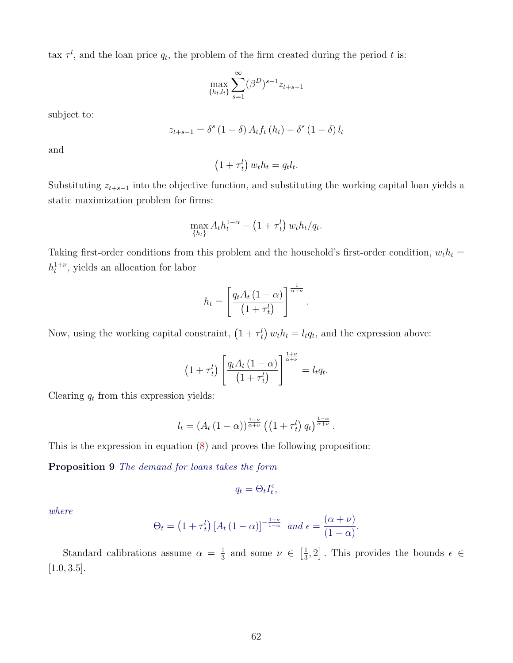tax  $\tau^l$ , and the loan price  $q_t$ , the problem of the firm created during the period t is:

$$
\max_{\{h_t, l_t\}} \sum_{s=1}^{\infty} (\beta^D)^{s-1} z_{t+s-1}
$$

subject to:

$$
z_{t+s-1} = \delta^s (1 - \delta) A_t f_t (h_t) - \delta^s (1 - \delta) l_t
$$

and

$$
(1 + \tau_t^l) w_t h_t = q_t l_t.
$$

Substituting  $z_{t+s-1}$  into the objective function, and substituting the working capital loan yields a static maximization problem for firms:

$$
\max_{\{h_t\}} A_t h_t^{1-\alpha} - \left(1 + \tau_t^l\right) w_t h_t / q_t.
$$

Taking first-order conditions from this problem and the household's first-order condition,  $w_t h_t =$  $h_t^{1+\nu}$ , yields an allocation for labor

$$
h_t = \left[\frac{q_t A_t (1-\alpha)}{(1+\tau_t^l)}\right]^{\frac{1}{\alpha+\nu}}.
$$

Now, using the working capital constraint,  $(1 + \tau_t^l) w_t h_t = l_t q_t$ , and the expression above:

$$
(1 + \tau_t^l) \left[ \frac{q_t A_t (1 - \alpha)}{(1 + \tau_t^l)} \right]^{\frac{1 + \nu}{\alpha + \nu}} = l_t q_t.
$$

Clearing  $q_t$  from this expression yields:

$$
l_t = \left(A_t\left(1-\alpha\right)\right)^{\frac{1+\nu}{\alpha+\nu}} \left(\left(1+\tau_t^l\right)q_t\right)^{\frac{1-\alpha}{\alpha+\nu}}.
$$

This is the expression in equation [\(8\)](#page-15-1) and proves the following proposition:

Proposition 9 The demand for loans takes the form

$$
q_t = \Theta_t I_t^{\epsilon},
$$

where

$$
\Theta_t = \left(1 + \tau_t^l\right) \left[A_t \left(1 - \alpha\right)\right]^{-\frac{1+\nu}{1-\alpha}} \text{ and } \epsilon = \frac{(\alpha + \nu)}{(1 - \alpha)}.
$$

Standard calibrations assume  $\alpha = \frac{1}{3}$  $\frac{1}{3}$  and some  $\nu \in \left[\frac{1}{3}\right]$  $\left[\frac{1}{3},2\right]$ . This provides the bounds  $\epsilon \in$  $[1.0, 3.5]$ .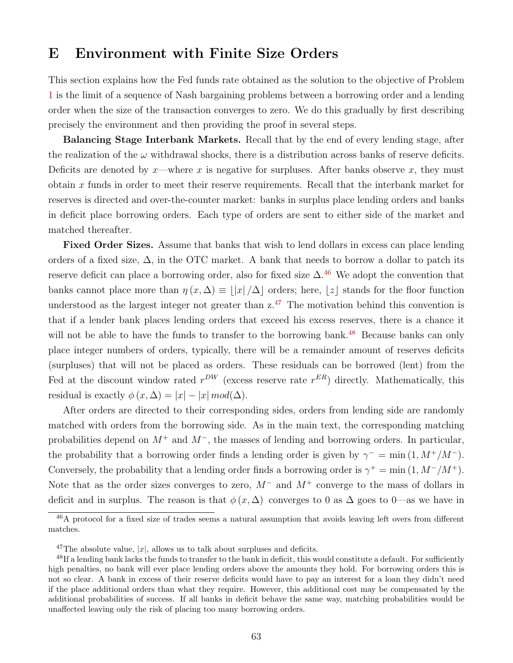## E Environment with Finite Size Orders

This section explains how the Fed funds rate obtained as the solution to the objective of Problem [1](#page-9-0) is the limit of a sequence of Nash bargaining problems between a borrowing order and a lending order when the size of the transaction converges to zero. We do this gradually by first describing precisely the environment and then providing the proof in several steps.

Balancing Stage Interbank Markets. Recall that by the end of every lending stage, after the realization of the  $\omega$  withdrawal shocks, there is a distribution across banks of reserve deficits. Deficits are denoted by x—where x is negative for surpluses. After banks observe x, they must obtain x funds in order to meet their reserve requirements. Recall that the interbank market for reserves is directed and over-the-counter market: banks in surplus place lending orders and banks in deficit place borrowing orders. Each type of orders are sent to either side of the market and matched thereafter.

Fixed Order Sizes. Assume that banks that wish to lend dollars in excess can place lending orders of a fixed size,  $\Delta$ , in the OTC market. A bank that needs to borrow a dollar to patch its reserve deficit can place a borrowing order, also for fixed size  $\Delta$ .<sup>[46](#page-63-0)</sup> We adopt the convention that banks cannot place more than  $\eta(x, \Delta) \equiv ||x| / \Delta$  orders; here, |z| stands for the floor function understood as the largest integer not greater than  $z^{47}$  $z^{47}$  $z^{47}$ . The motivation behind this convention is that if a lender bank places lending orders that exceed his excess reserves, there is a chance it will not be able to have the funds to transfer to the borrowing bank.<sup>[48](#page-63-2)</sup> Because banks can only place integer numbers of orders, typically, there will be a remainder amount of reserves deficits (surpluses) that will not be placed as orders. These residuals can be borrowed (lent) from the Fed at the discount window rated  $r^{DW}$  (excess reserve rate  $r^{ER}$ ) directly. Mathematically, this residual is exactly  $\phi(x, \Delta) = |x| - |x| \mod(\Delta)$ .

After orders are directed to their corresponding sides, orders from lending side are randomly matched with orders from the borrowing side. As in the main text, the corresponding matching probabilities depend on  $M^+$  and  $M^-$ , the masses of lending and borrowing orders. In particular, the probability that a borrowing order finds a lending order is given by  $\gamma^- = \min(1, M^+/M^-)$ . Conversely, the probability that a lending order finds a borrowing order is  $\gamma^+ = \min(1, M^-/M^+)$ . Note that as the order sizes converges to zero,  $M^-$  and  $M^+$  converge to the mass of dollars in deficit and in surplus. The reason is that  $\phi(x, \Delta)$  converges to 0 as  $\Delta$  goes to 0—as we have in

<span id="page-63-0"></span><sup>&</sup>lt;sup>46</sup>A protocol for a fixed size of trades seems a natural assumption that avoids leaving left overs from different matches.

<span id="page-63-2"></span><span id="page-63-1"></span><sup>&</sup>lt;sup>47</sup>The absolute value,  $|x|$ , allows us to talk about surpluses and deficits.

<sup>&</sup>lt;sup>48</sup>If a lending bank lacks the funds to transfer to the bank in deficit, this would constitute a default. For sufficiently high penalties, no bank will ever place lending orders above the amounts they hold. For borrowing orders this is not so clear. A bank in excess of their reserve deficits would have to pay an interest for a loan they didn't need if the place additional orders than what they require. However, this additional cost may be compensated by the additional probabilities of success. If all banks in deficit behave the same way, matching probabilities would be unaffected leaving only the risk of placing too many borrowing orders.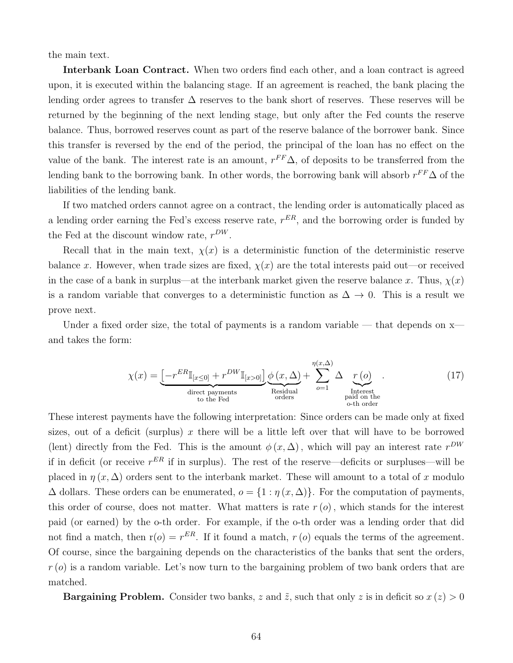the main text.

Interbank Loan Contract. When two orders find each other, and a loan contract is agreed upon, it is executed within the balancing stage. If an agreement is reached, the bank placing the lending order agrees to transfer  $\Delta$  reserves to the bank short of reserves. These reserves will be returned by the beginning of the next lending stage, but only after the Fed counts the reserve balance. Thus, borrowed reserves count as part of the reserve balance of the borrower bank. Since this transfer is reversed by the end of the period, the principal of the loan has no effect on the value of the bank. The interest rate is an amount,  $r^{FF}\Delta$ , of deposits to be transferred from the lending bank to the borrowing bank. In other words, the borrowing bank will absorb  $r^{FF} \Delta$  of the liabilities of the lending bank.

If two matched orders cannot agree on a contract, the lending order is automatically placed as a lending order earning the Fed's excess reserve rate,  $r^{ER}$ , and the borrowing order is funded by the Fed at the discount window rate,  $r^{DW}$ .

Recall that in the main text,  $\chi(x)$  is a deterministic function of the deterministic reserve balance x. However, when trade sizes are fixed,  $\chi(x)$  are the total interests paid out—or received in the case of a bank in surplus—at the interbank market given the reserve balance x. Thus,  $\chi(x)$ is a random variable that converges to a deterministic function as  $\Delta \to 0$ . This is a result we prove next.

Under a fixed order size, the total of payments is a random variable — that depends on  $x$ and takes the form:

<span id="page-64-0"></span>
$$
\chi(x) = \underbrace{\left[-r^{ER}\mathbb{I}_{[x\leq 0]} + r^{DW}\mathbb{I}_{[x>0]}\right]}_{\text{direct payments}} \underbrace{\phi(x,\Delta)}_{\text{Residual}} + \sum_{o=1}^{\eta(x,\Delta)} \Delta \underbrace{r(o)}_{\text{Interest} \text{paired to the Fed}}.
$$
\n(17)

These interest payments have the following interpretation: Since orders can be made only at fixed sizes, out of a deficit (surplus)  $x$  there will be a little left over that will have to be borrowed (lent) directly from the Fed. This is the amount  $\phi(x, \Delta)$ , which will pay an interest rate  $r^{DW}$ if in deficit (or receive  $r^{ER}$  if in surplus). The rest of the reserve—deficits or surpluses—will be placed in  $\eta(x, \Delta)$  orders sent to the interbank market. These will amount to a total of x modulo  $\Delta$  dollars. These orders can be enumerated,  $o = \{1 : \eta(x, \Delta)\}\.$  For the computation of payments, this order of course, does not matter. What matters is rate  $r(\rho)$ , which stands for the interest paid (or earned) by the o-th order. For example, if the o-th order was a lending order that did not find a match, then  $r(o) = r^{ER}$ . If it found a match,  $r(o)$  equals the terms of the agreement. Of course, since the bargaining depends on the characteristics of the banks that sent the orders,  $r(\rho)$  is a random variable. Let's now turn to the bargaining problem of two bank orders that are matched.

**Bargaining Problem.** Consider two banks, z and  $\tilde{z}$ , such that only z is in deficit so  $x(z) > 0$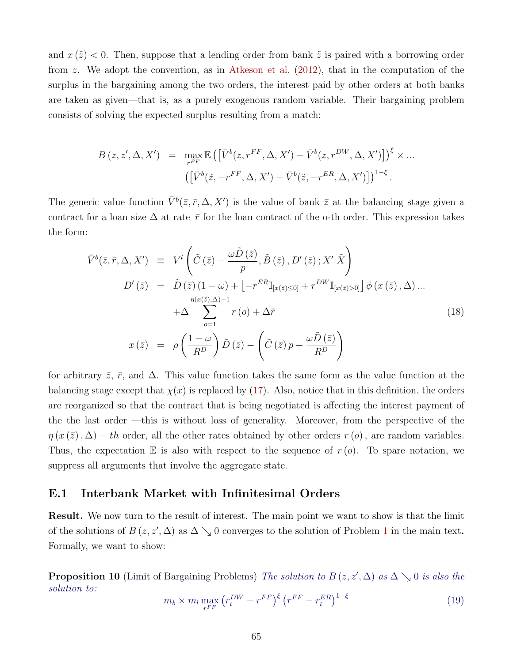<span id="page-65-0"></span>and  $x(\tilde{z}) < 0$ . Then, suppose that a lending order from bank  $\tilde{z}$  is paired with a borrowing order from z. We adopt the convention, as in [Atkeson et al.](#page-46-3) [\(2012\)](#page-46-3), that in the computation of the surplus in the bargaining among the two orders, the interest paid by other orders at both banks are taken as given—that is, as a purely exogenous random variable. Their bargaining problem consists of solving the expected surplus resulting from a match:

$$
B(z, z', \Delta, X') = \max_{r^{FF}} \mathbb{E}\left(\left[\bar{V}^b(z, r^{FF}, \Delta, X') - \bar{V}^b(z, r^{DW}, \Delta, X')\right]\right)^{\xi} \times \dots
$$

$$
\left(\left[\bar{V}^b(\tilde{z}, -r^{FF}, \Delta, X') - \bar{V}^b(\tilde{z}, -r^{ER}, \Delta, X')\right]\right)^{1-\xi}.
$$

The generic value function  $\bar{V}^b(\bar{z},\bar{r},\Delta,X')$  is the value of bank  $\bar{z}$  at the balancing stage given a contract for a loan size  $\Delta$  at rate  $\bar{r}$  for the loan contract of the o-th order. This expression takes the form:

$$
\bar{V}^{b}(\bar{z},\bar{r},\Delta,X') \equiv V^{l}\left(\tilde{C}\left(\bar{z}\right)-\frac{\omega\tilde{D}\left(\bar{z}\right)}{p},\tilde{B}\left(\bar{z}\right),D'\left(\bar{z}\right);X'\vert\tilde{X}\right)
$$
\n
$$
D'\left(\bar{z}\right) = \tilde{D}\left(\bar{z}\right)\left(1-\omega\right)+\left[-r^{ER}\mathbb{I}_{[x(\bar{z})\leq 0]}+r^{DW}\mathbb{I}_{[x(\bar{z})>0]}\right]\phi\left(x\left(\bar{z}\right),\Delta\right)...
$$
\n
$$
+\Delta\sum_{o=1}^{\eta(x(\bar{z}),\Delta)-1}r\left(o\right)+\Delta\bar{r}
$$
\n
$$
x\left(\bar{z}\right) = \rho\left(\frac{1-\omega}{R^{D}}\right)\tilde{D}\left(\bar{z}\right)-\left(\tilde{C}\left(\bar{z}\right)p-\frac{\omega\tilde{D}\left(\bar{z}\right)}{R^{D}}\right)
$$
\n(18)

for arbitrary  $\bar{z}$ ,  $\bar{r}$ , and  $\Delta$ . This value function takes the same form as the value function at the balancing stage except that  $\chi(x)$  is replaced by [\(17\)](#page-64-0). Also, notice that in this definition, the orders are reorganized so that the contract that is being negotiated is affecting the interest payment of the the last order —this is without loss of generality. Moreover, from the perspective of the  $\eta(x(\bar{z}), \Delta) - th$  order, all the other rates obtained by other orders  $r(\rho)$ , are random variables. Thus, the expectation  $E$  is also with respect to the sequence of  $r(\rho)$ . To spare notation, we suppress all arguments that involve the aggregate state.

#### E.1 Interbank Market with Infinitesimal Orders

Result. We now turn to the result of interest. The main point we want to show is that the limit of the solutions of  $B(z, z', \Delta)$  as  $\Delta \searrow 0$  converges to the solution of Problem [1](#page-9-0) in the main text. Formally, we want to show:

<span id="page-65-1"></span>**Proposition 10** (Limit of Bargaining Problems) The solution to  $B(z, z', \Delta)$  as  $\Delta \searrow 0$  is also the solution to:

<span id="page-65-2"></span>
$$
m_b \times m_l \max_{r^{FF}} \left( r_t^{DW} - r^{FF} \right)^{\xi} \left( r^{FF} - r_t^{ER} \right)^{1-\xi} \tag{19}
$$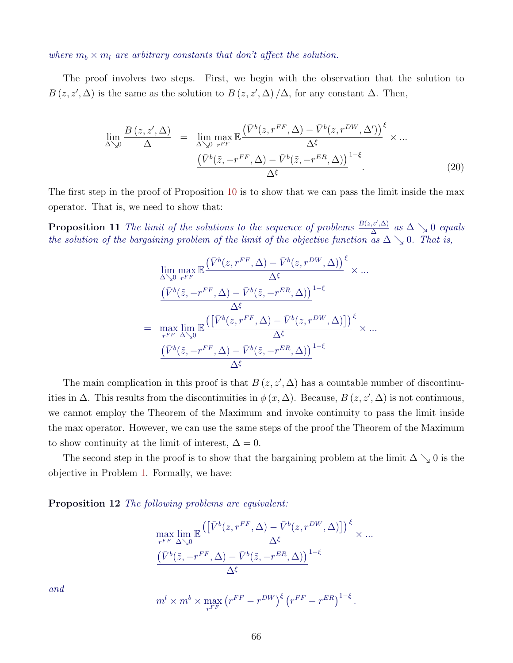where  $m_b \times m_l$  are arbitrary constants that don't affect the solution.

The proof involves two steps. First, we begin with the observation that the solution to  $B(z, z', \Delta)$  is the same as the solution to  $B(z, z', \Delta)/\Delta$ , for any constant  $\Delta$ . Then,

$$
\lim_{\Delta \searrow 0} \frac{B(z, z', \Delta)}{\Delta} = \lim_{\Delta \searrow 0} \max_{r^{FF}} \mathbb{E} \frac{(\bar{V}^b(z, r^{FF}, \Delta) - \bar{V}^b(z, r^{DW}, \Delta'))}{\Delta^{\xi}} \times \dots
$$
\n
$$
\frac{(\bar{V}^b(\tilde{z}, -r^{FF}, \Delta) - \bar{V}^b(\tilde{z}, -r^{ER}, \Delta))}{\Delta^{\xi}}^{1-\xi}.
$$
\n(20)

The first step in the proof of Proposition [10](#page-65-1) is to show that we can pass the limit inside the max operator. That is, we need to show that:

<span id="page-66-0"></span>**Proposition 11** The limit of the solutions to the sequence of problems  $\frac{B(z,z',\Delta)}{\Delta}$  $\frac{\alpha^{(z^*,\Delta)}}{\Delta}$  as  $\Delta \searrow 0$  equals the solution of the bargaining problem of the limit of the objective function as  $\Delta \searrow 0$ . That is,

$$
\lim_{\Delta\searrow 0} \max_{r^{FF}} \mathbb{E} \frac{(\bar{V}^b(z, r^{FF}, \Delta) - \bar{V}^b(z, r^{DW}, \Delta))}{\Delta^{\xi}} \times \dots
$$
\n
$$
\frac{(\bar{V}^b(\tilde{z}, -r^{FF}, \Delta) - \bar{V}^b(\tilde{z}, -r^{ER}, \Delta))}{\Delta^{\xi}}^{1-\xi}
$$
\n
$$
= \max_{r^{FF}} \lim_{\Delta\searrow 0} \mathbb{E} \frac{([\bar{V}^b(z, r^{FF}, \Delta) - \bar{V}^b(z, r^{DW}, \Delta)])^{\xi}}{\Delta^{\xi}} \times \dots
$$
\n
$$
\frac{(\bar{V}^b(\tilde{z}, -r^{FF}, \Delta) - \bar{V}^b(\tilde{z}, -r^{ER}, \Delta))}{\Delta^{\xi}}^{1-\xi}
$$

The main complication in this proof is that  $B(z, z', \Delta)$  has a countable number of discontinuities in  $\Delta$ . This results from the discontinuities in  $\phi(x, \Delta)$ . Because,  $B(z, z', \Delta)$  is not continuous, we cannot employ the Theorem of the Maximum and invoke continuity to pass the limit inside the max operator. However, we can use the same steps of the proof the Theorem of the Maximum to show continuity at the limit of interest,  $\Delta = 0$ .

The second step in the proof is to show that the bargaining problem at the limit  $\Delta \searrow 0$  is the objective in Problem [1.](#page-9-0) Formally, we have:

#### Proposition 12 The following problems are equivalent:

$$
\max_{r^{FF}} \lim_{\Delta \searrow 0} \mathbb{E} \frac{\left( \left[ \bar{V}^b(z, r^{FF}, \Delta) - \bar{V}^b(z, r^{DW}, \Delta) \right] \right)^{\xi}}{\Delta^{\xi}} \times \dots \n\frac{\left( \bar{V}^b(\tilde{z}, -r^{FF}, \Delta) - \bar{V}^b(\tilde{z}, -r^{ER}, \Delta) \right)^{1-\xi}}{\Delta^{\xi}}
$$

and

$$
m^{l} \times m^{b} \times \max_{r^{FF}} (r^{FF} - r^{DW})^{\xi} (r^{FF} - r^{ER})^{1-\xi}.
$$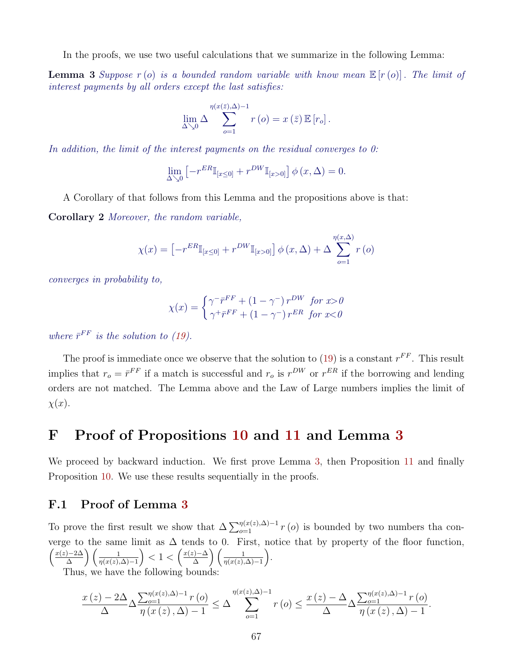In the proofs, we use two useful calculations that we summarize in the following Lemma:

<span id="page-67-0"></span>**Lemma 3** Suppose  $r(s)$  is a bounded random variable with know mean  $\mathbb{E}[r(s)]$ . The limit of interest payments by all orders except the last satisfies:

$$
\lim_{\Delta \searrow 0} \Delta \sum_{o=1}^{\eta(x(\bar{z}),\Delta)-1} r(o) = x(\bar{z}) \mathbb{E}[r_o].
$$

In addition, the limit of the interest payments on the residual converges to 0:

$$
\lim_{\Delta \searrow 0} \left[ -r^{ER} \mathbb{I}_{[x \le 0]} + r^{DW} \mathbb{I}_{[x > 0]} \right] \phi \left( x, \Delta \right) = 0.
$$

A Corollary of that follows from this Lemma and the propositions above is that:

Corollary 2 Moreover, the random variable,

$$
\chi(x) = \left[ -r^{ER} \mathbb{I}_{[x \le 0]} + r^{DW} \mathbb{I}_{[x > 0]} \right] \phi(x, \Delta) + \Delta \sum_{o=1}^{\eta(x, \Delta)} r(o)
$$

converges in probability to,

$$
\chi(x) = \begin{cases} \gamma^{-\bar{r}^{FF}} + (1 - \gamma^{-}) r^{DW} & \text{for } x > 0\\ \gamma^{+\bar{r}^{FF}} + (1 - \gamma^{-}) r^{ER} & \text{for } x < 0 \end{cases}
$$

where  $\bar{r}^{FF}$  is the solution to [\(19\)](#page-65-2).

The proof is immediate once we observe that the solution to  $(19)$  is a constant  $r^{FF}$ . This result implies that  $r_o = \bar{r}^{FF}$  if a match is successful and  $r_o$  is  $r^{DW}$  or  $r^{ER}$  if the borrowing and lending orders are not matched. The Lemma above and the Law of Large numbers implies the limit of  $\chi(x)$ .

## F Proof of Propositions [10](#page-65-1) and [11](#page-66-0) and Lemma [3](#page-67-0)

We proceed by backward induction. We first prove Lemma [3,](#page-67-0) then Proposition [11](#page-66-0) and finally Proposition [10.](#page-65-1) We use these results sequentially in the proofs.

#### F.1 Proof of Lemma [3](#page-67-0)

To prove the first result we show that  $\Delta \sum_{o=1}^{\eta(x(z),\Delta)-1} r(o)$  is bounded by two numbers tha converge to the same limit as  $\Delta$  tends to 0. First, notice that by property of the floor function,  $\int \frac{x(z)-2\Delta}{z}$  $\frac{1}{\Delta}$  a  $\left(\frac{1}{\eta(x(z),\Delta)-1}\right)$  < 1 <  $\left(\frac{x(z)-\Delta}{\Delta}\right)$  $\frac{f(z)-\Delta}{\Delta}$   $\bigg(\frac{1}{\eta(x(z),\Delta)-1}\bigg).$ Thus, we have the following bounds:

$$
\frac{x(z) - 2\Delta}{\Delta} \Delta \frac{\sum_{o=1}^{\eta(x(z),\Delta)-1} r(o)}{\eta(x(z),\Delta)-1} \leq \Delta \sum_{o=1}^{\eta(x(z),\Delta)-1} r(o) \leq \frac{x(z) - \Delta}{\Delta} \Delta \frac{\sum_{o=1}^{\eta(x(z),\Delta)-1} r(o)}{\eta(x(z),\Delta)-1}.
$$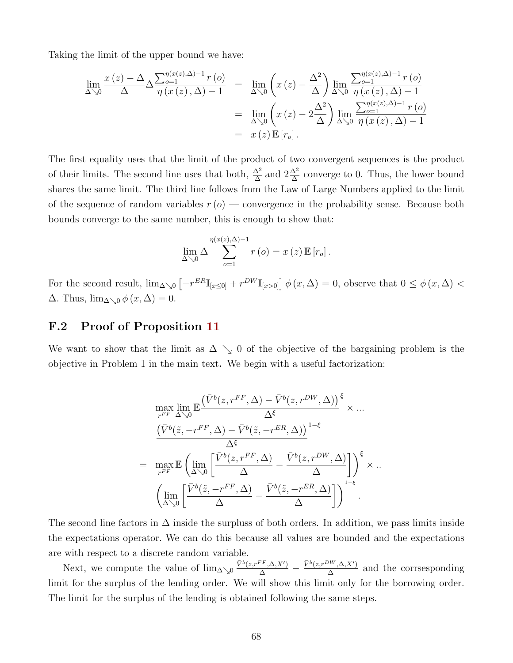Taking the limit of the upper bound we have:

$$
\lim_{\Delta \searrow 0} \frac{x(z) - \Delta}{\Delta} \Delta \frac{\sum_{o=1}^{\eta(x(z), \Delta)-1} r(o)}{\eta(x(z), \Delta) - 1} = \lim_{\Delta \searrow 0} \left( x(z) - \frac{\Delta^2}{\Delta} \right) \lim_{\Delta \searrow 0} \frac{\sum_{o=1}^{\eta(x(z), \Delta)-1} r(o)}{\eta(x(z), \Delta) - 1}
$$
\n
$$
= \lim_{\Delta \searrow 0} \left( x(z) - 2 \frac{\Delta^2}{\Delta} \right) \lim_{\Delta \searrow 0} \frac{\sum_{o=1}^{\eta(x(z), \Delta)-1} r(o)}{\eta(x(z), \Delta) - 1}
$$
\n
$$
= x(z) \mathbb{E}[r_o].
$$

The first equality uses that the limit of the product of two convergent sequences is the product of their limits. The second line uses that both,  $\frac{\Delta^2}{\Delta}$  and  $2\frac{\Delta^2}{\Delta}$  converge to 0. Thus, the lower bound shares the same limit. The third line follows from the Law of Large Numbers applied to the limit of the sequence of random variables  $r(\rho)$  — convergence in the probability sense. Because both bounds converge to the same number, this is enough to show that:

$$
\lim_{\Delta \searrow 0} \Delta \sum_{o=1}^{\eta(x(z),\Delta)-1} r(o) = x(z) \mathbb{E}[r_o].
$$

For the second result,  $\lim_{\Delta\searrow 0} \left[-r^{ER}\mathbb{I}_{x\leq 0]} + r^{DW}\mathbb{I}_{x>0}\right] \phi(x,\Delta) = 0$ , observe that  $0 \leq \phi(x,\Delta) <$  $\Delta$ . Thus,  $\lim_{\Delta\searrow 0} \phi(x, \Delta) = 0$ .

#### F.2 Proof of Proposition [11](#page-66-0)

We want to show that the limit as  $\Delta \searrow 0$  of the objective of the bargaining problem is the objective in Problem 1 in the main text. We begin with a useful factorization:

$$
\max_{r^{FF}} \lim_{\Delta \searrow 0} \mathbb{E} \frac{(\bar{V}^b(z, r^{FF}, \Delta) - \bar{V}^b(z, r^{DW}, \Delta))}{\Delta^{\xi}} \times \dots
$$

$$
\frac{(\bar{V}^b(\tilde{z}, -r^{FF}, \Delta) - \bar{V}^b(\tilde{z}, -r^{ER}, \Delta))}{\Delta^{\xi}}^{1-\xi}
$$

$$
= \max_{r^{FF}} \mathbb{E} \left( \lim_{\Delta \searrow 0} \left[ \frac{\bar{V}^b(z, r^{FF}, \Delta)}{\Delta} - \frac{\bar{V}^b(z, r^{DW}, \Delta)}{\Delta} \right] \right)^{\xi} \times \dots
$$

$$
\left( \lim_{\Delta \searrow 0} \left[ \frac{\bar{V}^b(\tilde{z}, -r^{FF}, \Delta)}{\Delta} - \frac{\bar{V}^b(\tilde{z}, -r^{ER}, \Delta)}{\Delta} \right] \right)^{1-\xi}.
$$

The second line factors in  $\Delta$  inside the surpluss of both orders. In addition, we pass limits inside the expectations operator. We can do this because all values are bounded and the expectations are with respect to a discrete random variable.

Next, we compute the value of  $\lim_{\Delta\searrow 0} \frac{\bar{V}^b(z,r^{FF},\Delta,X')}{\Delta} - \frac{\bar{V}^b(z,r^{DW},\Delta,X')}{\Delta}$  $\frac{\overline{X}, X'}{\Delta}$  and the corrsesponding limit for the surplus of the lending order. We will show this limit only for the borrowing order. The limit for the surplus of the lending is obtained following the same steps.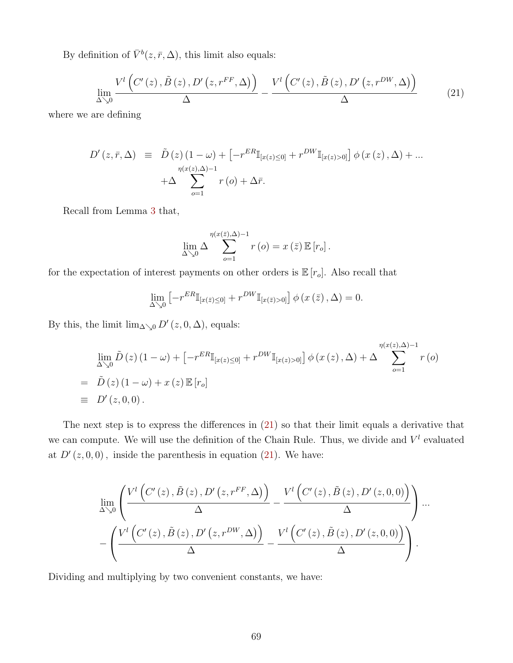By definition of  $\bar{V}^b(z, \bar{r}, \Delta)$ , this limit also equals:

<span id="page-69-0"></span>
$$
\lim_{\Delta \searrow 0} \frac{V^l \left( C'(z), \tilde{B}(z), D'(z, r^{FF}, \Delta) \right)}{\Delta} - \frac{V^l \left( C'(z), \tilde{B}(z), D'(z, r^{DW}, \Delta) \right)}{\Delta} \tag{21}
$$

where we are defining

$$
D'(z, \bar{r}, \Delta) \equiv \tilde{D}(z) (1 - \omega) + \left[ -r^{ER} \mathbb{I}_{[x(z) \le 0]} + r^{DW} \mathbb{I}_{[x(z) > 0]} \right] \phi(x(z), \Delta) + ... + \Delta \sum_{o=1}^{\eta(x(z), \Delta)-1} r(o) + \Delta \bar{r}.
$$

Recall from Lemma [3](#page-67-0) that,

$$
\lim_{\Delta \searrow 0} \Delta \sum_{o=1}^{\eta(x(\bar{z}),\Delta)-1} r(o) = x(\bar{z}) \mathbb{E}[r_o].
$$

for the expectation of interest payments on other orders is  $\mathbb{E}[r_o]$ . Also recall that

$$
\lim_{\Delta \searrow 0} \left[ -r^{ER} \mathbb{I}_{[x(\bar{z}) \le 0]} + r^{DW} \mathbb{I}_{[x(\bar{z}) > 0]} \right] \phi \left( x(\bar{z}), \Delta \right) = 0.
$$

By this, the limit  $\lim_{\Delta\searrow 0} D'(z, 0, \Delta)$ , equals:

$$
\lim_{\Delta \searrow 0} \tilde{D}(z) (1 - \omega) + \left[ -r^{ER} \mathbb{I}_{[x(z) \le 0]} + r^{DW} \mathbb{I}_{[x(z) > 0]} \right] \phi(x(z), \Delta) + \Delta \sum_{o=1}^{\eta(x(z), \Delta)-1} r(o)
$$
\n
$$
= \tilde{D}(z) (1 - \omega) + x(z) \mathbb{E}[r_o]
$$
\n
$$
\equiv D'(z, 0, 0).
$$

The next step is to express the differences in [\(21\)](#page-69-0) so that their limit equals a derivative that we can compute. We will use the definition of the Chain Rule. Thus, we divide and  $V^l$  evaluated at  $D'(z, 0, 0)$ , inside the parenthesis in equation [\(21\)](#page-69-0). We have:

$$
\lim_{\Delta\searrow 0}\left(\frac{V^{l}\left(C'(z),\tilde{B}\left(z\right),D'\left(z,r^{FF},\Delta\right)\right)}{\Delta}-\frac{V^{l}\left(C'\left(z\right),\tilde{B}\left(z\right),D'\left(z,0,0\right)\right)}{\Delta}\right)\cdots-\left(\frac{V^{l}\left(C'\left(z\right),\tilde{B}\left(z\right),D'\left(z,r^{DW},\Delta\right)\right)}{\Delta}-\frac{V^{l}\left(C'\left(z\right),\tilde{B}\left(z\right),D'\left(z,0,0\right)\right)}{\Delta}\right).
$$

Dividing and multiplying by two convenient constants, we have: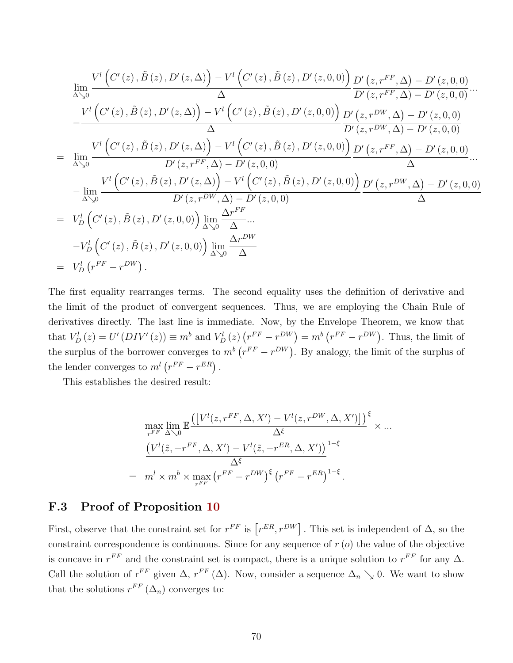$$
\lim_{\Delta\searrow 0} \frac{V^{l}\left(C'(z), \tilde{B}(z), D'(z, \Delta)\right) - V^{l}\left(C'(z), \tilde{B}(z), D'(z, 0, 0)\right)}{\Delta} \frac{D'\left(z, r^{FF}, \Delta\right) - D'(z, 0, 0)}{\Delta} \cdots
$$
\n
$$
- \frac{V^{l}\left(C'(z), \tilde{B}(z), D'(z, \Delta)\right) - V^{l}\left(C'(z), \tilde{B}(z), D'(z, 0, 0)\right)}{\Delta} \frac{D'\left(z, r^{DW}, \Delta\right) - D'(z, 0, 0)}{\Delta}
$$
\n
$$
= \lim_{\Delta\searrow 0} \frac{V^{l}\left(C'(z), \tilde{B}(z), D'(z, \Delta)\right) - V^{l}\left(C'(z), \tilde{B}(z), D'(z, 0, 0)\right)}{\Delta} \frac{D'\left(z, r^{DW}, \Delta\right) - D'(z, 0, 0)}{\Delta} \cdots
$$
\n
$$
= \lim_{\Delta\searrow 0} \frac{V^{l}\left(C'(z), \tilde{B}(z), D'(z, \Delta)\right) - V^{l}\left(C'(z), \tilde{B}(z), D'(z, 0, 0)\right)}{\Delta} \frac{D'\left(z, r^{FW}, \Delta\right) - D'(z, 0, 0)}{\Delta} \cdots
$$
\n
$$
- \lim_{\Delta\searrow 0} \frac{V^{l}\left(C'(z), \tilde{B}(z), D'(z, \Delta)\right) - V^{l}\left(C'(z), \tilde{B}(z), D'(z, 0, 0)\right)}{\Delta} \frac{D'\left(z, r^{DW}, \Delta\right) - D'(z, 0, 0)}{\Delta}
$$
\n
$$
= V_{D}^{l}\left(C'(z), \tilde{B}(z), D'(z, 0, 0)\right) \lim_{\Delta\searrow 0} \frac{\Delta r^{FW}}{\Delta} \cdots
$$
\n
$$
- V_{D}^{l}\left(C'(z), \tilde{B}(z), D'(z, 0, 0)\right) \lim_{\Delta\searrow 0} \frac{\Delta r^{DW}}{\Delta}
$$
\n
$$
= V_{D}^{l}\left(r^{FF} - r^{DW}\right).
$$

The first equality rearranges terms. The second equality uses the definition of derivative and the limit of the product of convergent sequences. Thus, we are employing the Chain Rule of derivatives directly. The last line is immediate. Now, by the Envelope Theorem, we know that that  $V_D^l(z) = U^{\prime}(DIV^{\prime}(z)) \equiv m^b$  and  $V_D^l(z)(r^{FF} - r^{DW}) = m^b(r^{FF} - r^{DW})$ . Thus, the limit of the surplus of the borrower converges to  $m^b(r^{FF} - r^{DW})$ . By analogy, the limit of the surplus of the lender converges to  $m^{l} (r^{FF} - r^{ER})$ .

This establishes the desired result:

$$
\max_{r^{FF}} \lim_{\Delta \searrow 0} \mathbb{E} \frac{\left( \left[ V^l(z, r^{FF}, \Delta, X') - V^l(z, r^{DW}, \Delta, X') \right] \right)^{\xi}}{\Delta^{\xi}} \times \dots \n\frac{\left( V^l(\tilde{z}, -r^{FF}, \Delta, X') - V^l(\tilde{z}, -r^{ER}, \Delta, X') \right)^{1-\xi}}{\Delta^{\xi}} \n= m^l \times m^b \times \max_{r^{FF}} \left( r^{FF} - r^{DW} \right)^{\xi} \left( r^{FF} - r^{ER} \right)^{1-\xi}.
$$

#### F.3 Proof of Proposition [10](#page-65-1)

First, observe that the constraint set for  $r^{FF}$  is  $[r^{ER}, r^{DW}]$ . This set is independent of  $\Delta$ , so the constraint correspondence is continuous. Since for any sequence of  $r(\rho)$  the value of the objective is concave in  $r^{FF}$  and the constraint set is compact, there is a unique solution to  $r^{FF}$  for any  $\Delta$ . Call the solution of  $r^{FF}$  given  $\Delta$ ,  $r^{FF}(\Delta)$ . Now, consider a sequence  $\Delta_n \searrow 0$ . We want to show that the solutions  $r^{FF}(\Delta_n)$  converges to: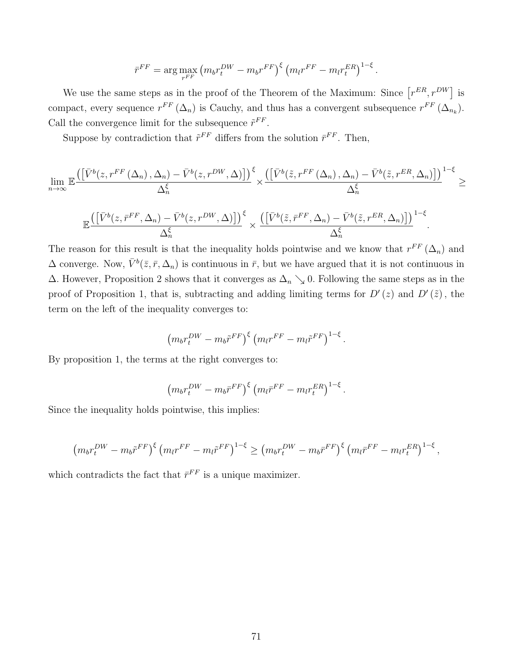$$
\bar{r}^{FF} = \arg \max_{r^{FF}} \left( m_b r_t^{DW} - m_b r^{FF} \right)^{\xi} \left( m_l r^{FF} - m_l r_t^{ER} \right)^{1-\xi}.
$$

We use the same steps as in the proof of the Theorem of the Maximum: Since  $[r^{ER}, r^{DW}]$  is compact, every sequence  $r^{FF}(\Delta_n)$  is Cauchy, and thus has a convergent subsequence  $r^{FF}(\Delta_{n_k})$ . Call the convergence limit for the subsequence  $\tilde{r}^{FF}$ .

Suppose by contradiction that  $\tilde{r}^{FF}$  differs from the solution  $\bar{r}^{FF}$ . Then,

$$
\lim_{n\to\infty} \mathbb{E}\frac{\left(\left[\bar{V}^b(z,r^{FF}\left(\Delta_n\right), \Delta_n\right)-\bar{V}^b(z,r^{DW},\Delta)\right]\right)^{\xi}}{\Delta_n^{\xi}} \times \frac{\left(\left[\bar{V}^b(\tilde{z},r^{FF}\left(\Delta_n\right), \Delta_n\right)-\bar{V}^b(\tilde{z},r^{ER},\Delta_n)\right]\right)^{1-\xi}}{\Delta_n^{\xi}} \geq
$$

$$
\mathbb{E} \frac{\left( \left[ \bar{V}^{b}(z, \bar{r}^{FF}, \Delta_{n}) - \bar{V}^{b}(z, r^{DW}, \Delta) \right] \right)^{\xi}}{\Delta_{n}^{\xi}} \times \frac{\left( \left[ \bar{V}^{b}(\tilde{z}, \bar{r}^{FF}, \Delta_{n}) - \bar{V}^{b}(\tilde{z}, r^{ER}, \Delta_{n}) \right] \right)^{1-\xi}}{\Delta_{n}^{\xi}}
$$

.

The reason for this result is that the inequality holds pointwise and we know that  $r^{FF}(\Delta_n)$  and  $\Delta$  converge. Now,  $\bar{V}^b(\bar{z}, \bar{r}, \Delta_n)$  is continuous in  $\bar{r}$ , but we have argued that it is not continuous in  $\Delta$ . However, Proposition 2 shows that it converges as  $\Delta_n \searrow 0$ . Following the same steps as in the proof of Proposition 1, that is, subtracting and adding limiting terms for  $D'(z)$  and  $D'(\tilde{z})$ , the term on the left of the inequality converges to:

$$
\left(m_b r_t^{DW} - m_b \tilde{r}^{FF}\right)^{\xi} \left(m_l r^{FF} - m_l \tilde{r}^{FF}\right)^{1-\xi}.
$$

By proposition 1, the terms at the right converges to:

$$
\left(m_b r_t^{DW} - m_b \bar{r}^{FF}\right)^{\xi} \left(m_l \bar{r}^{FF} - m_l r_t^{ER}\right)^{1-\xi}.
$$

Since the inequality holds pointwise, this implies:

$$
\left(m_b r_t^{DW} - m_b \tilde{r}^{FF}\right)^{\xi} \left(m_l r^{FF} - m_l \tilde{r}^{FF}\right)^{1-\xi} \ge \left(m_b r_t^{DW} - m_b \bar{r}^{FF}\right)^{\xi} \left(m_l \bar{r}^{FF} - m_l r_t^{ER}\right)^{1-\xi},
$$

which contradicts the fact that  $\bar{r}^{FF}$  is a unique maximizer.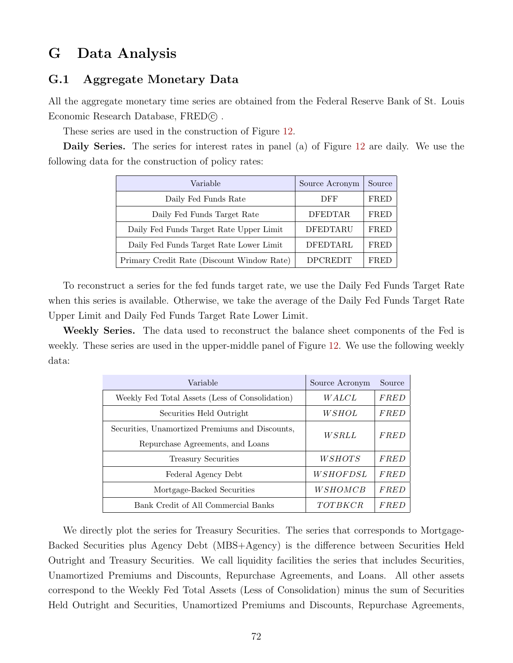## G Data Analysis

## G.1 Aggregate Monetary Data

All the aggregate monetary time series are obtained from the Federal Reserve Bank of St. Louis Economic Research Database, FRED $\odot$ .

These series are used in the construction of Figure [12.](#page-39-0)

Daily Series. The series for interest rates in panel (a) of Figure [12](#page-39-0) are daily. We use the following data for the construction of policy rates:

| Variable                                   | Source Acronym  | Source |
|--------------------------------------------|-----------------|--------|
| Daily Fed Funds Rate                       | DFF             | FRED   |
| Daily Fed Funds Target Rate                | <b>DFEDTAR</b>  | FRED   |
| Daily Fed Funds Target Rate Upper Limit    | <b>DFEDTARU</b> | FRED   |
| Daily Fed Funds Target Rate Lower Limit    | DFEDTARL        | FRED   |
| Primary Credit Rate (Discount Window Rate) | DPCREDIT        | FRED   |

To reconstruct a series for the fed funds target rate, we use the Daily Fed Funds Target Rate when this series is available. Otherwise, we take the average of the Daily Fed Funds Target Rate Upper Limit and Daily Fed Funds Target Rate Lower Limit.

Weekly Series. The data used to reconstruct the balance sheet components of the Fed is weekly. These series are used in the upper-middle panel of Figure [12.](#page-39-0) We use the following weekly data:

| Variable                                        | Source Acronym  | Source      |  |
|-------------------------------------------------|-----------------|-------------|--|
| Weekly Fed Total Assets (Less of Consolidation) | <i>WALCL</i>    | <b>FRED</b> |  |
| Securities Held Outright                        | WSHOL           | <b>FRED</b> |  |
| Securities, Unamortized Premiums and Discounts, | WSRLL           | FRED        |  |
| Repurchase Agreements, and Loans                |                 |             |  |
| Treasury Securities                             | <i>WSHOTS</i>   | <i>FRED</i> |  |
| Federal Agency Debt                             | <i>WSHOFDSL</i> | FRED        |  |
| Mortgage-Backed Securities                      | WSHOMCB         | FRED        |  |
| Bank Credit of All Commercial Banks             | TOTBKCR         | <i>FRED</i> |  |

We directly plot the series for Treasury Securities. The series that corresponds to Mortgage-Backed Securities plus Agency Debt (MBS+Agency) is the difference between Securities Held Outright and Treasury Securities. We call liquidity facilities the series that includes Securities, Unamortized Premiums and Discounts, Repurchase Agreements, and Loans. All other assets correspond to the Weekly Fed Total Assets (Less of Consolidation) minus the sum of Securities Held Outright and Securities, Unamortized Premiums and Discounts, Repurchase Agreements,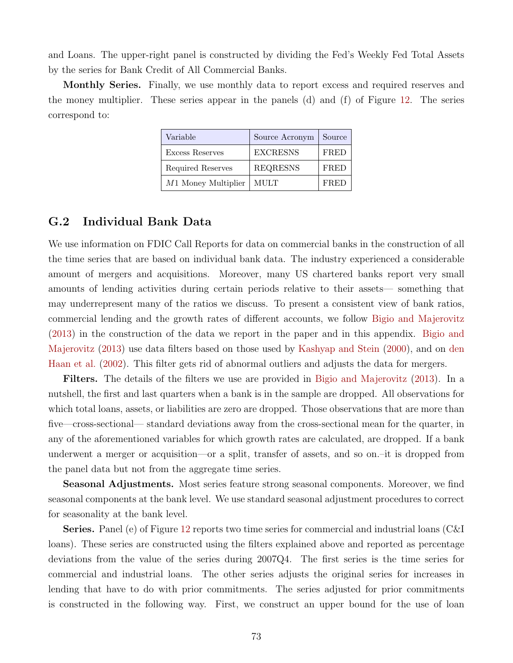and Loans. The upper-right panel is constructed by dividing the Fed's Weekly Fed Total Assets by the series for Bank Credit of All Commercial Banks.

Monthly Series. Finally, we use monthly data to report excess and required reserves and the money multiplier. These series appear in the panels (d) and (f) of Figure [12.](#page-39-0) The series correspond to:

| Variable              | Source Acronym  | Source      |
|-----------------------|-----------------|-------------|
| Excess Reserves       | <b>EXCRESNS</b> | FRED        |
| Required Reserves     | <b>REQRESNS</b> | <b>FRED</b> |
| $M1$ Money Multiplier | MULT            | FRED        |

## G.2 Individual Bank Data

We use information on FDIC Call Reports for data on commercial banks in the construction of all the time series that are based on individual bank data. The industry experienced a considerable amount of mergers and acquisitions. Moreover, many US chartered banks report very small amounts of lending activities during certain periods relative to their assets— something that may underrepresent many of the ratios we discuss. To present a consistent view of bank ratios, commercial lending and the growth rates of different accounts, we follow [Bigio and Majerovitz](#page-46-0) [\(2013\)](#page-46-0) in the construction of the data we report in the paper and in this appendix. [Bigio and](#page-46-0) [Majerovitz](#page-46-0) [\(2013\)](#page-46-0) use data filters based on those used by [Kashyap and Stein](#page-48-0) [\(2000\)](#page-48-0), and on [den](#page-47-0) [Haan et al.](#page-47-0) [\(2002\)](#page-47-0). This filter gets rid of abnormal outliers and adjusts the data for mergers.

Filters. The details of the filters we use are provided in [Bigio and Majerovitz](#page-46-0) [\(2013\)](#page-46-0). In a nutshell, the first and last quarters when a bank is in the sample are dropped. All observations for which total loans, assets, or liabilities are zero are dropped. Those observations that are more than five—cross-sectional— standard deviations away from the cross-sectional mean for the quarter, in any of the aforementioned variables for which growth rates are calculated, are dropped. If a bank underwent a merger or acquisition—or a split, transfer of assets, and so on.–it is dropped from the panel data but not from the aggregate time series.

Seasonal Adjustments. Most series feature strong seasonal components. Moreover, we find seasonal components at the bank level. We use standard seasonal adjustment procedures to correct for seasonality at the bank level.

Series. Panel (e) of Figure [12](#page-39-0) reports two time series for commercial and industrial loans (C&I loans). These series are constructed using the filters explained above and reported as percentage deviations from the value of the series during 2007Q4. The first series is the time series for commercial and industrial loans. The other series adjusts the original series for increases in lending that have to do with prior commitments. The series adjusted for prior commitments is constructed in the following way. First, we construct an upper bound for the use of loan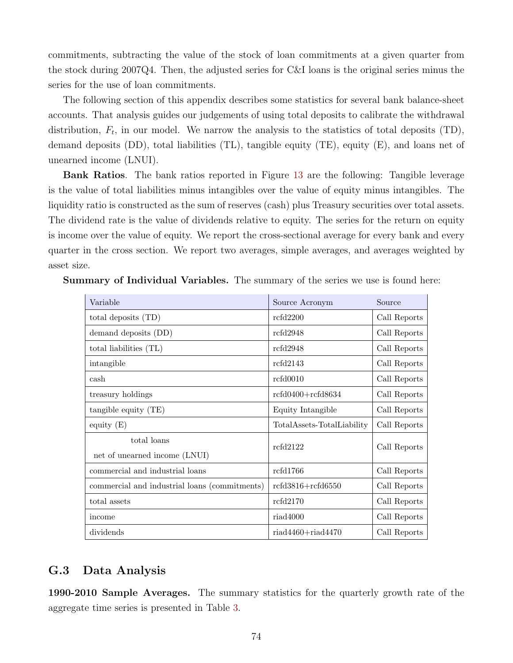commitments, subtracting the value of the stock of loan commitments at a given quarter from the stock during 2007Q4. Then, the adjusted series for C&I loans is the original series minus the series for the use of loan commitments.

The following section of this appendix describes some statistics for several bank balance-sheet accounts. That analysis guides our judgements of using total deposits to calibrate the withdrawal distribution,  $F_t$ , in our model. We narrow the analysis to the statistics of total deposits (TD), demand deposits (DD), total liabilities (TL), tangible equity (TE), equity (E), and loans net of unearned income (LNUI).

Bank Ratios. The bank ratios reported in Figure [13](#page-40-0) are the following: Tangible leverage is the value of total liabilities minus intangibles over the value of equity minus intangibles. The liquidity ratio is constructed as the sum of reserves (cash) plus Treasury securities over total assets. The dividend rate is the value of dividends relative to equity. The series for the return on equity is income over the value of equity. We report the cross-sectional average for every bank and every quarter in the cross section. We report two averages, simple averages, and averages weighted by asset size.

| Variable                                      | Source Acronym             | Source       |
|-----------------------------------------------|----------------------------|--------------|
| total deposits (TD)                           | refd2200                   | Call Reports |
| demand deposits (DD)                          | rcfd2948                   | Call Reports |
| total liabilities (TL)                        | refd2948                   | Call Reports |
| intangible                                    | rcfd2143                   | Call Reports |
| cash                                          | rcfd0010                   | Call Reports |
| treasury holdings                             | $rcfd0400+rcfd8634$        | Call Reports |
| tangible equity (TE)                          | Equity Intangible          | Call Reports |
| equity $(E)$                                  | TotalAssets-TotalLiability | Call Reports |
| total loans                                   | refd2122                   | Call Reports |
| net of unearned income (LNUI)                 |                            |              |
| commercial and industrial loans               | rcfd1766                   | Call Reports |
| commercial and industrial loans (commitments) | $rcfd3816+rcfd6550$        | Call Reports |
| total assets                                  | rcfd2170                   | Call Reports |
| income                                        | riad4000                   | Call Reports |
| dividends                                     | $riad4460 + riad4470$      | Call Reports |

Summary of Individual Variables. The summary of the series we use is found here:

## G.3 Data Analysis

1990-2010 Sample Averages. The summary statistics for the quarterly growth rate of the aggregate time series is presented in Table [3.](#page-75-0)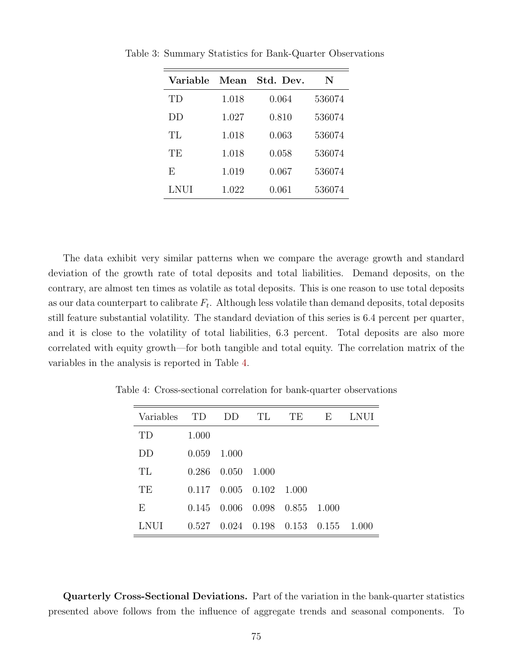| Variable    | Mean  | Std. Dev. | N      |
|-------------|-------|-----------|--------|
| ТD          | 1.018 | 0.064     | 536074 |
| DD          | 1.027 | 0.810     | 536074 |
| TL          | 1.018 | 0.063     | 536074 |
| TЕ          | 1.018 | 0.058     | 536074 |
| F,          | 1.019 | 0.067     | 536074 |
| <b>LNUI</b> | 1.022 | 0.061     | 536074 |

<span id="page-75-0"></span>Table 3: Summary Statistics for Bank-Quarter Observations

The data exhibit very similar patterns when we compare the average growth and standard deviation of the growth rate of total deposits and total liabilities. Demand deposits, on the contrary, are almost ten times as volatile as total deposits. This is one reason to use total deposits as our data counterpart to calibrate  $F_t$ . Although less volatile than demand deposits, total deposits still feature substantial volatility. The standard deviation of this series is 6.4 percent per quarter, and it is close to the volatility of total liabilities, 6.3 percent. Total deposits are also more correlated with equity growth—for both tangible and total equity. The correlation matrix of the variables in the analysis is reported in Table [4.](#page-75-1)

| Variables | TD    | $1)$ $\cup$   | TL    | TE.             | Е     | LNUI  |
|-----------|-------|---------------|-------|-----------------|-------|-------|
| TD        | 1.000 |               |       |                 |       |       |
| DD        | 0.059 | 1.000         |       |                 |       |       |
| TL        | 0.286 | 0.050         | 1.000 |                 |       |       |
| TE        | 0.117 | $0.005$ 0.102 |       | 1.000           |       |       |
| Е         | 0.145 | 0.006         | 0.098 | 0.855           | 1.000 |       |
| LNUI      | 0.527 | 0.024         | 0.198 | $0.153$ $0.155$ |       | 1.000 |

<span id="page-75-1"></span>Table 4: Cross-sectional correlation for bank-quarter observations

Quarterly Cross-Sectional Deviations. Part of the variation in the bank-quarter statistics presented above follows from the influence of aggregate trends and seasonal components. To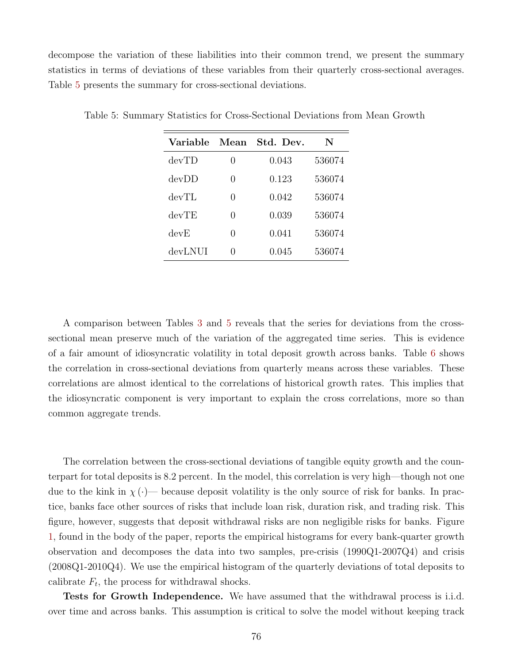decompose the variation of these liabilities into their common trend, we present the summary statistics in terms of deviations of these variables from their quarterly cross-sectional averages. Table [5](#page-76-0) presents the summary for cross-sectional deviations.

| Variable | Mean             | Std. Dev. | N      |
|----------|------------------|-----------|--------|
| devTD    | $\left( \right)$ | 0.043     | 536074 |
| devDD    | 0                | 0.123     | 536074 |
| devTL    | $\left( \right)$ | 0.042     | 536074 |
| devTE    | 0                | 0.039     | 536074 |
| devE     | $\left( \right)$ | 0.041     | 536074 |
| devLNUI  | 0                | 0.045     | 536074 |

<span id="page-76-0"></span>Table 5: Summary Statistics for Cross-Sectional Deviations from Mean Growth

A comparison between Tables [3](#page-75-0) and [5](#page-76-0) reveals that the series for deviations from the crosssectional mean preserve much of the variation of the aggregated time series. This is evidence of a fair amount of idiosyncratic volatility in total deposit growth across banks. Table [6](#page-77-0) shows the correlation in cross-sectional deviations from quarterly means across these variables. These correlations are almost identical to the correlations of historical growth rates. This implies that the idiosyncratic component is very important to explain the cross correlations, more so than common aggregate trends.

The correlation between the cross-sectional deviations of tangible equity growth and the counterpart for total deposits is 8.2 percent. In the model, this correlation is very high—though not one due to the kink in  $\chi(\cdot)$ — because deposit volatility is the only source of risk for banks. In practice, banks face other sources of risks that include loan risk, duration risk, and trading risk. This figure, however, suggests that deposit withdrawal risks are non negligible risks for banks. Figure [1,](#page-26-0) found in the body of the paper, reports the empirical histograms for every bank-quarter growth observation and decomposes the data into two samples, pre-crisis (1990Q1-2007Q4) and crisis (2008Q1-2010Q4). We use the empirical histogram of the quarterly deviations of total deposits to calibrate  $F_t$ , the process for withdrawal shocks.

Tests for Growth Independence. We have assumed that the withdrawal process is i.i.d. over time and across banks. This assumption is critical to solve the model without keeping track